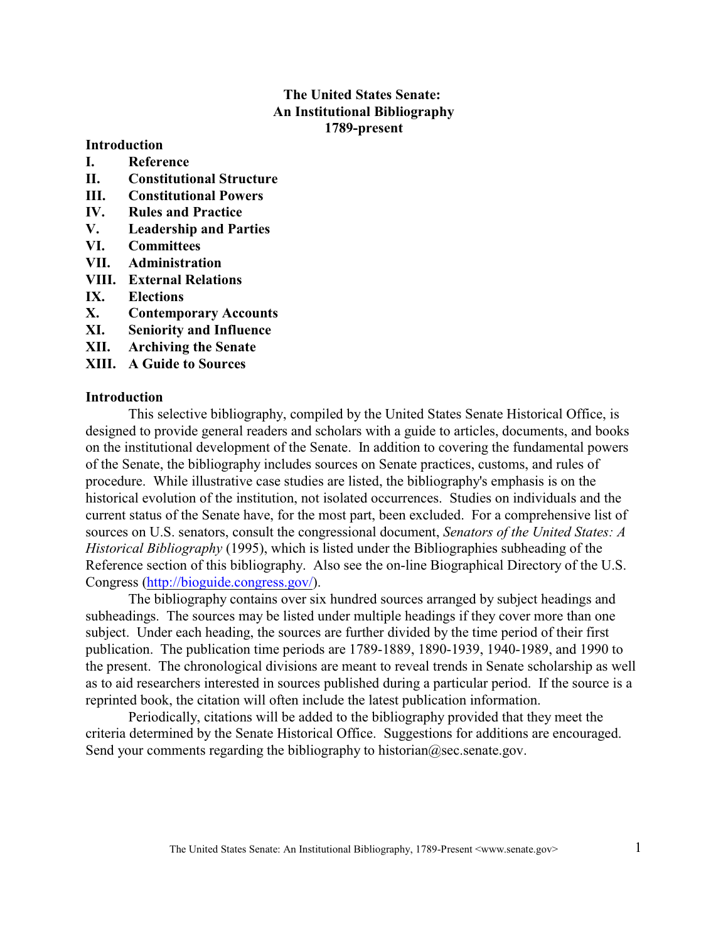# **The United States Senate: An Institutional Bibliography 1789-present**

#### **Introduction**

- **I. Reference**
- **II. Constitutional Structure**
- **III. Constitutional Powers**
- **IV. Rules and Practice**
- **V. Leadership and Parties**
- **VI. Committees**
- **VII. Administration**
- **VIII. External Relations**
- **IX. Elections**
- **X. Contemporary Accounts**
- **XI. Seniority and Influence**
- **XII. Archiving the Senate**
- **XIII. A Guide to Sources**

#### **Introduction**

This selective bibliography, compiled by the United States Senate Historical Office, is designed to provide general readers and scholars with a guide to articles, documents, and books on the institutional development of the Senate. In addition to covering the fundamental powers of the Senate, the bibliography includes sources on Senate practices, customs, and rules of procedure. While illustrative case studies are listed, the bibliography's emphasis is on the historical evolution of the institution, not isolated occurrences. Studies on individuals and the current status of the Senate have, for the most part, been excluded. For a comprehensive list of sources on U.S. senators, consult the congressional document, *Senators of the United States: A Historical Bibliography* (1995), which is listed under the Bibliographies subheading of the Reference section of this bibliography. Also see the on-line Biographical Directory of the U.S. Congress [\(http://bioguide.congress.gov/](http://bioguide.congress.gov/)).

The bibliography contains over six hundred sources arranged by subject headings and subheadings. The sources may be listed under multiple headings if they cover more than one subject. Under each heading, the sources are further divided by the time period of their first publication. The publication time periods are 1789-1889, 1890-1939, 1940-1989, and 1990 to the present. The chronological divisions are meant to reveal trends in Senate scholarship as well as to aid researchers interested in sources published during a particular period. If the source is a reprinted book, the citation will often include the latest publication information.

Periodically, citations will be added to the bibliography provided that they meet the criteria determined by the Senate Historical Office. Suggestions for additions are encouraged. Send your comments regarding the bibliography to historian@sec.senate.gov.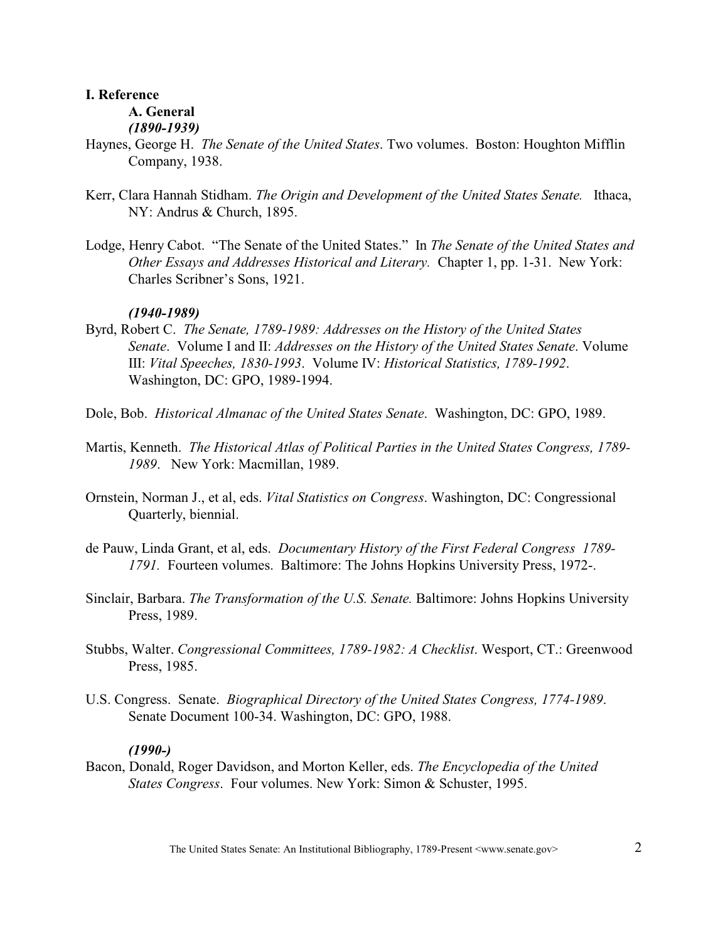## **I. Reference**

**A. General**  *(1890-1939)*

- Haynes, George H. *The Senate of the United States*. Two volumes. Boston: Houghton Mifflin Company, 1938.
- Kerr, Clara Hannah Stidham. *The Origin and Development of the United States Senate.* Ithaca, NY: Andrus & Church, 1895.
- Lodge, Henry Cabot. "The Senate of the United States." In *The Senate of the United States and Other Essays and Addresses Historical and Literary.* Chapter 1, pp. 1-31. New York: Charles Scribner's Sons, 1921.

## *(1940-1989)*

- Byrd, Robert C. *The Senate, 1789-1989: Addresses on the History of the United States Senate*. Volume I and II: *Addresses on the History of the United States Senate*. Volume III: *Vital Speeches, 1830-1993*. Volume IV: *Historical Statistics, 1789-1992*. Washington, DC: GPO, 1989-1994.
- Dole, Bob. *Historical Almanac of the United States Senate*. Washington, DC: GPO, 1989.
- Martis, Kenneth. *The Historical Atlas of Political Parties in the United States Congress, 1789- 1989*. New York: Macmillan, 1989.
- Ornstein, Norman J., et al, eds. *Vital Statistics on Congress*. Washington, DC: Congressional Quarterly, biennial.
- de Pauw, Linda Grant, et al, eds. *Documentary History of the First Federal Congress 1789- 1791.* Fourteen volumes. Baltimore: The Johns Hopkins University Press, 1972-.
- Sinclair, Barbara. *The Transformation of the U.S. Senate.* Baltimore: Johns Hopkins University Press, 1989.
- Stubbs, Walter. *Congressional Committees, 1789-1982: A Checklist*. Wesport, CT.: Greenwood Press, 1985.
- U.S. Congress. Senate. *Biographical Directory of the United States Congress, 1774-1989*. Senate Document 100-34. Washington, DC: GPO, 1988.

## *(1990-)*

Bacon, Donald, Roger Davidson, and Morton Keller, eds. *The Encyclopedia of the United States Congress*. Four volumes. New York: Simon & Schuster, 1995.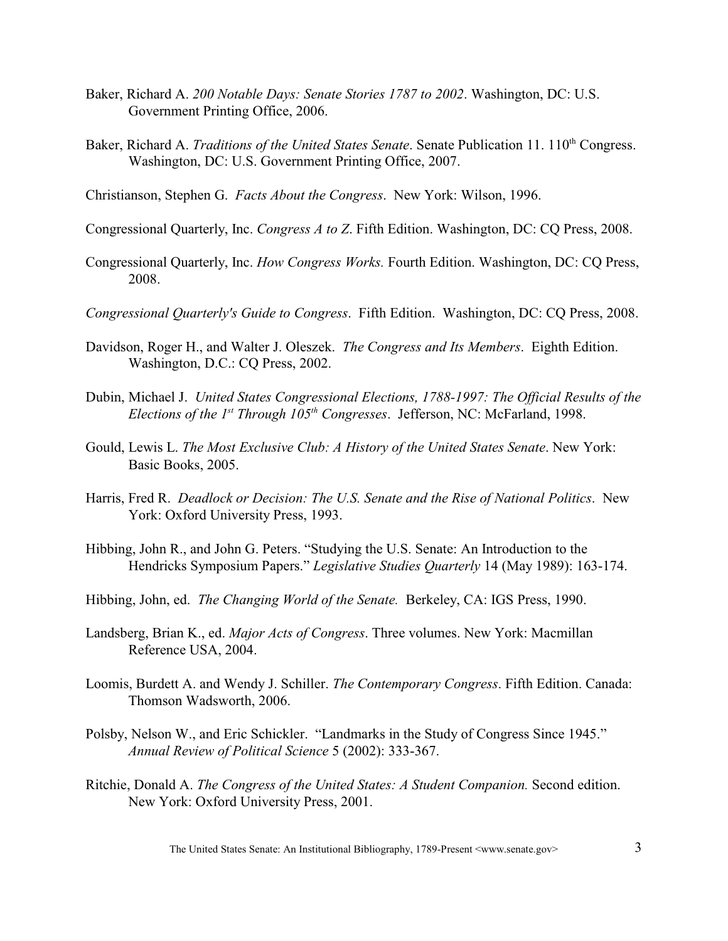- Baker, Richard A. *200 Notable Days: Senate Stories 1787 to 2002*. Washington, DC: U.S. Government Printing Office, 2006.
- Baker, Richard A. *Traditions of the United States Senate*. Senate Publication 11. 110<sup>th</sup> Congress. Washington, DC: U.S. Government Printing Office, 2007.
- Christianson, Stephen G. *Facts About the Congress*. New York: Wilson, 1996.
- Congressional Quarterly, Inc. *Congress A to Z*. Fifth Edition. Washington, DC: CQ Press, 2008.
- Congressional Quarterly, Inc. *How Congress Works.* Fourth Edition. Washington, DC: CQ Press, 2008.
- *Congressional Quarterly's Guide to Congress*. Fifth Edition. Washington, DC: CQ Press, 2008.
- Davidson, Roger H., and Walter J. Oleszek. *The Congress and Its Members*. Eighth Edition. Washington, D.C.: CQ Press, 2002.
- Dubin, Michael J. *United States Congressional Elections, 1788-1997: The Official Results of the Elections of the 1<sup>st</sup> Through 105<sup>th</sup> Congresses.* Jefferson, NC: McFarland, 1998.
- Gould, Lewis L. *The Most Exclusive Club: A History of the United States Senate*. New York: Basic Books, 2005.
- Harris, Fred R. *Deadlock or Decision: The U.S. Senate and the Rise of National Politics*. New York: Oxford University Press, 1993.
- Hibbing, John R., and John G. Peters. "Studying the U.S. Senate: An Introduction to the Hendricks Symposium Papers." *Legislative Studies Quarterly* 14 (May 1989): 163-174.
- Hibbing, John, ed. *The Changing World of the Senate.* Berkeley, CA: IGS Press, 1990.
- Landsberg, Brian K., ed. *Major Acts of Congress*. Three volumes. New York: Macmillan Reference USA, 2004.
- Loomis, Burdett A. and Wendy J. Schiller. *The Contemporary Congress*. Fifth Edition. Canada: Thomson Wadsworth, 2006.
- Polsby, Nelson W., and Eric Schickler. "Landmarks in the Study of Congress Since 1945." *Annual Review of Political Science* 5 (2002): 333-367.
- Ritchie, Donald A. *The Congress of the United States: A Student Companion.* Second edition. New York: Oxford University Press, 2001.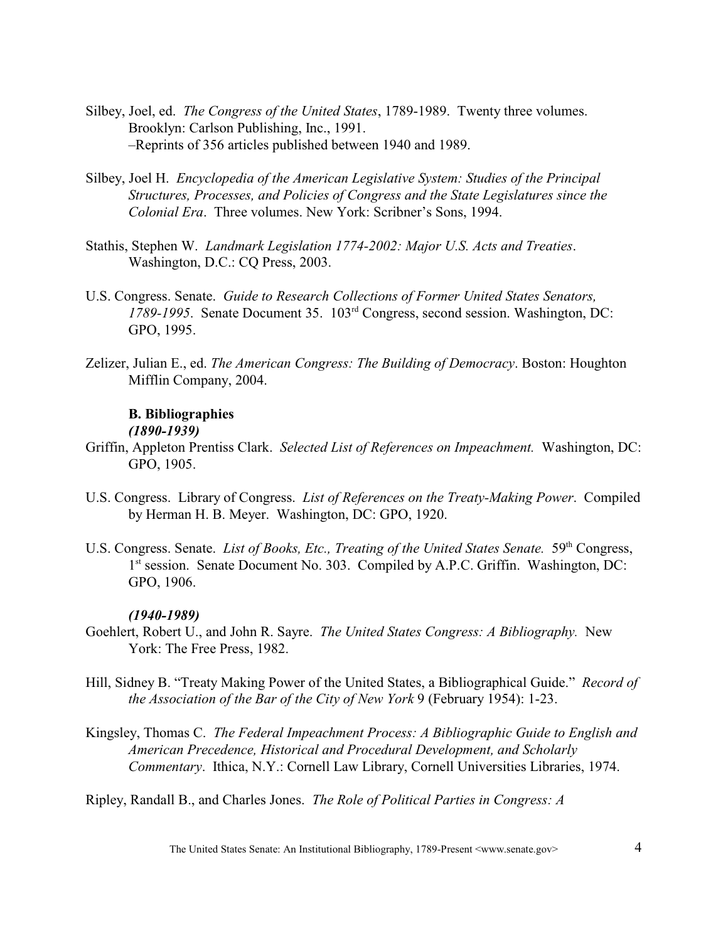- Silbey, Joel, ed. *The Congress of the United States*, 1789-1989. Twenty three volumes. Brooklyn: Carlson Publishing, Inc., 1991. –Reprints of 356 articles published between 1940 and 1989.
- Silbey, Joel H. *Encyclopedia of the American Legislative System: Studies of the Principal Structures, Processes, and Policies of Congress and the State Legislatures since the Colonial Era*. Three volumes. New York: Scribner's Sons, 1994.
- Stathis, Stephen W. *Landmark Legislation 1774-2002: Major U.S. Acts and Treaties*. Washington, D.C.: CQ Press, 2003.
- U.S. Congress. Senate. *Guide to Research Collections of Former United States Senators,* 1789-1995. Senate Document 35. 103<sup>rd</sup> Congress, second session. Washington, DC: GPO, 1995.
- Zelizer, Julian E., ed. *The American Congress: The Building of Democracy*. Boston: Houghton Mifflin Company, 2004.

# **B. Bibliographies**

# *(1890-1939)*

- Griffin, Appleton Prentiss Clark. *Selected List of References on Impeachment.* Washington, DC: GPO, 1905.
- U.S. Congress. Library of Congress. *List of References on the Treaty-Making Power*. Compiled by Herman H. B. Meyer. Washington, DC: GPO, 1920.
- U.S. Congress. Senate. *List of Books, Etc., Treating of the United States Senate.* 59<sup>th</sup> Congress, 1<sup>st</sup> session. Senate Document No. 303. Compiled by A.P.C. Griffin. Washington, DC: GPO, 1906.

## *(1940-1989)*

- Goehlert, Robert U., and John R. Sayre. *The United States Congress: A Bibliography.* New York: The Free Press, 1982.
- Hill, Sidney B. "Treaty Making Power of the United States, a Bibliographical Guide." *Record of the Association of the Bar of the City of New York* 9 (February 1954): 1-23.
- Kingsley, Thomas C. *The Federal Impeachment Process: A Bibliographic Guide to English and American Precedence, Historical and Procedural Development, and Scholarly Commentary*. Ithica, N.Y.: Cornell Law Library, Cornell Universities Libraries, 1974.

Ripley, Randall B., and Charles Jones. *The Role of Political Parties in Congress: A*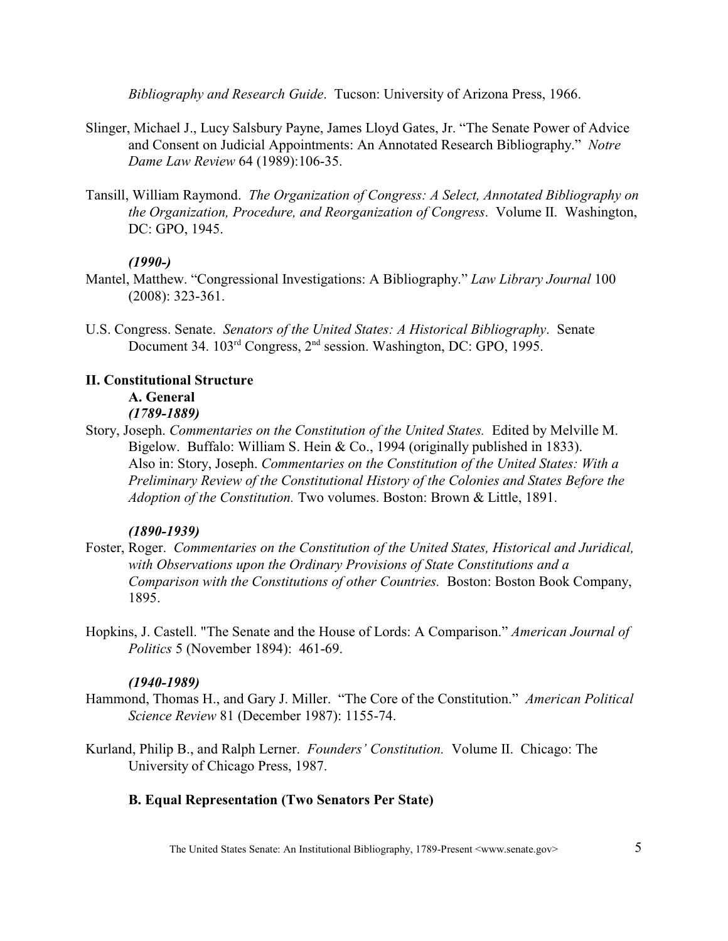*Bibliography and Research Guide*. Tucson: University of Arizona Press, 1966.

- Slinger, Michael J., Lucy Salsbury Payne, James Lloyd Gates, Jr. "The Senate Power of Advice and Consent on Judicial Appointments: An Annotated Research Bibliography." *Notre Dame Law Review* 64 (1989):106-35.
- Tansill, William Raymond. *The Organization of Congress: A Select, Annotated Bibliography on the Organization, Procedure, and Reorganization of Congress*. Volume II. Washington, DC: GPO, 1945.

## *(1990-)*

- Mantel, Matthew. "Congressional Investigations: A Bibliography." *Law Library Journal* 100 (2008): 323-361.
- U.S. Congress. Senate. *Senators of the United States: A Historical Bibliography*. Senate Document 34. 103<sup>rd</sup> Congress, 2<sup>nd</sup> session. Washington, DC: GPO, 1995.

# **II. Constitutional Structure**

# **A. General**

## *(1789-1889)*

Story, Joseph. *Commentaries on the Constitution of the United States.* Edited by Melville M. Bigelow. Buffalo: William S. Hein & Co., 1994 (originally published in 1833). Also in: Story, Joseph. *Commentaries on the Constitution of the United States: With a Preliminary Review of the Constitutional History of the Colonies and States Before the Adoption of the Constitution.* Two volumes. Boston: Brown & Little, 1891.

## *(1890-1939)*

- Foster, Roger. *Commentaries on the Constitution of the United States, Historical and Juridical, with Observations upon the Ordinary Provisions of State Constitutions and a Comparison with the Constitutions of other Countries.* Boston: Boston Book Company, 1895.
- Hopkins, J. Castell. "The Senate and the House of Lords: A Comparison." *American Journal of Politics* 5 (November 1894): 461-69.

## *(1940-1989)*

- Hammond, Thomas H., and Gary J. Miller. "The Core of the Constitution." *American Political Science Review* 81 (December 1987): 1155-74.
- Kurland, Philip B., and Ralph Lerner. *Founders' Constitution.* Volume II. Chicago: The University of Chicago Press, 1987.

# **B. Equal Representation (Two Senators Per State)**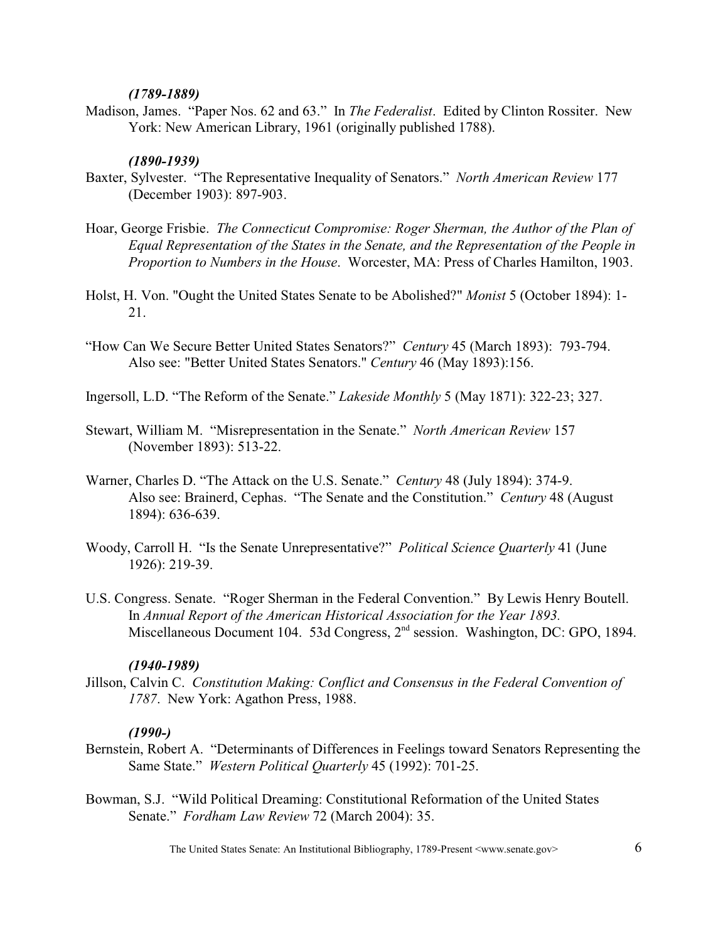#### *(1789-1889)*

Madison, James. "Paper Nos. 62 and 63." In *The Federalist*. Edited by Clinton Rossiter. New York: New American Library, 1961 (originally published 1788).

### *(1890-1939)*

- Baxter, Sylvester. "The Representative Inequality of Senators." *North American Review* 177 (December 1903): 897-903.
- Hoar, George Frisbie. *The Connecticut Compromise: Roger Sherman, the Author of the Plan of Equal Representation of the States in the Senate, and the Representation of the People in Proportion to Numbers in the House*. Worcester, MA: Press of Charles Hamilton, 1903.
- Holst, H. Von. "Ought the United States Senate to be Abolished?" *Monist* 5 (October 1894): 1- 21.
- "How Can We Secure Better United States Senators?" *Century* 45 (March 1893): 793-794. Also see: "Better United States Senators." *Century* 46 (May 1893):156.
- Ingersoll, L.D. "The Reform of the Senate." *Lakeside Monthly* 5 (May 1871): 322-23; 327.
- Stewart, William M. "Misrepresentation in the Senate." *North American Review* 157 (November 1893): 513-22.
- Warner, Charles D. "The Attack on the U.S. Senate." *Century* 48 (July 1894): 374-9. Also see: Brainerd, Cephas. "The Senate and the Constitution." *Century* 48 (August 1894): 636-639.
- Woody, Carroll H. "Is the Senate Unrepresentative?" *Political Science Quarterly* 41 (June 1926): 219-39.
- U.S. Congress. Senate. "Roger Sherman in the Federal Convention." By Lewis Henry Boutell. In *Annual Report of the American Historical Association for the Year 1893.*  Miscellaneous Document 104. 53d Congress, 2<sup>nd</sup> session. Washington, DC: GPO, 1894.

#### *(1940-1989)*

Jillson, Calvin C. *Constitution Making: Conflict and Consensus in the Federal Convention of 1787*. New York: Agathon Press, 1988.

#### *(1990-)*

- Bernstein, Robert A. "Determinants of Differences in Feelings toward Senators Representing the Same State." *Western Political Quarterly* 45 (1992): 701-25.
- Bowman, S.J. "Wild Political Dreaming: Constitutional Reformation of the United States Senate." *Fordham Law Review* 72 (March 2004): 35.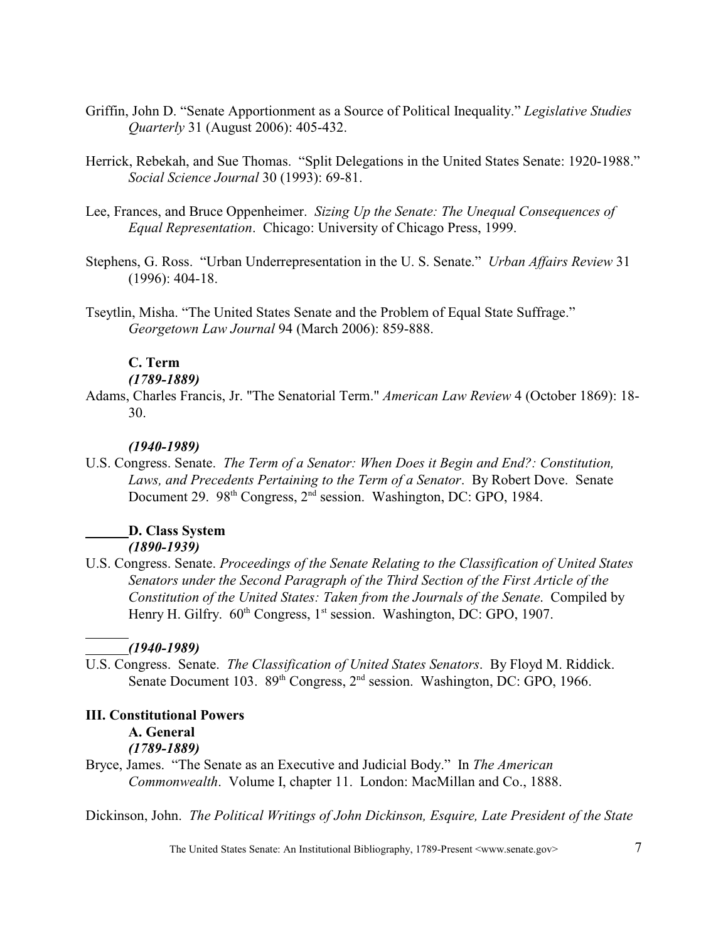- Griffin, John D. "Senate Apportionment as a Source of Political Inequality." *Legislative Studies Quarterly* 31 (August 2006): 405-432.
- Herrick, Rebekah, and Sue Thomas. "Split Delegations in the United States Senate: 1920-1988." *Social Science Journal* 30 (1993): 69-81.
- Lee, Frances, and Bruce Oppenheimer. *Sizing Up the Senate: The Unequal Consequences of Equal Representation*. Chicago: University of Chicago Press, 1999.
- Stephens, G. Ross. "Urban Underrepresentation in the U. S. Senate." *Urban Affairs Review* 31 (1996): 404-18.
- Tseytlin, Misha. "The United States Senate and the Problem of Equal State Suffrage." *Georgetown Law Journal* 94 (March 2006): 859-888.

## **C. Term**

## *(1789-1889)*

Adams, Charles Francis, Jr. "The Senatorial Term." *American Law Review* 4 (October 1869): 18- 30.

#### *(1940-1989)*

U.S. Congress. Senate. *The Term of a Senator: When Does it Begin and End?: Constitution, Laws, and Precedents Pertaining to the Term of a Senator*. By Robert Dove. Senate Document 29. 98<sup>th</sup> Congress, 2<sup>nd</sup> session. Washington, DC: GPO, 1984.

# **D. Class System**

- *(1890-1939)*
- U.S. Congress. Senate. *Proceedings of the Senate Relating to the Classification of United States Senators under the Second Paragraph of the Third Section of the First Article of the Constitution of the United States: Taken from the Journals of the Senate*. Compiled by Henry H. Gilfry.  $60^{th}$  Congress,  $1^{st}$  session. Washington, DC: GPO, 1907.

## *(1940-1989)*

U.S. Congress. Senate. *The Classification of United States Senators*. By Floyd M. Riddick. Senate Document 103.  $89<sup>th</sup> Congress, 2<sup>nd</sup> session. Washington, DC: GPO, 1966.$ 

## **III. Constitutional Powers**

#### **A. General**

#### *(1789-1889)*

Bryce, James. "The Senate as an Executive and Judicial Body." In *The American Commonwealth*. Volume I, chapter 11. London: MacMillan and Co., 1888.

Dickinson, John. *The Political Writings of John Dickinson, Esquire, Late President of the State*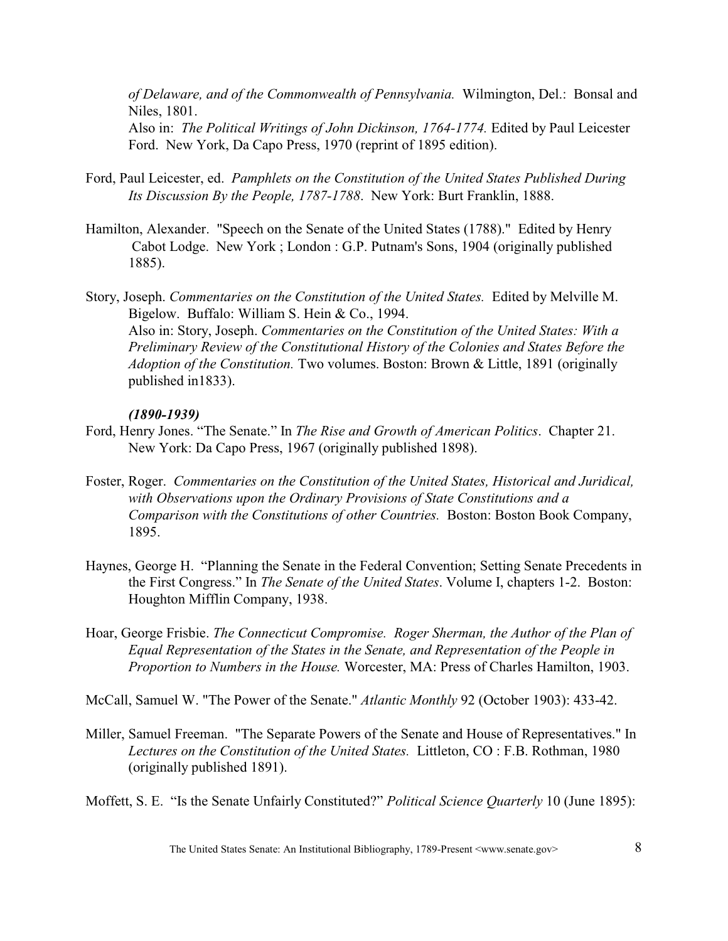*of Delaware, and of the Commonwealth of Pennsylvania.* Wilmington, Del.: Bonsal and Niles, 1801. Also in: *The Political Writings of John Dickinson, 1764-1774.* Edited by Paul Leicester Ford. New York, Da Capo Press, 1970 (reprint of 1895 edition).

- Ford, Paul Leicester, ed. *Pamphlets on the Constitution of the United States Published During Its Discussion By the People, 1787-1788*. New York: Burt Franklin, 1888.
- Hamilton, Alexander. "Speech on the Senate of the United States (1788)." Edited by Henry Cabot Lodge. New York ; London : G.P. Putnam's Sons, 1904 (originally published 1885).
- Story, Joseph. *Commentaries on the Constitution of the United States.* Edited by Melville M. Bigelow. Buffalo: William S. Hein & Co., 1994. Also in: Story, Joseph. *Commentaries on the Constitution of the United States: With a Preliminary Review of the Constitutional History of the Colonies and States Before the Adoption of the Constitution.* Two volumes. Boston: Brown & Little, 1891 (originally published in1833).

## *(1890-1939)*

- Ford, Henry Jones. "The Senate." In *The Rise and Growth of American Politics*. Chapter 21. New York: Da Capo Press, 1967 (originally published 1898).
- Foster, Roger. *Commentaries on the Constitution of the United States, Historical and Juridical, with Observations upon the Ordinary Provisions of State Constitutions and a Comparison with the Constitutions of other Countries.* Boston: Boston Book Company, 1895.
- Haynes, George H. "Planning the Senate in the Federal Convention; Setting Senate Precedents in the First Congress." In *The Senate of the United States*. Volume I, chapters 1-2. Boston: Houghton Mifflin Company, 1938.
- Hoar, George Frisbie. *The Connecticut Compromise. Roger Sherman, the Author of the Plan of Equal Representation of the States in the Senate, and Representation of the People in Proportion to Numbers in the House.* Worcester, MA: Press of Charles Hamilton, 1903.

McCall, Samuel W. "The Power of the Senate." *Atlantic Monthly* 92 (October 1903): 433-42.

- Miller, Samuel Freeman. "The Separate Powers of the Senate and House of Representatives." In *Lectures on the Constitution of the United States.* Littleton, CO : F.B. Rothman, 1980 (originally published 1891).
- Moffett, S. E. "Is the Senate Unfairly Constituted?" *Political Science Quarterly* 10 (June 1895):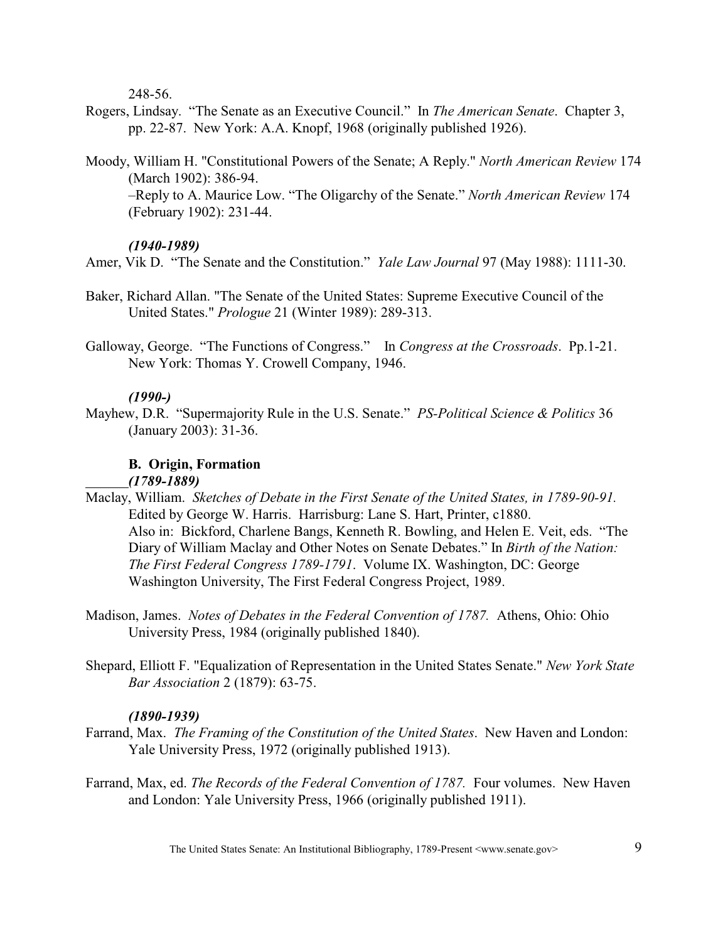248-56.

- Rogers, Lindsay. "The Senate as an Executive Council." In *The American Senate*. Chapter 3, pp. 22-87. New York: A.A. Knopf, 1968 (originally published 1926).
- Moody, William H. "Constitutional Powers of the Senate; A Reply." *North American Review* 174 (March 1902): 386-94.

–Reply to A. Maurice Low. "The Oligarchy of the Senate." *North American Review* 174 (February 1902): 231-44.

# *(1940-1989)*

Amer, Vik D. "The Senate and the Constitution." *Yale Law Journal* 97 (May 1988): 1111-30.

- Baker, Richard Allan. "The Senate of the United States: Supreme Executive Council of the United States." *Prologue* 21 (Winter 1989): 289-313.
- Galloway, George. "The Functions of Congress." In *Congress at the Crossroads*. Pp.1-21. New York: Thomas Y. Crowell Company, 1946.

# *(1990-)*

Mayhew, D.R. "Supermajority Rule in the U.S. Senate." *PS-Political Science & Politics* 36 (January 2003): 31-36.

# **B. Origin, Formation** *(1789-1889)*

- Maclay, William. *Sketches of Debate in the First Senate of the United States, in 1789-90-91.*  Edited by George W. Harris. Harrisburg: Lane S. Hart, Printer, c1880. Also in: Bickford, Charlene Bangs, Kenneth R. Bowling, and Helen E. Veit, eds. "The Diary of William Maclay and Other Notes on Senate Debates." In *Birth of the Nation: The First Federal Congress 1789-1791*. Volume IX. Washington, DC: George Washington University, The First Federal Congress Project, 1989.
- Madison, James. *Notes of Debates in the Federal Convention of 1787.* Athens, Ohio: Ohio University Press, 1984 (originally published 1840).
- Shepard, Elliott F. "Equalization of Representation in the United States Senate." *New York State Bar Association* 2 (1879): 63-75.

## *(1890-1939)*

- Farrand, Max. *The Framing of the Constitution of the United States*. New Haven and London: Yale University Press, 1972 (originally published 1913).
- Farrand, Max, ed. *The Records of the Federal Convention of 1787.* Four volumes. New Haven and London: Yale University Press, 1966 (originally published 1911).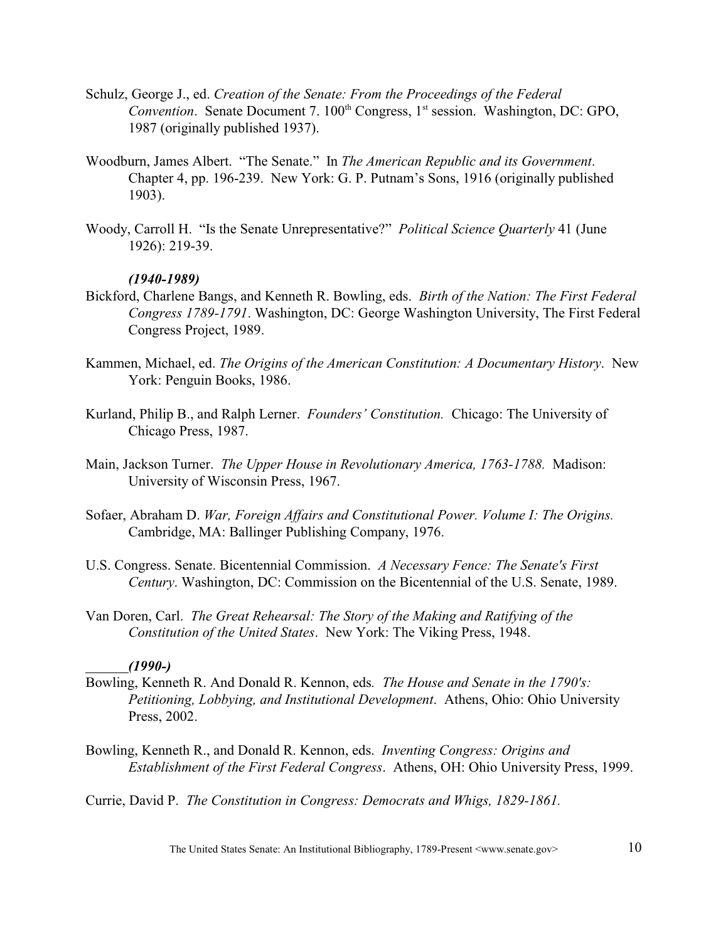- Schulz, George J., ed. *Creation of the Senate: From the Proceedings of the Federal Convention.* Senate Document 7. 100<sup>th</sup> Congress, 1<sup>st</sup> session. Washington, DC: GPO, 1987 (originally published 1937).
- Woodburn, James Albert. "The Senate." In *The American Republic and its Government*. Chapter 4, pp. 196-239. New York: G. P. Putnam's Sons, 1916 (originally published 1903).
- Woody, Carroll H. "Is the Senate Unrepresentative?" *Political Science Quarterly* 41 (June 1926): 219-39.

#### *(1940-1989)*

- Bickford, Charlene Bangs, and Kenneth R. Bowling, eds. *Birth of the Nation: The First Federal Congress 1789-1791*. Washington, DC: George Washington University, The First Federal Congress Project, 1989.
- Kammen, Michael, ed. *The Origins of the American Constitution: A Documentary History*. New York: Penguin Books, 1986.
- Kurland, Philip B., and Ralph Lerner. *Founders' Constitution.* Chicago: The University of Chicago Press, 1987.
- Main, Jackson Turner. *The Upper House in Revolutionary America, 1763-1788.* Madison: University of Wisconsin Press, 1967.
- Sofaer, Abraham D. *War, Foreign Affairs and Constitutional Power. Volume I: The Origins.* Cambridge, MA: Ballinger Publishing Company, 1976.
- U.S. Congress. Senate. Bicentennial Commission. *A Necessary Fence: The Senate's First Century*. Washington, DC: Commission on the Bicentennial of the U.S. Senate, 1989.
- Van Doren, Carl. *The Great Rehearsal: The Story of the Making and Ratifying of the Constitution of the United States*. New York: The Viking Press, 1948.

## *(1990-)*

- Bowling, Kenneth R. And Donald R. Kennon, eds*. The House and Senate in the 1790's: Petitioning, Lobbying, and Institutional Development*. Athens, Ohio: Ohio University Press, 2002.
- Bowling, Kenneth R., and Donald R. Kennon, eds. *Inventing Congress: Origins and Establishment of the First Federal Congress*. Athens, OH: Ohio University Press, 1999.

Currie, David P. *The Constitution in Congress: Democrats and Whigs, 1829-1861.*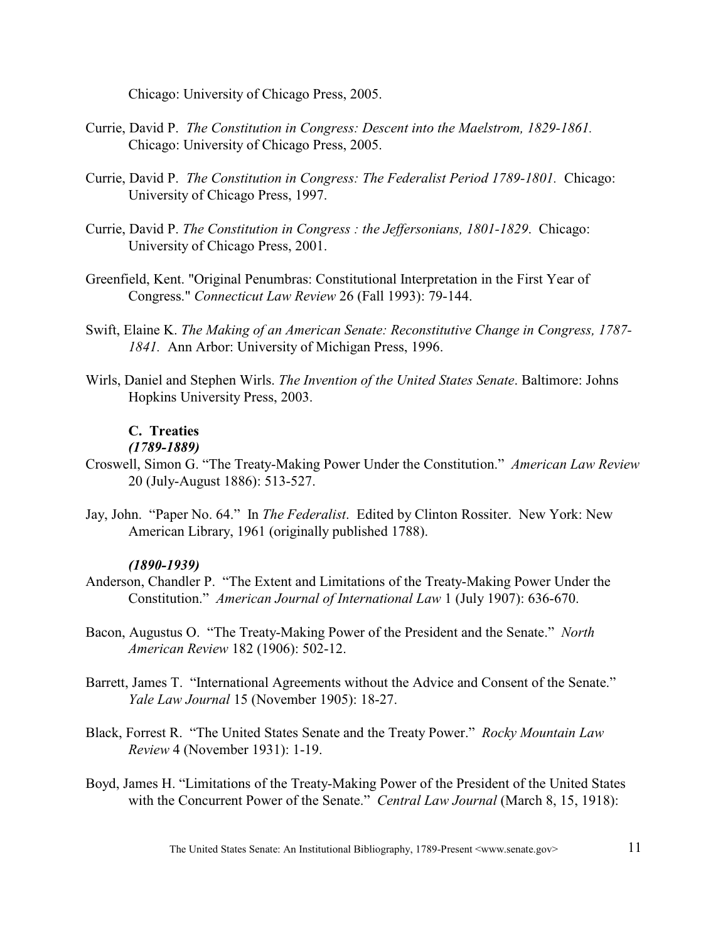Chicago: University of Chicago Press, 2005.

- Currie, David P. *The Constitution in Congress: Descent into the Maelstrom, 1829-1861.*  Chicago: University of Chicago Press, 2005.
- Currie, David P. *The Constitution in Congress: The Federalist Period 1789-1801.* Chicago: University of Chicago Press, 1997.
- Currie, David P. *The Constitution in Congress : the Jeffersonians, 1801-1829*. Chicago: University of Chicago Press, 2001.
- Greenfield, Kent. "Original Penumbras: Constitutional Interpretation in the First Year of Congress." *Connecticut Law Review* 26 (Fall 1993): 79-144.
- Swift, Elaine K. *The Making of an American Senate: Reconstitutive Change in Congress, 1787- 1841.* Ann Arbor: University of Michigan Press, 1996.
- Wirls, Daniel and Stephen Wirls. *The Invention of the United States Senate*. Baltimore: Johns Hopkins University Press, 2003.

# **C. Treaties**

## *(1789-1889)*

- Croswell, Simon G. "The Treaty-Making Power Under the Constitution." *American Law Review* 20 (July-August 1886): 513-527.
- Jay, John. "Paper No. 64." In *The Federalist*. Edited by Clinton Rossiter. New York: New American Library, 1961 (originally published 1788).

## *(1890-1939)*

- Anderson, Chandler P. "The Extent and Limitations of the Treaty-Making Power Under the Constitution." *American Journal of International Law* 1 (July 1907): 636-670.
- Bacon, Augustus O. "The Treaty-Making Power of the President and the Senate." *North American Review* 182 (1906): 502-12.
- Barrett, James T. "International Agreements without the Advice and Consent of the Senate." *Yale Law Journal* 15 (November 1905): 18-27.
- Black, Forrest R. "The United States Senate and the Treaty Power." *Rocky Mountain Law Review* 4 (November 1931): 1-19.
- Boyd, James H. "Limitations of the Treaty-Making Power of the President of the United States with the Concurrent Power of the Senate." *Central Law Journal* (March 8, 15, 1918):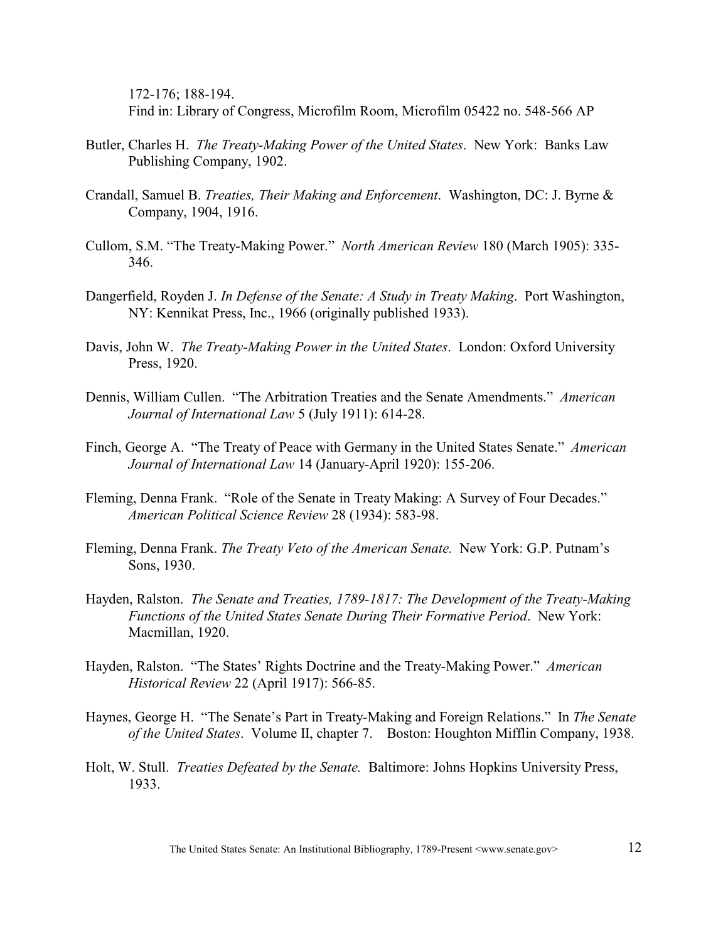172-176; 188-194. Find in: Library of Congress, Microfilm Room, Microfilm 05422 no. 548-566 AP

- Butler, Charles H. *The Treaty-Making Power of the United States*. New York: Banks Law Publishing Company, 1902.
- Crandall, Samuel B. *Treaties, Their Making and Enforcement*. Washington, DC: J. Byrne & Company, 1904, 1916.
- Cullom, S.M. "The Treaty-Making Power." *North American Review* 180 (March 1905): 335- 346.
- Dangerfield, Royden J. *In Defense of the Senate: A Study in Treaty Making*. Port Washington, NY: Kennikat Press, Inc., 1966 (originally published 1933).
- Davis, John W. *The Treaty-Making Power in the United States*. London: Oxford University Press, 1920.
- Dennis, William Cullen. "The Arbitration Treaties and the Senate Amendments." *American Journal of International Law* 5 (July 1911): 614-28.
- Finch, George A. "The Treaty of Peace with Germany in the United States Senate." *American Journal of International Law* 14 (January-April 1920): 155-206.
- Fleming, Denna Frank. "Role of the Senate in Treaty Making: A Survey of Four Decades." *American Political Science Review* 28 (1934): 583-98.
- Fleming, Denna Frank. *The Treaty Veto of the American Senate.* New York: G.P. Putnam's Sons, 1930.
- Hayden, Ralston. *The Senate and Treaties, 1789-1817: The Development of the Treaty-Making Functions of the United States Senate During Their Formative Period*. New York: Macmillan, 1920.
- Hayden, Ralston. "The States' Rights Doctrine and the Treaty-Making Power." *American Historical Review* 22 (April 1917): 566-85.
- Haynes, George H. "The Senate's Part in Treaty-Making and Foreign Relations." In *The Senate of the United States*. Volume II, chapter 7. Boston: Houghton Mifflin Company, 1938.
- Holt, W. Stull. *Treaties Defeated by the Senate.* Baltimore: Johns Hopkins University Press, 1933.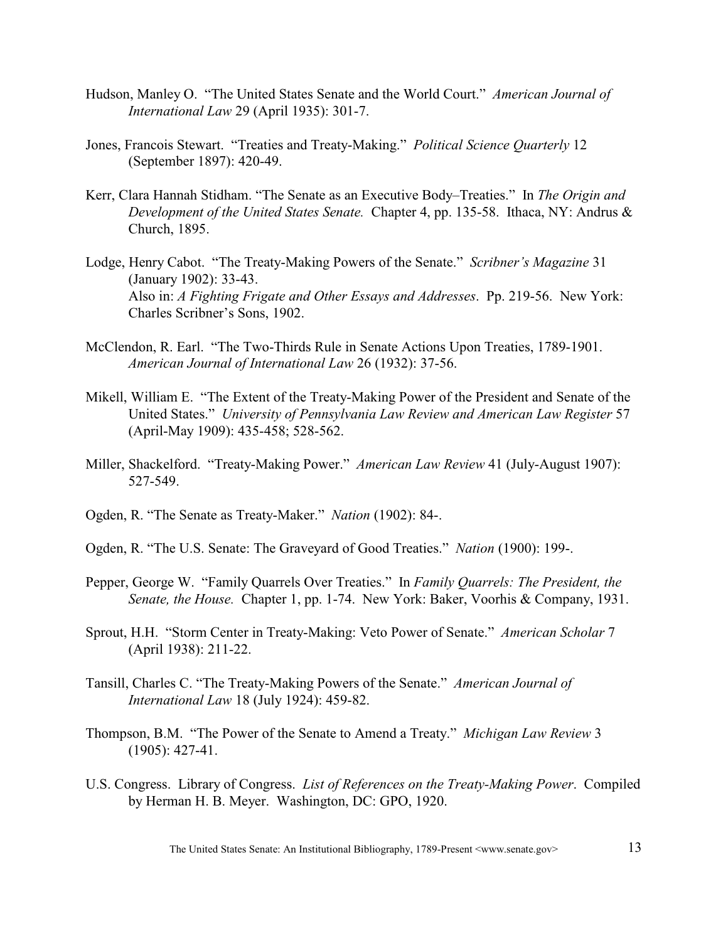- Hudson, Manley O. "The United States Senate and the World Court." *American Journal of International Law* 29 (April 1935): 301-7.
- Jones, Francois Stewart. "Treaties and Treaty-Making." *Political Science Quarterly* 12 (September 1897): 420-49.
- Kerr, Clara Hannah Stidham. "The Senate as an Executive Body–Treaties." In *The Origin and Development of the United States Senate.* Chapter 4, pp. 135-58. Ithaca, NY: Andrus & Church, 1895.
- Lodge, Henry Cabot. "The Treaty-Making Powers of the Senate." *Scribner's Magazine* 31 (January 1902): 33-43. Also in: *A Fighting Frigate and Other Essays and Addresses*. Pp. 219-56. New York: Charles Scribner's Sons, 1902.
- McClendon, R. Earl. "The Two-Thirds Rule in Senate Actions Upon Treaties, 1789-1901. *American Journal of International Law* 26 (1932): 37-56.
- Mikell, William E. "The Extent of the Treaty-Making Power of the President and Senate of the United States." *University of Pennsylvania Law Review and American Law Register* 57 (April-May 1909): 435-458; 528-562.
- Miller, Shackelford. "Treaty-Making Power." *American Law Review* 41 (July-August 1907): 527-549.
- Ogden, R. "The Senate as Treaty-Maker." *Nation* (1902): 84-.
- Ogden, R. "The U.S. Senate: The Graveyard of Good Treaties." *Nation* (1900): 199-.
- Pepper, George W. "Family Quarrels Over Treaties." In *Family Quarrels: The President, the Senate, the House.* Chapter 1, pp. 1-74. New York: Baker, Voorhis & Company, 1931.
- Sprout, H.H. "Storm Center in Treaty-Making: Veto Power of Senate." *American Scholar* 7 (April 1938): 211-22.
- Tansill, Charles C. "The Treaty-Making Powers of the Senate." *American Journal of International Law* 18 (July 1924): 459-82.

Thompson, B.M. "The Power of the Senate to Amend a Treaty." *Michigan Law Review* 3 (1905): 427-41.

U.S. Congress. Library of Congress. *List of References on the Treaty-Making Power*. Compiled by Herman H. B. Meyer. Washington, DC: GPO, 1920.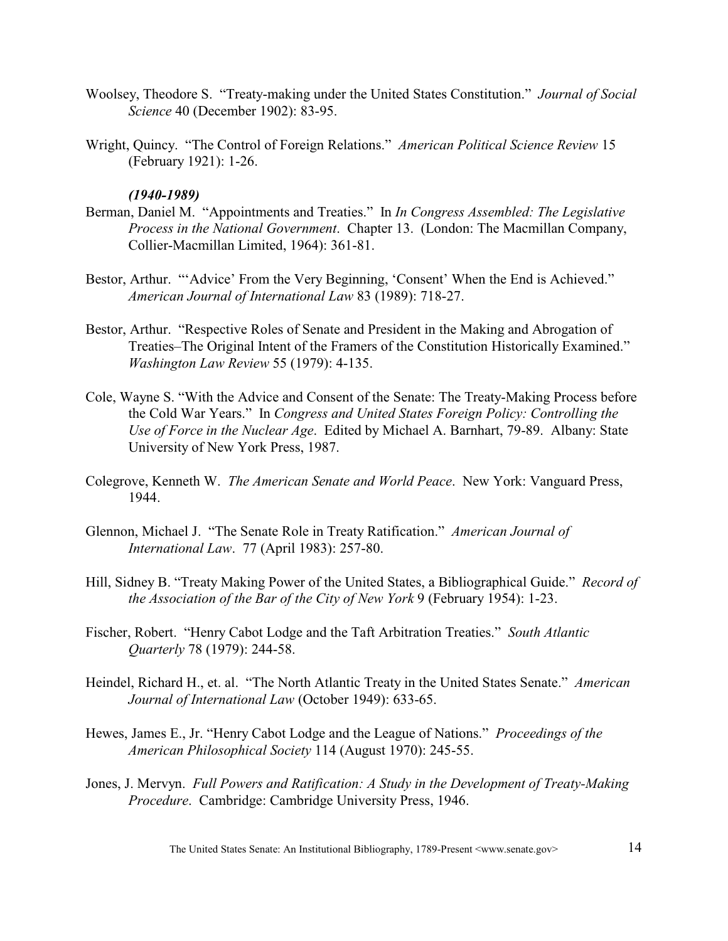- Woolsey, Theodore S. "Treaty-making under the United States Constitution." *Journal of Social Science* 40 (December 1902): 83-95.
- Wright, Quincy. "The Control of Foreign Relations." *American Political Science Review* 15 (February 1921): 1-26.

## *(1940-1989)*

- Berman, Daniel M. "Appointments and Treaties." In *In Congress Assembled: The Legislative Process in the National Government*. Chapter 13. (London: The Macmillan Company, Collier-Macmillan Limited, 1964): 361-81.
- Bestor, Arthur. "'Advice' From the Very Beginning, 'Consent' When the End is Achieved." *American Journal of International Law* 83 (1989): 718-27.
- Bestor, Arthur. "Respective Roles of Senate and President in the Making and Abrogation of Treaties–The Original Intent of the Framers of the Constitution Historically Examined." *Washington Law Review* 55 (1979): 4-135.
- Cole, Wayne S. "With the Advice and Consent of the Senate: The Treaty-Making Process before the Cold War Years." In *Congress and United States Foreign Policy: Controlling the Use of Force in the Nuclear Age*. Edited by Michael A. Barnhart, 79-89. Albany: State University of New York Press, 1987.
- Colegrove, Kenneth W. *The American Senate and World Peace*. New York: Vanguard Press, 1944.
- Glennon, Michael J. "The Senate Role in Treaty Ratification." *American Journal of International Law*. 77 (April 1983): 257-80.
- Hill, Sidney B. "Treaty Making Power of the United States, a Bibliographical Guide." *Record of the Association of the Bar of the City of New York* 9 (February 1954): 1-23.
- Fischer, Robert. "Henry Cabot Lodge and the Taft Arbitration Treaties." *South Atlantic Quarterly* 78 (1979): 244-58.
- Heindel, Richard H., et. al. "The North Atlantic Treaty in the United States Senate." *American Journal of International Law* (October 1949): 633-65.
- Hewes, James E., Jr. "Henry Cabot Lodge and the League of Nations." *Proceedings of the American Philosophical Society* 114 (August 1970): 245-55.
- Jones, J. Mervyn. *Full Powers and Ratification: A Study in the Development of Treaty-Making Procedure*. Cambridge: Cambridge University Press, 1946.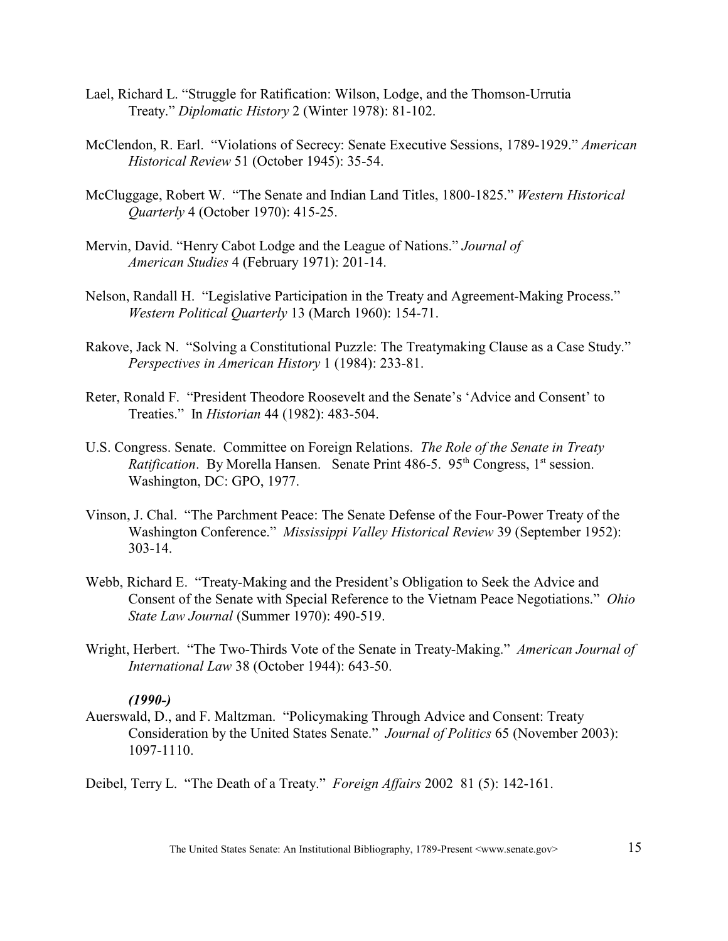- Lael, Richard L. "Struggle for Ratification: Wilson, Lodge, and the Thomson-Urrutia Treaty." *Diplomatic History* 2 (Winter 1978): 81-102.
- McClendon, R. Earl. "Violations of Secrecy: Senate Executive Sessions, 1789-1929." *American Historical Review* 51 (October 1945): 35-54.
- McCluggage, Robert W. "The Senate and Indian Land Titles, 1800-1825." *Western Historical Quarterly* 4 (October 1970): 415-25.
- Mervin, David. "Henry Cabot Lodge and the League of Nations." *Journal of American Studies* 4 (February 1971): 201-14.
- Nelson, Randall H. "Legislative Participation in the Treaty and Agreement-Making Process." *Western Political Quarterly* 13 (March 1960): 154-71.
- Rakove, Jack N. "Solving a Constitutional Puzzle: The Treatymaking Clause as a Case Study." *Perspectives in American History* 1 (1984): 233-81.
- Reter, Ronald F. "President Theodore Roosevelt and the Senate's 'Advice and Consent' to Treaties." In *Historian* 44 (1982): 483-504.
- U.S. Congress. Senate. Committee on Foreign Relations. *The Role of the Senate in Treaty Ratification*. By Morella Hansen. Senate Print 486-5. 95<sup>th</sup> Congress, 1<sup>st</sup> session. Washington, DC: GPO, 1977.
- Vinson, J. Chal. "The Parchment Peace: The Senate Defense of the Four-Power Treaty of the Washington Conference." *Mississippi Valley Historical Review* 39 (September 1952): 303-14.
- Webb, Richard E. "Treaty-Making and the President's Obligation to Seek the Advice and Consent of the Senate with Special Reference to the Vietnam Peace Negotiations." *Ohio State Law Journal* (Summer 1970): 490-519.
- Wright, Herbert. "The Two-Thirds Vote of the Senate in Treaty-Making." *American Journal of International Law* 38 (October 1944): 643-50.

## *(1990-)*

Auerswald, D., and F. Maltzman. "Policymaking Through Advice and Consent: Treaty Consideration by the United States Senate." *Journal of Politics* 65 (November 2003): 1097-1110.

Deibel, Terry L. "The Death of a Treaty." *Foreign Affairs* 2002 81 (5): 142-161.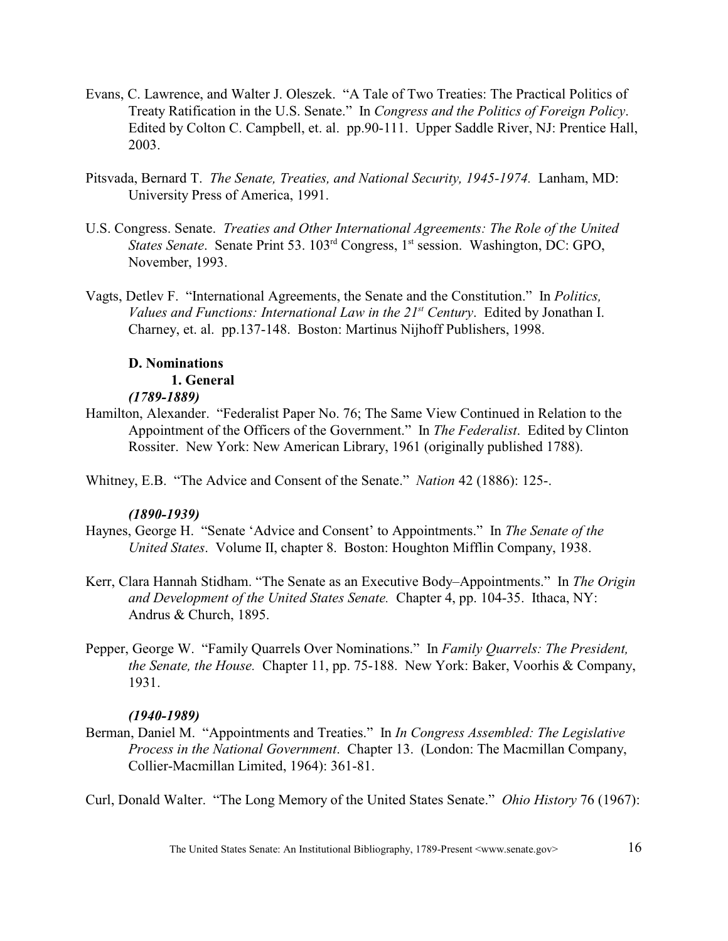- Evans, C. Lawrence, and Walter J. Oleszek. "A Tale of Two Treaties: The Practical Politics of Treaty Ratification in the U.S. Senate." In *Congress and the Politics of Foreign Policy*. Edited by Colton C. Campbell, et. al. pp.90-111. Upper Saddle River, NJ: Prentice Hall, 2003.
- Pitsvada, Bernard T. *The Senate, Treaties, and National Security, 1945-1974.* Lanham, MD: University Press of America, 1991.
- U.S. Congress. Senate. *Treaties and Other International Agreements: The Role of the United States Senate.* Senate Print 53. 103<sup>rd</sup> Congress, 1<sup>st</sup> session. Washington, DC: GPO, November, 1993.
- Vagts, Detlev F. "International Agreements, the Senate and the Constitution." In *Politics, Values and Functions: International Law in the 21<sup>st</sup> Century. Edited by Jonathan I.* Charney, et. al. pp.137-148. Boston: Martinus Nijhoff Publishers, 1998.

## **D. Nominations**

## **1. General**

## *(1789-1889)*

Hamilton, Alexander. "Federalist Paper No. 76; The Same View Continued in Relation to the Appointment of the Officers of the Government." In *The Federalist*. Edited by Clinton Rossiter. New York: New American Library, 1961 (originally published 1788).

Whitney, E.B. "The Advice and Consent of the Senate." *Nation* 42 (1886): 125-.

## *(1890-1939)*

- Haynes, George H. "Senate 'Advice and Consent' to Appointments." In *The Senate of the United States*. Volume II, chapter 8. Boston: Houghton Mifflin Company, 1938.
- Kerr, Clara Hannah Stidham. "The Senate as an Executive Body–Appointments." In *The Origin and Development of the United States Senate.* Chapter 4, pp. 104-35. Ithaca, NY: Andrus & Church, 1895.
- Pepper, George W. "Family Quarrels Over Nominations." In *Family Quarrels: The President, the Senate, the House.* Chapter 11, pp. 75-188. New York: Baker, Voorhis & Company, 1931.

## *(1940-1989)*

Berman, Daniel M. "Appointments and Treaties." In *In Congress Assembled: The Legislative Process in the National Government*. Chapter 13. (London: The Macmillan Company, Collier-Macmillan Limited, 1964): 361-81.

Curl, Donald Walter. "The Long Memory of the United States Senate." *Ohio History* 76 (1967):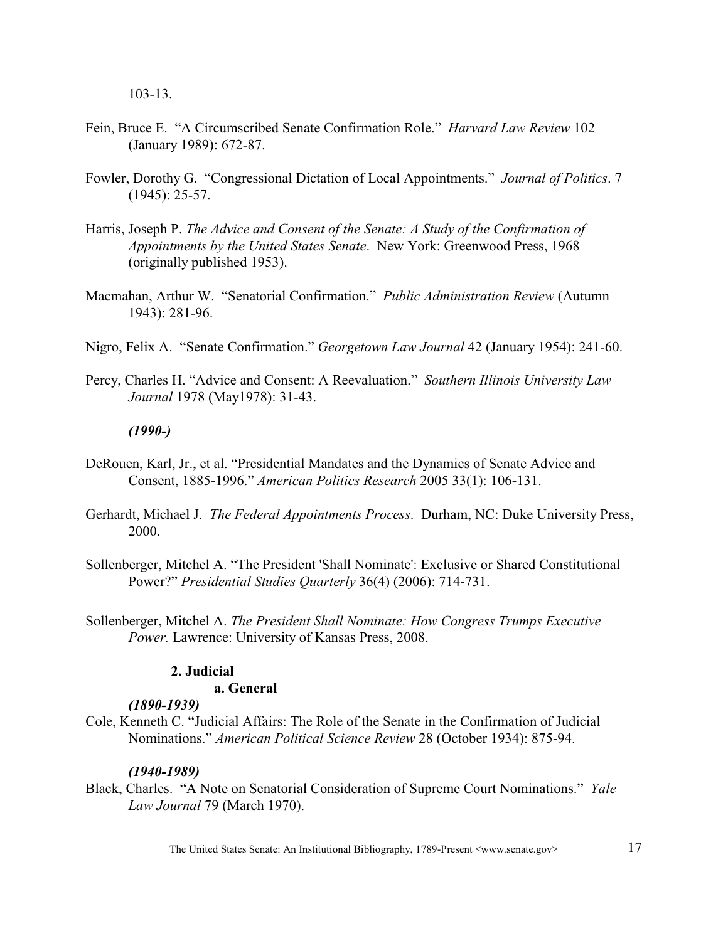103-13.

- Fein, Bruce E. "A Circumscribed Senate Confirmation Role." *Harvard Law Review* 102 (January 1989): 672-87.
- Fowler, Dorothy G. "Congressional Dictation of Local Appointments." *Journal of Politics*. 7 (1945): 25-57.
- Harris, Joseph P. *The Advice and Consent of the Senate: A Study of the Confirmation of Appointments by the United States Senate*. New York: Greenwood Press, 1968 (originally published 1953).
- Macmahan, Arthur W. "Senatorial Confirmation." *Public Administration Review* (Autumn 1943): 281-96.
- Nigro, Felix A. "Senate Confirmation." *Georgetown Law Journal* 42 (January 1954): 241-60.
- Percy, Charles H. "Advice and Consent: A Reevaluation." *Southern Illinois University Law Journal* 1978 (May1978): 31-43.

## *(1990-)*

- DeRouen, Karl, Jr., et al. "Presidential Mandates and the Dynamics of Senate Advice and Consent, 1885-1996." *American Politics Research* 2005 33(1): 106-131.
- Gerhardt, Michael J. *The Federal Appointments Process*. Durham, NC: Duke University Press, 2000.
- Sollenberger, Mitchel A. "The President 'Shall Nominate': Exclusive or Shared Constitutional Power?" *Presidential Studies Quarterly* 36(4) (2006): 714-731.
- Sollenberger, Mitchel A. *The President Shall Nominate: How Congress Trumps Executive Power.* Lawrence: University of Kansas Press, 2008.

## **2. Judicial**

## **a. General**

## *(1890-1939)*

Cole, Kenneth C. "Judicial Affairs: The Role of the Senate in the Confirmation of Judicial Nominations." *American Political Science Review* 28 (October 1934): 875-94.

## *(1940-1989)*

Black, Charles. "A Note on Senatorial Consideration of Supreme Court Nominations." *Yale Law Journal* 79 (March 1970).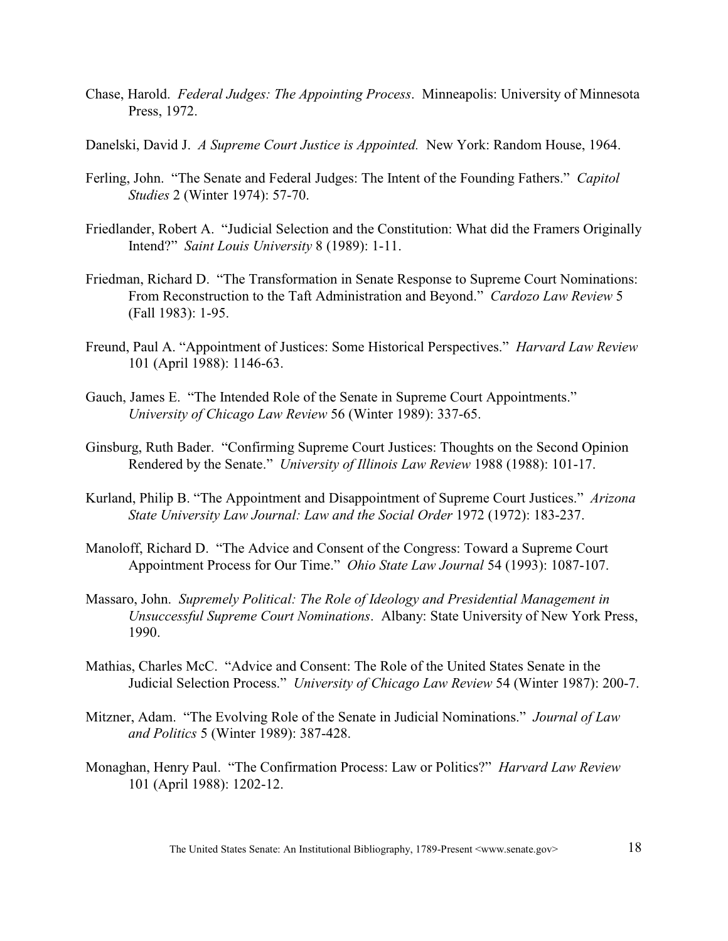- Chase, Harold. *Federal Judges: The Appointing Process*. Minneapolis: University of Minnesota Press, 1972.
- Danelski, David J. *A Supreme Court Justice is Appointed.* New York: Random House, 1964.
- Ferling, John. "The Senate and Federal Judges: The Intent of the Founding Fathers." *Capitol Studies* 2 (Winter 1974): 57-70.
- Friedlander, Robert A. "Judicial Selection and the Constitution: What did the Framers Originally Intend?" *Saint Louis University* 8 (1989): 1-11.
- Friedman, Richard D. "The Transformation in Senate Response to Supreme Court Nominations: From Reconstruction to the Taft Administration and Beyond." *Cardozo Law Review* 5 (Fall 1983): 1-95.
- Freund, Paul A. "Appointment of Justices: Some Historical Perspectives." *Harvard Law Review* 101 (April 1988): 1146-63.
- Gauch, James E. "The Intended Role of the Senate in Supreme Court Appointments." *University of Chicago Law Review* 56 (Winter 1989): 337-65.
- Ginsburg, Ruth Bader. "Confirming Supreme Court Justices: Thoughts on the Second Opinion Rendered by the Senate." *University of Illinois Law Review* 1988 (1988): 101-17.
- Kurland, Philip B. "The Appointment and Disappointment of Supreme Court Justices." *Arizona State University Law Journal: Law and the Social Order* 1972 (1972): 183-237.
- Manoloff, Richard D. "The Advice and Consent of the Congress: Toward a Supreme Court Appointment Process for Our Time." *Ohio State Law Journal* 54 (1993): 1087-107.
- Massaro, John. *Supremely Political: The Role of Ideology and Presidential Management in Unsuccessful Supreme Court Nominations*. Albany: State University of New York Press, 1990.
- Mathias, Charles McC. "Advice and Consent: The Role of the United States Senate in the Judicial Selection Process." *University of Chicago Law Review* 54 (Winter 1987): 200-7.
- Mitzner, Adam. "The Evolving Role of the Senate in Judicial Nominations." *Journal of Law and Politics* 5 (Winter 1989): 387-428.
- Monaghan, Henry Paul. "The Confirmation Process: Law or Politics?" *Harvard Law Review* 101 (April 1988): 1202-12.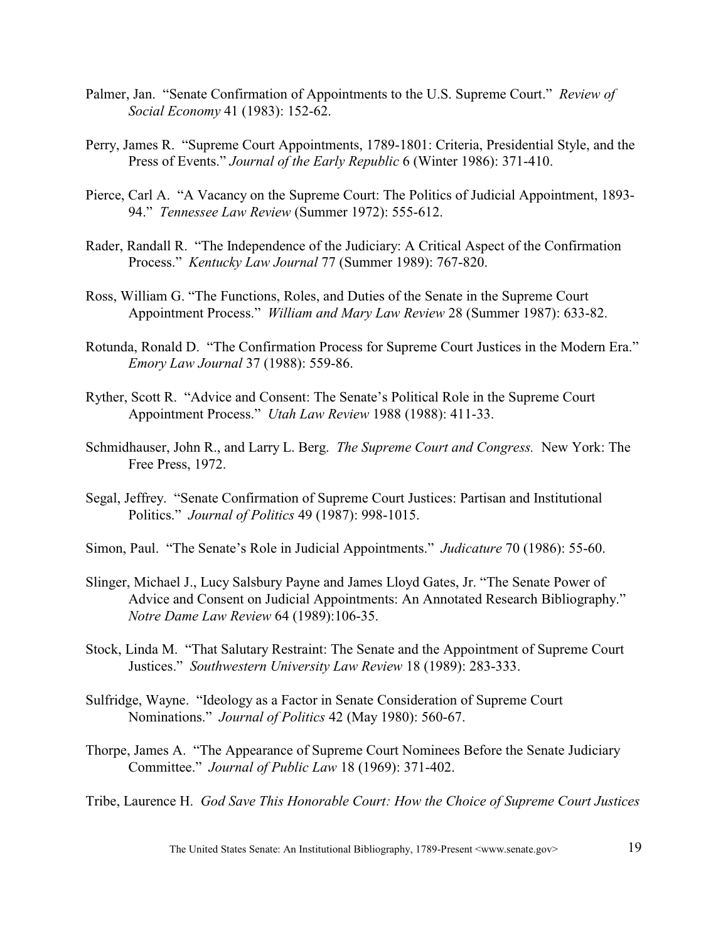- Palmer, Jan. "Senate Confirmation of Appointments to the U.S. Supreme Court." *Review of Social Economy* 41 (1983): 152-62.
- Perry, James R. "Supreme Court Appointments, 1789-1801: Criteria, Presidential Style, and the Press of Events." *Journal of the Early Republic* 6 (Winter 1986): 371-410.
- Pierce, Carl A. "A Vacancy on the Supreme Court: The Politics of Judicial Appointment, 1893- 94." *Tennessee Law Review* (Summer 1972): 555-612.
- Rader, Randall R. "The Independence of the Judiciary: A Critical Aspect of the Confirmation Process." *Kentucky Law Journal* 77 (Summer 1989): 767-820.
- Ross, William G. "The Functions, Roles, and Duties of the Senate in the Supreme Court Appointment Process." *William and Mary Law Review* 28 (Summer 1987): 633-82.
- Rotunda, Ronald D. "The Confirmation Process for Supreme Court Justices in the Modern Era." *Emory Law Journal* 37 (1988): 559-86.
- Ryther, Scott R. "Advice and Consent: The Senate's Political Role in the Supreme Court Appointment Process." *Utah Law Review* 1988 (1988): 411-33.
- Schmidhauser, John R., and Larry L. Berg. *The Supreme Court and Congress.* New York: The Free Press, 1972.
- Segal, Jeffrey. "Senate Confirmation of Supreme Court Justices: Partisan and Institutional Politics." *Journal of Politics* 49 (1987): 998-1015.
- Simon, Paul. "The Senate's Role in Judicial Appointments." *Judicature* 70 (1986): 55-60.
- Slinger, Michael J., Lucy Salsbury Payne and James Lloyd Gates, Jr. "The Senate Power of Advice and Consent on Judicial Appointments: An Annotated Research Bibliography." *Notre Dame Law Review* 64 (1989):106-35.
- Stock, Linda M. "That Salutary Restraint: The Senate and the Appointment of Supreme Court Justices." *Southwestern University Law Review* 18 (1989): 283-333.
- Sulfridge, Wayne. "Ideology as a Factor in Senate Consideration of Supreme Court Nominations." *Journal of Politics* 42 (May 1980): 560-67.
- Thorpe, James A. "The Appearance of Supreme Court Nominees Before the Senate Judiciary Committee." *Journal of Public Law* 18 (1969): 371-402.

Tribe, Laurence H. *God Save This Honorable Court: How the Choice of Supreme Court Justices*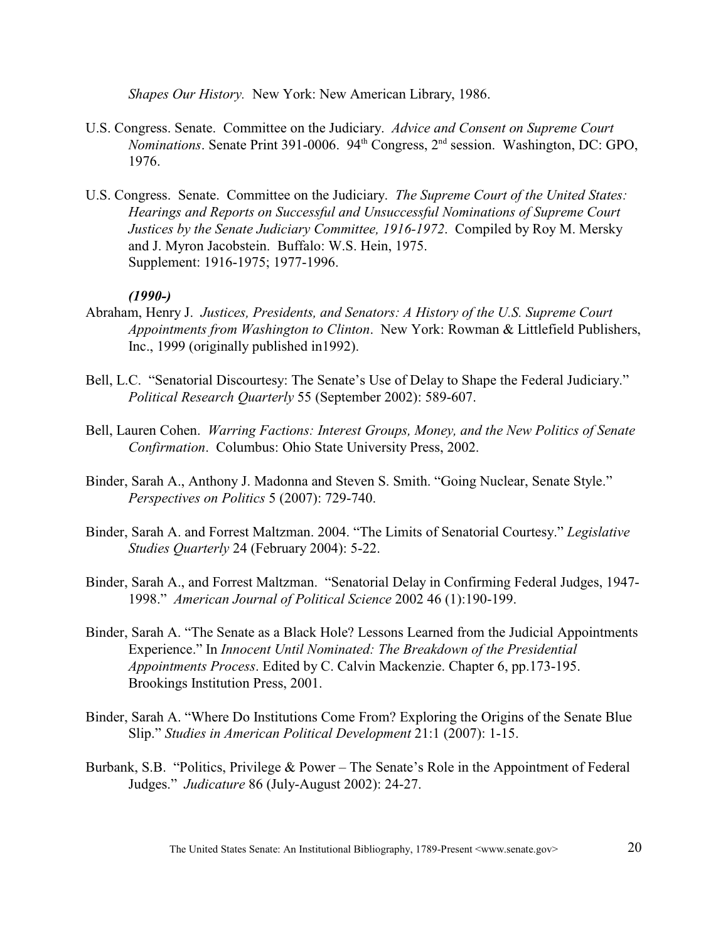*Shapes Our History.* New York: New American Library, 1986.

- U.S. Congress. Senate. Committee on the Judiciary. *Advice and Consent on Supreme Court Nominations*. Senate Print 391-0006. 94<sup>th</sup> Congress, 2<sup>nd</sup> session. Washington, DC: GPO, 1976.
- U.S. Congress. Senate. Committee on the Judiciary. *The Supreme Court of the United States: Hearings and Reports on Successful and Unsuccessful Nominations of Supreme Court Justices by the Senate Judiciary Committee, 1916-1972*. Compiled by Roy M. Mersky and J. Myron Jacobstein. Buffalo: W.S. Hein, 1975. Supplement: 1916-1975; 1977-1996.

#### *(1990-)*

- Abraham, Henry J. *Justices, Presidents, and Senators: A History of the U.S. Supreme Court Appointments from Washington to Clinton*. New York: Rowman & Littlefield Publishers, Inc., 1999 (originally published in1992).
- Bell, L.C. "Senatorial Discourtesy: The Senate's Use of Delay to Shape the Federal Judiciary." *Political Research Quarterly* 55 (September 2002): 589-607.
- Bell, Lauren Cohen. *Warring Factions: Interest Groups, Money, and the New Politics of Senate Confirmation*. Columbus: Ohio State University Press, 2002.
- Binder, Sarah A., Anthony J. Madonna and Steven S. Smith. "Going Nuclear, Senate Style." *Perspectives on Politics* 5 (2007): 729-740.
- Binder, Sarah A. and Forrest Maltzman. 2004. "The Limits of Senatorial Courtesy." *Legislative Studies Quarterly* 24 (February 2004): 5-22.
- Binder, Sarah A., and Forrest Maltzman. "Senatorial Delay in Confirming Federal Judges, 1947- 1998." *American Journal of Political Science* 2002 46 (1):190-199.
- Binder, Sarah A. "The Senate as a Black Hole? Lessons Learned from the Judicial Appointments Experience." In *Innocent Until Nominated: The Breakdown of the Presidential Appointments Process*. Edited by C. Calvin Mackenzie. Chapter 6, pp.173-195. Brookings Institution Press, 2001.
- Binder, Sarah A. "Where Do Institutions Come From? Exploring the Origins of the Senate Blue Slip." *Studies in American Political Development* 21:1 (2007): 1-15.
- Burbank, S.B. "Politics, Privilege & Power The Senate's Role in the Appointment of Federal Judges." *Judicature* 86 (July-August 2002): 24-27.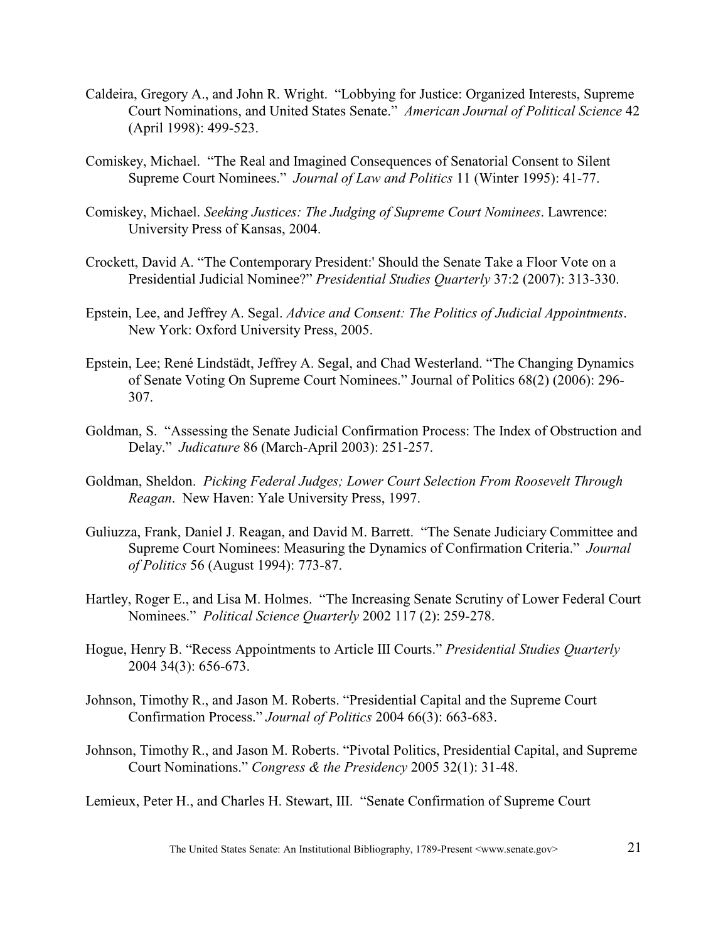- Caldeira, Gregory A., and John R. Wright. "Lobbying for Justice: Organized Interests, Supreme Court Nominations, and United States Senate." *American Journal of Political Science* 42 (April 1998): 499-523.
- Comiskey, Michael. "The Real and Imagined Consequences of Senatorial Consent to Silent Supreme Court Nominees." *Journal of Law and Politics* 11 (Winter 1995): 41-77.
- Comiskey, Michael. *Seeking Justices: The Judging of Supreme Court Nominees*. Lawrence: University Press of Kansas, 2004.
- Crockett, David A. "The Contemporary President:' Should the Senate Take a Floor Vote on a Presidential Judicial Nominee?" *Presidential Studies Quarterly* 37:2 (2007): 313-330.
- Epstein, Lee, and Jeffrey A. Segal. *Advice and Consent: The Politics of Judicial Appointments*. New York: Oxford University Press, 2005.
- Epstein, Lee; René Lindstädt, Jeffrey A. Segal, and Chad Westerland. "The Changing Dynamics of Senate Voting On Supreme Court Nominees." Journal of Politics 68(2) (2006): 296- 307.
- Goldman, S. "Assessing the Senate Judicial Confirmation Process: The Index of Obstruction and Delay." *Judicature* 86 (March-April 2003): 251-257.
- Goldman, Sheldon. *Picking Federal Judges; Lower Court Selection From Roosevelt Through Reagan*. New Haven: Yale University Press, 1997.
- Guliuzza, Frank, Daniel J. Reagan, and David M. Barrett. "The Senate Judiciary Committee and Supreme Court Nominees: Measuring the Dynamics of Confirmation Criteria." *Journal of Politics* 56 (August 1994): 773-87.
- Hartley, Roger E., and Lisa M. Holmes. "The Increasing Senate Scrutiny of Lower Federal Court Nominees." *Political Science Quarterly* 2002 117 (2): 259-278.
- Hogue, Henry B. "Recess Appointments to Article III Courts." *Presidential Studies Quarterly* 2004 34(3): 656-673.
- Johnson, Timothy R., and Jason M. Roberts. "Presidential Capital and the Supreme Court Confirmation Process." *Journal of Politics* 2004 66(3): 663-683.
- Johnson, Timothy R., and Jason M. Roberts. "Pivotal Politics, Presidential Capital, and Supreme Court Nominations." *Congress & the Presidency* 2005 32(1): 31-48.
- Lemieux, Peter H., and Charles H. Stewart, III. "Senate Confirmation of Supreme Court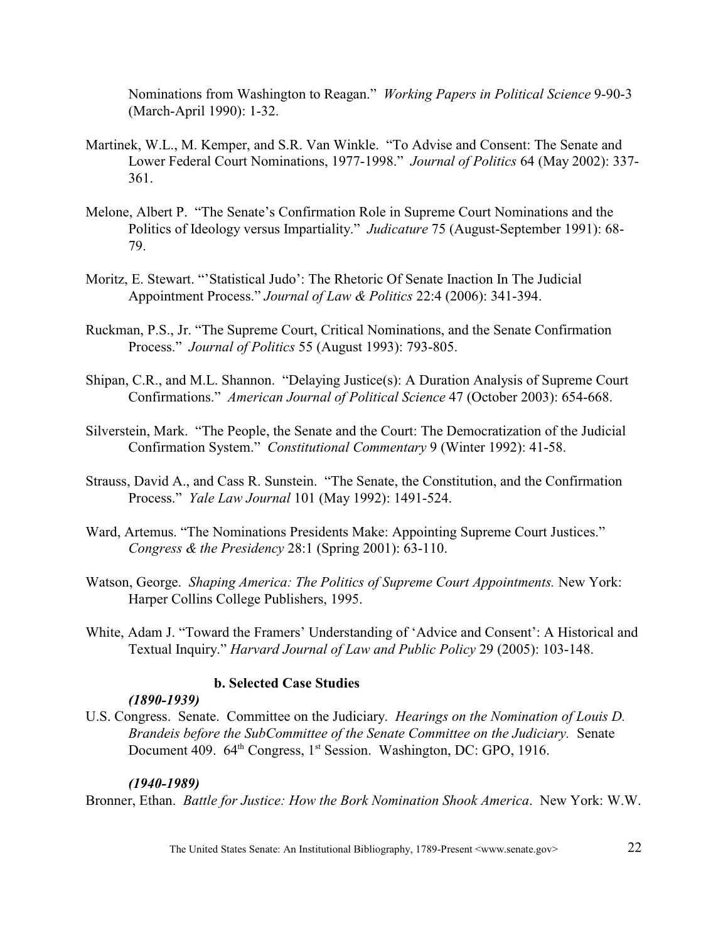Nominations from Washington to Reagan." *Working Papers in Political Science* 9-90-3 (March-April 1990): 1-32.

- Martinek, W.L., M. Kemper, and S.R. Van Winkle. "To Advise and Consent: The Senate and Lower Federal Court Nominations, 1977-1998." *Journal of Politics* 64 (May 2002): 337- 361.
- Melone, Albert P. "The Senate's Confirmation Role in Supreme Court Nominations and the Politics of Ideology versus Impartiality." *Judicature* 75 (August-September 1991): 68- 79.
- Moritz, E. Stewart. "'Statistical Judo': The Rhetoric Of Senate Inaction In The Judicial Appointment Process." *Journal of Law & Politics* 22:4 (2006): 341-394.
- Ruckman, P.S., Jr. "The Supreme Court, Critical Nominations, and the Senate Confirmation Process." *Journal of Politics* 55 (August 1993): 793-805.
- Shipan, C.R., and M.L. Shannon. "Delaying Justice(s): A Duration Analysis of Supreme Court Confirmations." *American Journal of Political Science* 47 (October 2003): 654-668.
- Silverstein, Mark. "The People, the Senate and the Court: The Democratization of the Judicial Confirmation System." *Constitutional Commentary* 9 (Winter 1992): 41-58.
- Strauss, David A., and Cass R. Sunstein. "The Senate, the Constitution, and the Confirmation Process." *Yale Law Journal* 101 (May 1992): 1491-524.
- Ward, Artemus. "The Nominations Presidents Make: Appointing Supreme Court Justices." *Congress & the Presidency* 28:1 (Spring 2001): 63-110.
- Watson, George. *Shaping America: The Politics of Supreme Court Appointments.* New York: Harper Collins College Publishers, 1995.
- White, Adam J. "Toward the Framers' Understanding of 'Advice and Consent': A Historical and Textual Inquiry." *Harvard Journal of Law and Public Policy* 29 (2005): 103-148.

## **b. Selected Case Studies**

## *(1890-1939)*

U.S. Congress. Senate. Committee on the Judiciary. *Hearings on the Nomination of Louis D. Brandeis before the SubCommittee of the Senate Committee on the Judiciary.* Senate Document 409. 64<sup>th</sup> Congress, 1<sup>st</sup> Session. Washington, DC: GPO, 1916.

## *(1940-1989)*

Bronner, Ethan. *Battle for Justice: How the Bork Nomination Shook America*. New York: W.W.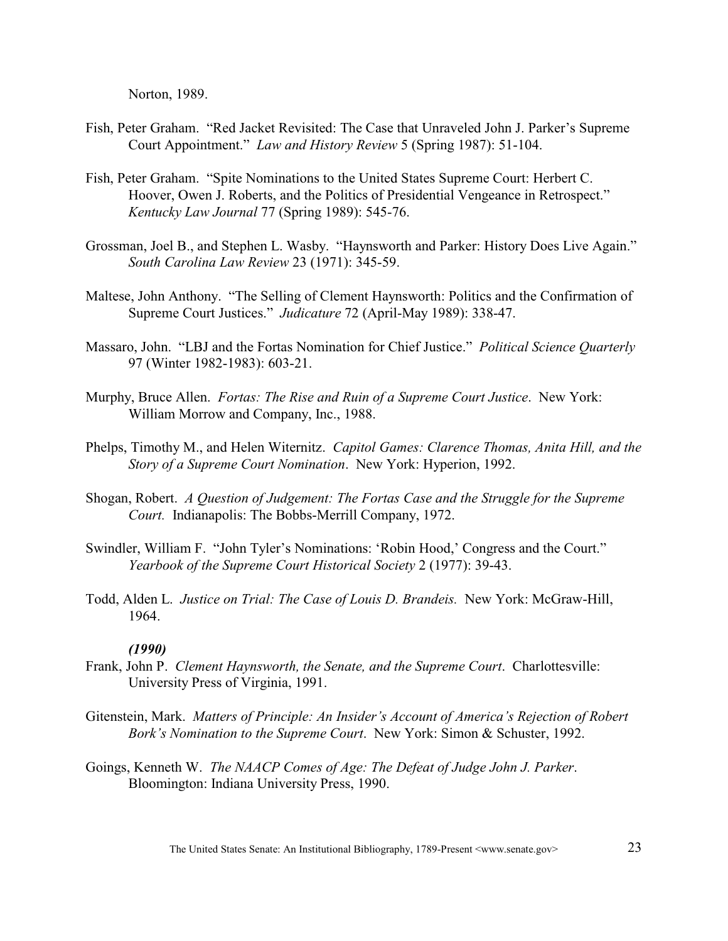Norton, 1989.

- Fish, Peter Graham. "Red Jacket Revisited: The Case that Unraveled John J. Parker's Supreme Court Appointment." *Law and History Review* 5 (Spring 1987): 51-104.
- Fish, Peter Graham. "Spite Nominations to the United States Supreme Court: Herbert C. Hoover, Owen J. Roberts, and the Politics of Presidential Vengeance in Retrospect." *Kentucky Law Journal* 77 (Spring 1989): 545-76.
- Grossman, Joel B., and Stephen L. Wasby. "Haynsworth and Parker: History Does Live Again." *South Carolina Law Review* 23 (1971): 345-59.
- Maltese, John Anthony. "The Selling of Clement Haynsworth: Politics and the Confirmation of Supreme Court Justices." *Judicature* 72 (April-May 1989): 338-47.
- Massaro, John. "LBJ and the Fortas Nomination for Chief Justice." *Political Science Quarterly*  97 (Winter 1982-1983): 603-21.
- Murphy, Bruce Allen. *Fortas: The Rise and Ruin of a Supreme Court Justice*. New York: William Morrow and Company, Inc., 1988.
- Phelps, Timothy M., and Helen Witernitz. *Capitol Games: Clarence Thomas, Anita Hill, and the Story of a Supreme Court Nomination*. New York: Hyperion, 1992.
- Shogan, Robert. *A Question of Judgement: The Fortas Case and the Struggle for the Supreme Court.* Indianapolis: The Bobbs-Merrill Company, 1972.
- Swindler, William F. "John Tyler's Nominations: 'Robin Hood,' Congress and the Court." *Yearbook of the Supreme Court Historical Society* 2 (1977): 39-43.
- Todd, Alden L. *Justice on Trial: The Case of Louis D. Brandeis.* New York: McGraw-Hill, 1964.

#### *(1990)*

- Frank, John P. *Clement Haynsworth, the Senate, and the Supreme Court*. Charlottesville: University Press of Virginia, 1991.
- Gitenstein, Mark. *Matters of Principle: An Insider's Account of America's Rejection of Robert Bork's Nomination to the Supreme Court*. New York: Simon & Schuster, 1992.
- Goings, Kenneth W. *The NAACP Comes of Age: The Defeat of Judge John J. Parker*. Bloomington: Indiana University Press, 1990.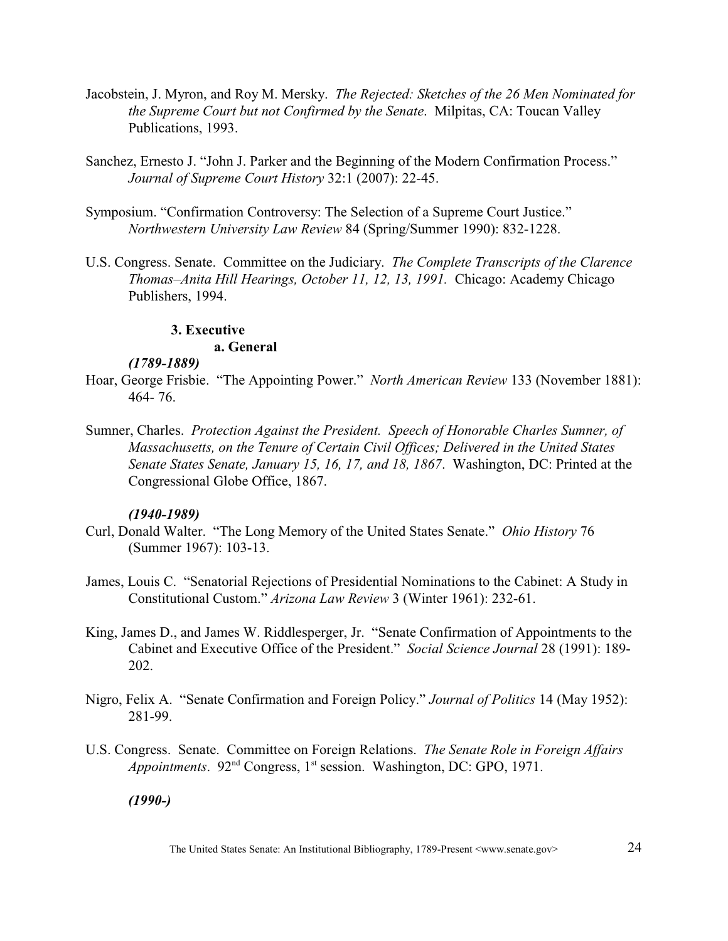- Jacobstein, J. Myron, and Roy M. Mersky. *The Rejected: Sketches of the 26 Men Nominated for the Supreme Court but not Confirmed by the Senate*. Milpitas, CA: Toucan Valley Publications, 1993.
- Sanchez, Ernesto J. "John J. Parker and the Beginning of the Modern Confirmation Process." *Journal of Supreme Court History* 32:1 (2007): 22-45.
- Symposium. "Confirmation Controversy: The Selection of a Supreme Court Justice." *Northwestern University Law Review* 84 (Spring/Summer 1990): 832-1228.
- U.S. Congress. Senate. Committee on the Judiciary. *The Complete Transcripts of the Clarence Thomas–Anita Hill Hearings, October 11, 12, 13, 1991.* Chicago: Academy Chicago Publishers, 1994.

## **3. Executive**

## **a. General**

## *(1789-1889)*

- Hoar, George Frisbie. "The Appointing Power." *North American Review* 133 (November 1881): 464- 76.
- Sumner, Charles. *Protection Against the President. Speech of Honorable Charles Sumner, of Massachusetts, on the Tenure of Certain Civil Offices; Delivered in the United States Senate States Senate, January 15, 16, 17, and 18, 1867*. Washington, DC: Printed at the Congressional Globe Office, 1867.

## *(1940-1989)*

- Curl, Donald Walter. "The Long Memory of the United States Senate." *Ohio History* 76 (Summer 1967): 103-13.
- James, Louis C. "Senatorial Rejections of Presidential Nominations to the Cabinet: A Study in Constitutional Custom." *Arizona Law Review* 3 (Winter 1961): 232-61.
- King, James D., and James W. Riddlesperger, Jr. "Senate Confirmation of Appointments to the Cabinet and Executive Office of the President." *Social Science Journal* 28 (1991): 189- 202.
- Nigro, Felix A. "Senate Confirmation and Foreign Policy." *Journal of Politics* 14 (May 1952): 281-99.
- U.S. Congress. Senate. Committee on Foreign Relations. *The Senate Role in Foreign Affairs Appointments.* 92<sup>nd</sup> Congress, 1<sup>st</sup> session. Washington, DC: GPO, 1971.

## *(1990-)*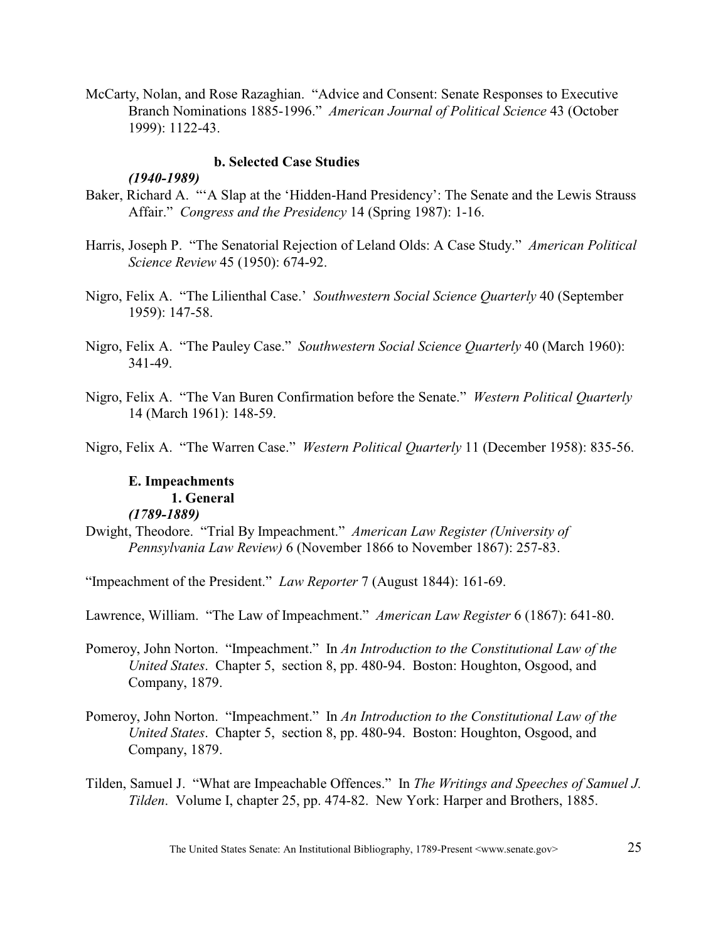McCarty, Nolan, and Rose Razaghian. "Advice and Consent: Senate Responses to Executive Branch Nominations 1885-1996." *American Journal of Political Science* 43 (October 1999): 1122-43.

#### **b. Selected Case Studies**

## *(1940-1989)*

- Baker, Richard A. "'A Slap at the 'Hidden-Hand Presidency': The Senate and the Lewis Strauss Affair." *Congress and the Presidency* 14 (Spring 1987): 1-16.
- Harris, Joseph P. "The Senatorial Rejection of Leland Olds: A Case Study." *American Political Science Review* 45 (1950): 674-92.
- Nigro, Felix A. "The Lilienthal Case.' *Southwestern Social Science Quarterly* 40 (September 1959): 147-58.
- Nigro, Felix A. "The Pauley Case." *Southwestern Social Science Quarterly* 40 (March 1960): 341-49.
- Nigro, Felix A. "The Van Buren Confirmation before the Senate." *Western Political Quarterly* 14 (March 1961): 148-59.

Nigro, Felix A. "The Warren Case." *Western Political Quarterly* 11 (December 1958): 835-56.

# **E. Impeachments 1. General**

## *(1789-1889)*

Dwight, Theodore. "Trial By Impeachment." *American Law Register (University of Pennsylvania Law Review)* 6 (November 1866 to November 1867): 257-83.

"Impeachment of the President." *Law Reporter* 7 (August 1844): 161-69.

Lawrence, William. "The Law of Impeachment." *American Law Register* 6 (1867): 641-80.

Pomeroy, John Norton. "Impeachment." In *An Introduction to the Constitutional Law of the United States*. Chapter 5, section 8, pp. 480-94. Boston: Houghton, Osgood, and Company, 1879.

- Pomeroy, John Norton. "Impeachment." In *An Introduction to the Constitutional Law of the United States*. Chapter 5, section 8, pp. 480-94. Boston: Houghton, Osgood, and Company, 1879.
- Tilden, Samuel J. "What are Impeachable Offences." In *The Writings and Speeches of Samuel J. Tilden*. Volume I, chapter 25, pp. 474-82. New York: Harper and Brothers, 1885.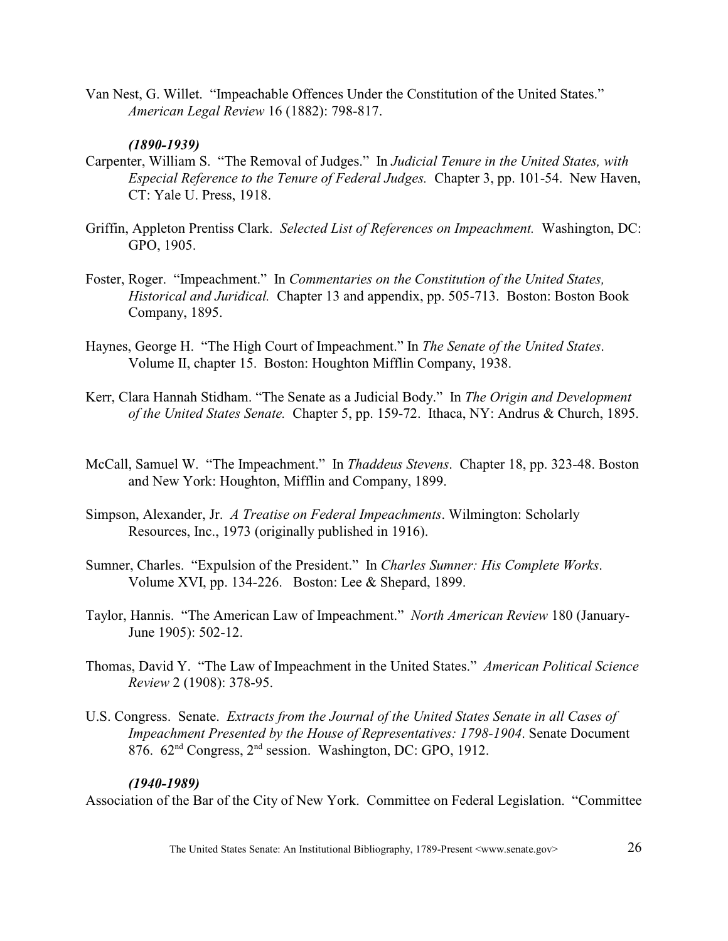Van Nest, G. Willet. "Impeachable Offences Under the Constitution of the United States." *American Legal Review* 16 (1882): 798-817.

## *(1890-1939)*

- Carpenter, William S. "The Removal of Judges." In *Judicial Tenure in the United States, with Especial Reference to the Tenure of Federal Judges.* Chapter 3, pp. 101-54. New Haven, CT: Yale U. Press, 1918.
- Griffin, Appleton Prentiss Clark. *Selected List of References on Impeachment.* Washington, DC: GPO, 1905.
- Foster, Roger. "Impeachment." In *Commentaries on the Constitution of the United States, Historical and Juridical.* Chapter 13 and appendix, pp. 505-713. Boston: Boston Book Company, 1895.
- Haynes, George H. "The High Court of Impeachment." In *The Senate of the United States*. Volume II, chapter 15. Boston: Houghton Mifflin Company, 1938.
- Kerr, Clara Hannah Stidham. "The Senate as a Judicial Body." In *The Origin and Development of the United States Senate.* Chapter 5, pp. 159-72. Ithaca, NY: Andrus & Church, 1895.
- McCall, Samuel W. "The Impeachment." In *Thaddeus Stevens*. Chapter 18, pp. 323-48. Boston and New York: Houghton, Mifflin and Company, 1899.
- Simpson, Alexander, Jr. *A Treatise on Federal Impeachments*. Wilmington: Scholarly Resources, Inc., 1973 (originally published in 1916).
- Sumner, Charles. "Expulsion of the President." In *Charles Sumner: His Complete Works*. Volume XVI, pp. 134-226. Boston: Lee & Shepard, 1899.
- Taylor, Hannis. "The American Law of Impeachment." *North American Review* 180 (January-June 1905): 502-12.
- Thomas, David Y. "The Law of Impeachment in the United States." *American Political Science Review* 2 (1908): 378-95.
- U.S. Congress. Senate. *Extracts from the Journal of the United States Senate in all Cases of Impeachment Presented by the House of Representatives: 1798-1904*. Senate Document 876.  $62<sup>nd</sup> Congress, 2<sup>nd</sup> session. Washington, DC: GPO, 1912.$

#### *(1940-1989)*

Association of the Bar of the City of New York. Committee on Federal Legislation. "Committee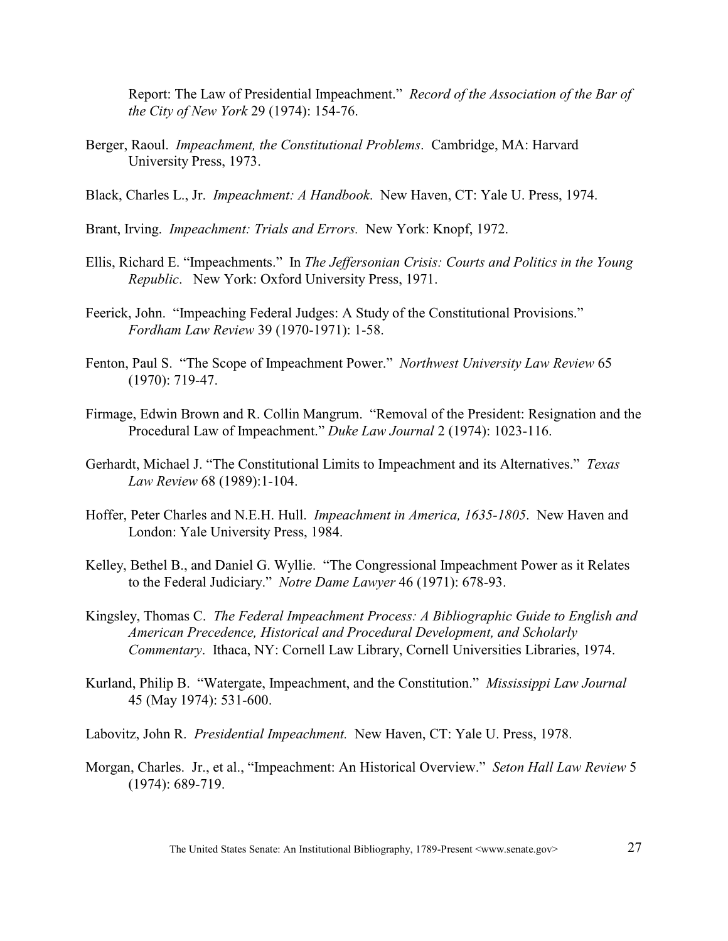Report: The Law of Presidential Impeachment." *Record of the Association of the Bar of the City of New York* 29 (1974): 154-76.

- Berger, Raoul. *Impeachment, the Constitutional Problems*. Cambridge, MA: Harvard University Press, 1973.
- Black, Charles L., Jr. *Impeachment: A Handbook*. New Haven, CT: Yale U. Press, 1974.
- Brant, Irving. *Impeachment: Trials and Errors.* New York: Knopf, 1972.
- Ellis, Richard E. "Impeachments." In *The Jeffersonian Crisis: Courts and Politics in the Young Republic*. New York: Oxford University Press, 1971.
- Feerick, John. "Impeaching Federal Judges: A Study of the Constitutional Provisions." *Fordham Law Review* 39 (1970-1971): 1-58.
- Fenton, Paul S. "The Scope of Impeachment Power." *Northwest University Law Review* 65 (1970): 719-47.
- Firmage, Edwin Brown and R. Collin Mangrum. "Removal of the President: Resignation and the Procedural Law of Impeachment." *Duke Law Journal* 2 (1974): 1023-116.
- Gerhardt, Michael J. "The Constitutional Limits to Impeachment and its Alternatives." *Texas Law Review* 68 (1989):1-104.
- Hoffer, Peter Charles and N.E.H. Hull. *Impeachment in America, 1635-1805*. New Haven and London: Yale University Press, 1984.
- Kelley, Bethel B., and Daniel G. Wyllie. "The Congressional Impeachment Power as it Relates to the Federal Judiciary." *Notre Dame Lawyer* 46 (1971): 678-93.
- Kingsley, Thomas C. *The Federal Impeachment Process: A Bibliographic Guide to English and American Precedence, Historical and Procedural Development, and Scholarly Commentary*. Ithaca, NY: Cornell Law Library, Cornell Universities Libraries, 1974.
- Kurland, Philip B. "Watergate, Impeachment, and the Constitution." *Mississippi Law Journal* 45 (May 1974): 531-600.

Labovitz, John R. *Presidential Impeachment.* New Haven, CT: Yale U. Press, 1978.

Morgan, Charles. Jr., et al., "Impeachment: An Historical Overview." *Seton Hall Law Review* 5 (1974): 689-719.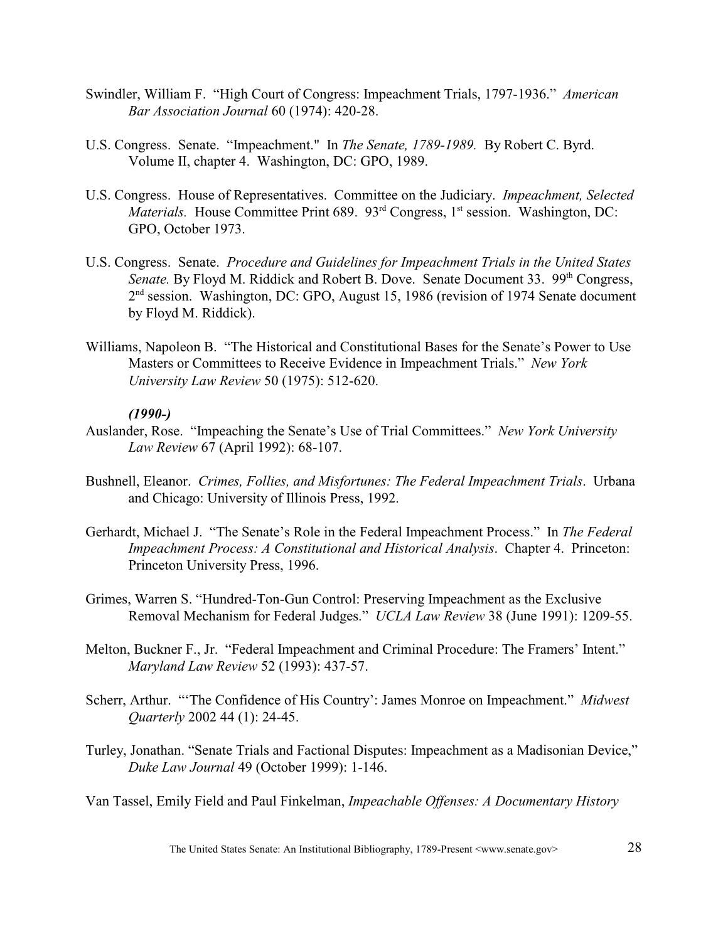- Swindler, William F. "High Court of Congress: Impeachment Trials, 1797-1936." *American Bar Association Journal* 60 (1974): 420-28.
- U.S. Congress. Senate. "Impeachment." In *The Senate, 1789-1989.* By Robert C. Byrd. Volume II, chapter 4. Washington, DC: GPO, 1989.
- U.S. Congress. House of Representatives. Committee on the Judiciary. *Impeachment, Selected Materials.* House Committee Print 689. 93<sup>rd</sup> Congress, 1<sup>st</sup> session. Washington, DC: GPO, October 1973.
- U.S. Congress. Senate. *Procedure and Guidelines for Impeachment Trials in the United States Senate.* By Floyd M. Riddick and Robert B. Dove. Senate Document 33. 99<sup>th</sup> Congress,  $2<sup>nd</sup>$  session. Washington, DC: GPO, August 15, 1986 (revision of 1974 Senate document by Floyd M. Riddick).
- Williams, Napoleon B. "The Historical and Constitutional Bases for the Senate's Power to Use Masters or Committees to Receive Evidence in Impeachment Trials." *New York University Law Review* 50 (1975): 512-620.

## *(1990-)*

- Auslander, Rose. "Impeaching the Senate's Use of Trial Committees." *New York University Law Review* 67 (April 1992): 68-107.
- Bushnell, Eleanor. *Crimes, Follies, and Misfortunes: The Federal Impeachment Trials*. Urbana and Chicago: University of Illinois Press, 1992.
- Gerhardt, Michael J. "The Senate's Role in the Federal Impeachment Process." In *The Federal Impeachment Process: A Constitutional and Historical Analysis*. Chapter 4. Princeton: Princeton University Press, 1996.
- Grimes, Warren S. "Hundred-Ton-Gun Control: Preserving Impeachment as the Exclusive Removal Mechanism for Federal Judges." *UCLA Law Review* 38 (June 1991): 1209-55.
- Melton, Buckner F., Jr. "Federal Impeachment and Criminal Procedure: The Framers' Intent." *Maryland Law Review* 52 (1993): 437-57.
- Scherr, Arthur. "'The Confidence of His Country': James Monroe on Impeachment." *Midwest Quarterly* 2002 44 (1): 24-45.
- Turley, Jonathan. "Senate Trials and Factional Disputes: Impeachment as a Madisonian Device," *Duke Law Journal* 49 (October 1999): 1-146.

Van Tassel, Emily Field and Paul Finkelman, *Impeachable Offenses: A Documentary History*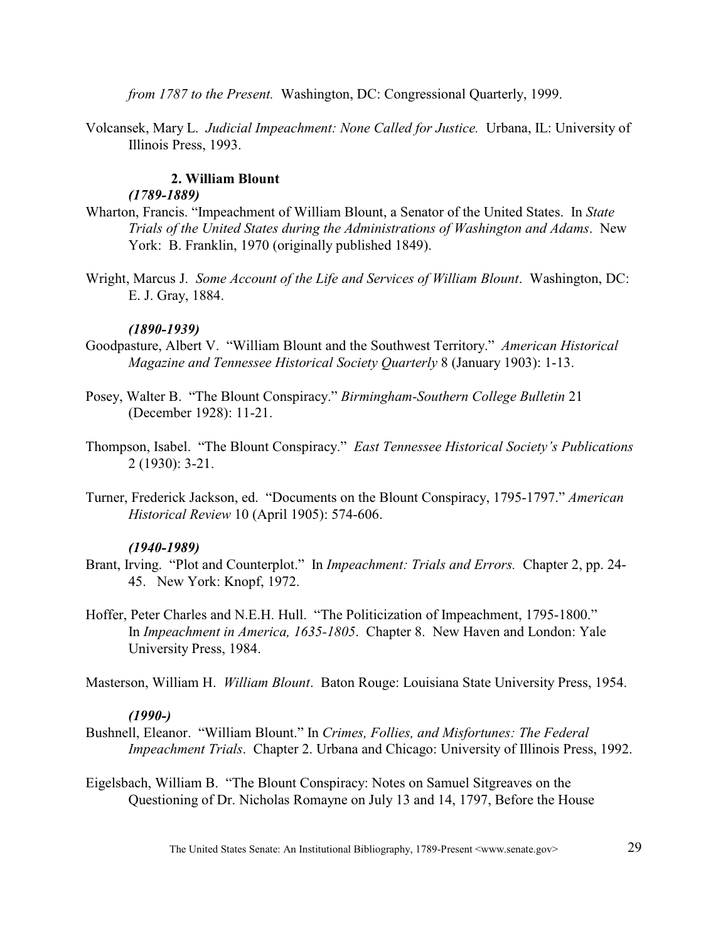*from 1787 to the Present.* Washington, DC: Congressional Quarterly, 1999.

Volcansek, Mary L. *Judicial Impeachment: None Called for Justice.* Urbana, IL: University of Illinois Press, 1993.

# **2. William Blount**

## *(1789-1889)*

- Wharton, Francis. "Impeachment of William Blount, a Senator of the United States. In *State Trials of the United States during the Administrations of Washington and Adams*. New York: B. Franklin, 1970 (originally published 1849).
- Wright, Marcus J. *Some Account of the Life and Services of William Blount*. Washington, DC: E. J. Gray, 1884.

## *(1890-1939)*

- Goodpasture, Albert V. "William Blount and the Southwest Territory." *American Historical Magazine and Tennessee Historical Society Quarterly* 8 (January 1903): 1-13.
- Posey, Walter B. "The Blount Conspiracy." *Birmingham-Southern College Bulletin* 21 (December 1928): 11-21.
- Thompson, Isabel. "The Blount Conspiracy."*East Tennessee Historical Society's Publications* 2 (1930): 3-21.
- Turner, Frederick Jackson, ed. "Documents on the Blount Conspiracy, 1795-1797." *American Historical Review* 10 (April 1905): 574-606.

## *(1940-1989)*

- Brant, Irving. "Plot and Counterplot." In *Impeachment: Trials and Errors.* Chapter 2, pp. 24- 45. New York: Knopf, 1972.
- Hoffer, Peter Charles and N.E.H. Hull. "The Politicization of Impeachment, 1795-1800." In *Impeachment in America, 1635-1805*. Chapter 8. New Haven and London: Yale University Press, 1984.

Masterson, William H. *William Blount*. Baton Rouge: Louisiana State University Press, 1954.

## *(1990-)*

- Bushnell, Eleanor. "William Blount." In *Crimes, Follies, and Misfortunes: The Federal Impeachment Trials*. Chapter 2. Urbana and Chicago: University of Illinois Press, 1992.
- Eigelsbach, William B. "The Blount Conspiracy: Notes on Samuel Sitgreaves on the Questioning of Dr. Nicholas Romayne on July 13 and 14, 1797, Before the House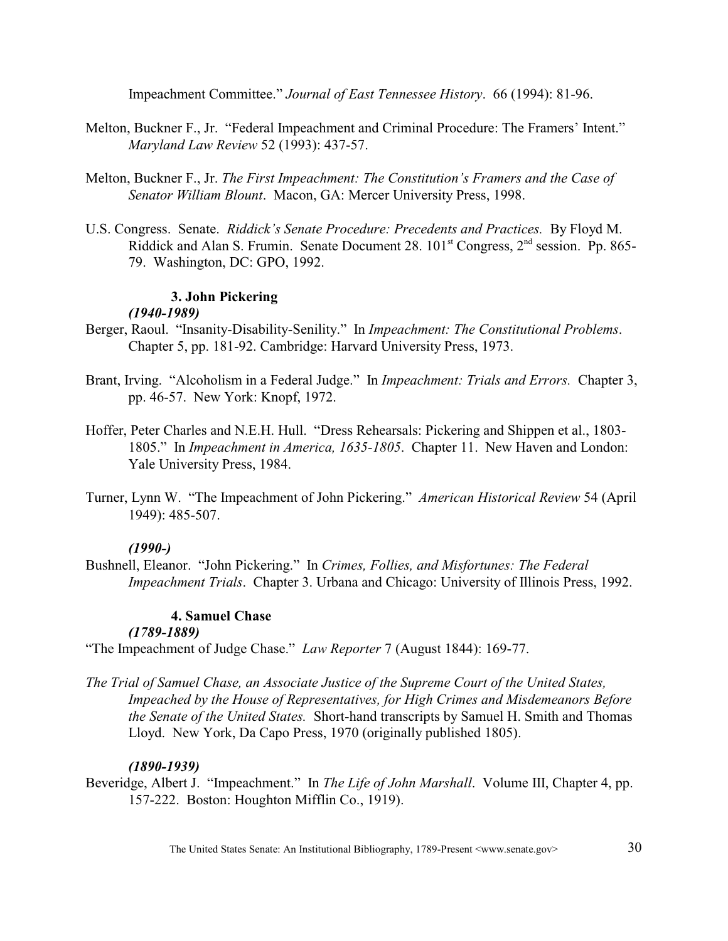Impeachment Committee." *Journal of East Tennessee History*. 66 (1994): 81-96.

- Melton, Buckner F., Jr. "Federal Impeachment and Criminal Procedure: The Framers' Intent." *Maryland Law Review* 52 (1993): 437-57.
- Melton, Buckner F., Jr. *The First Impeachment: The Constitution's Framers and the Case of Senator William Blount*. Macon, GA: Mercer University Press, 1998.
- U.S. Congress. Senate. *Riddick's Senate Procedure: Precedents and Practices.* By Floyd M. Riddick and Alan S. Frumin. Senate Document 28. 101<sup>st</sup> Congress, 2<sup>nd</sup> session. Pp. 865-79. Washington, DC: GPO, 1992.

# **3. John Pickering**

# *(1940-1989)*

- Berger, Raoul. "Insanity-Disability-Senility." In *Impeachment: The Constitutional Problems*. Chapter 5, pp. 181-92. Cambridge: Harvard University Press, 1973.
- Brant, Irving. "Alcoholism in a Federal Judge." In *Impeachment: Trials and Errors.* Chapter 3, pp. 46-57. New York: Knopf, 1972.
- Hoffer, Peter Charles and N.E.H. Hull. "Dress Rehearsals: Pickering and Shippen et al., 1803- 1805." In *Impeachment in America, 1635-1805*. Chapter 11. New Haven and London: Yale University Press, 1984.
- Turner, Lynn W. "The Impeachment of John Pickering." *American Historical Review* 54 (April 1949): 485-507.

## *(1990-)*

Bushnell, Eleanor. "John Pickering." In *Crimes, Follies, and Misfortunes: The Federal Impeachment Trials*. Chapter 3. Urbana and Chicago: University of Illinois Press, 1992.

# **4. Samuel Chase**

## *(1789-1889)*

"The Impeachment of Judge Chase." *Law Reporter* 7 (August 1844): 169-77.

*The Trial of Samuel Chase, an Associate Justice of the Supreme Court of the United States, Impeached by the House of Representatives, for High Crimes and Misdemeanors Before the Senate of the United States.* Short-hand transcripts by Samuel H. Smith and Thomas Lloyd. New York, Da Capo Press, 1970 (originally published 1805).

# *(1890-1939)*

Beveridge, Albert J. "Impeachment." In *The Life of John Marshall*. Volume III, Chapter 4, pp. 157-222. Boston: Houghton Mifflin Co., 1919).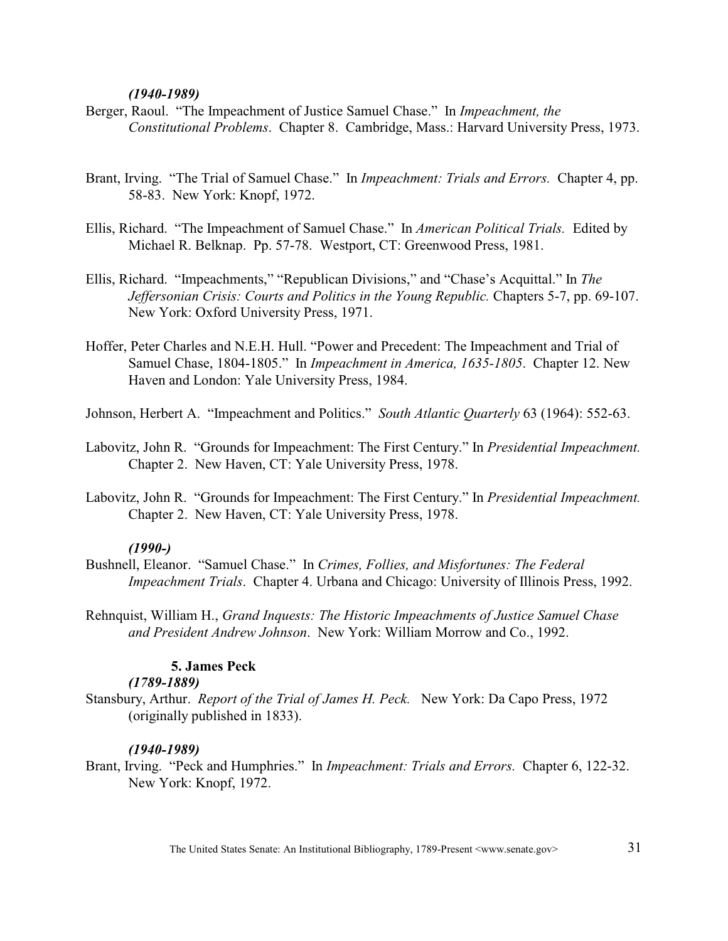#### *(1940-1989)*

- Berger, Raoul. "The Impeachment of Justice Samuel Chase." In *Impeachment, the Constitutional Problems*. Chapter 8. Cambridge, Mass.: Harvard University Press, 1973.
- Brant, Irving. "The Trial of Samuel Chase." In *Impeachment: Trials and Errors.* Chapter 4, pp. 58-83. New York: Knopf, 1972.
- Ellis, Richard. "The Impeachment of Samuel Chase." In *American Political Trials.* Edited by Michael R. Belknap. Pp. 57-78. Westport, CT: Greenwood Press, 1981.
- Ellis, Richard. "Impeachments," "Republican Divisions," and "Chase's Acquittal." In *The Jeffersonian Crisis: Courts and Politics in the Young Republic.* Chapters 5-7, pp. 69-107. New York: Oxford University Press, 1971.
- Hoffer, Peter Charles and N.E.H. Hull. "Power and Precedent: The Impeachment and Trial of Samuel Chase, 1804-1805." In *Impeachment in America, 1635-1805*. Chapter 12. New Haven and London: Yale University Press, 1984.

Johnson, Herbert A. "Impeachment and Politics." *South Atlantic Quarterly* 63 (1964): 552-63.

- Labovitz, John R. "Grounds for Impeachment: The First Century." In *Presidential Impeachment.* Chapter 2. New Haven, CT: Yale University Press, 1978.
- Labovitz, John R. "Grounds for Impeachment: The First Century." In *Presidential Impeachment.*  Chapter 2. New Haven, CT: Yale University Press, 1978.

### *(1990-)*

- Bushnell, Eleanor. "Samuel Chase." In *Crimes, Follies, and Misfortunes: The Federal Impeachment Trials*. Chapter 4. Urbana and Chicago: University of Illinois Press, 1992.
- Rehnquist, William H., *Grand Inquests: The Historic Impeachments of Justice Samuel Chase and President Andrew Johnson*. New York: William Morrow and Co., 1992.

# **5. James Peck**

## *(1789-1889)*

Stansbury, Arthur. *Report of the Trial of James H. Peck.* New York: Da Capo Press, 1972 (originally published in 1833).

#### *(1940-1989)*

Brant, Irving. "Peck and Humphries." In *Impeachment: Trials and Errors.* Chapter 6, 122-32. New York: Knopf, 1972.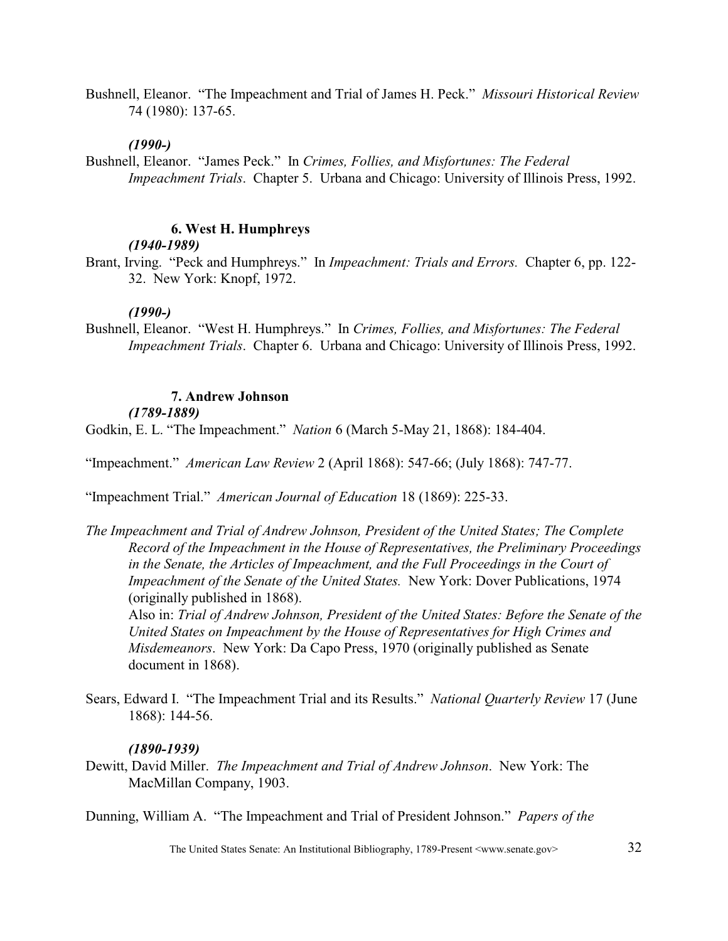Bushnell, Eleanor. "The Impeachment and Trial of James H. Peck." *Missouri Historical Review* 74 (1980): 137-65.

#### *(1990-)*

Bushnell, Eleanor. "James Peck." In *Crimes, Follies, and Misfortunes: The Federal Impeachment Trials.* Chapter 5. Urbana and Chicago: University of Illinois Press, 1992.

## **6. West H. Humphreys**

#### *(1940-1989)*

Brant, Irving. "Peck and Humphreys." In *Impeachment: Trials and Errors.* Chapter 6, pp. 122- 32. New York: Knopf, 1972.

#### *(1990-)*

Bushnell, Eleanor. "West H. Humphreys." In *Crimes, Follies, and Misfortunes: The Federal Impeachment Trials*. Chapter 6. Urbana and Chicago: University of Illinois Press, 1992.

## **7. Andrew Johnson**

*(1789-1889)*

Godkin, E. L. "The Impeachment." *Nation* 6 (March 5-May 21, 1868): 184-404.

"Impeachment." *American Law Review* 2 (April 1868): 547-66; (July 1868): 747-77.

"Impeachment Trial." *American Journal of Education* 18 (1869): 225-33.

*The Impeachment and Trial of Andrew Johnson, President of the United States; The Complete Record of the Impeachment in the House of Representatives, the Preliminary Proceedings in the Senate, the Articles of Impeachment, and the Full Proceedings in the Court of Impeachment of the Senate of the United States.* New York: Dover Publications, 1974 (originally published in 1868).

Also in: *Trial of Andrew Johnson, President of the United States: Before the Senate of the United States on Impeachment by the House of Representatives for High Crimes and Misdemeanors*. New York: Da Capo Press, 1970 (originally published as Senate document in 1868).

Sears, Edward I. "The Impeachment Trial and its Results." *National Quarterly Review* 17 (June 1868): 144-56.

#### *(1890-1939)*

Dewitt, David Miller. *The Impeachment and Trial of Andrew Johnson*. New York: The MacMillan Company, 1903.

Dunning, William A. "The Impeachment and Trial of President Johnson." *Papers of the*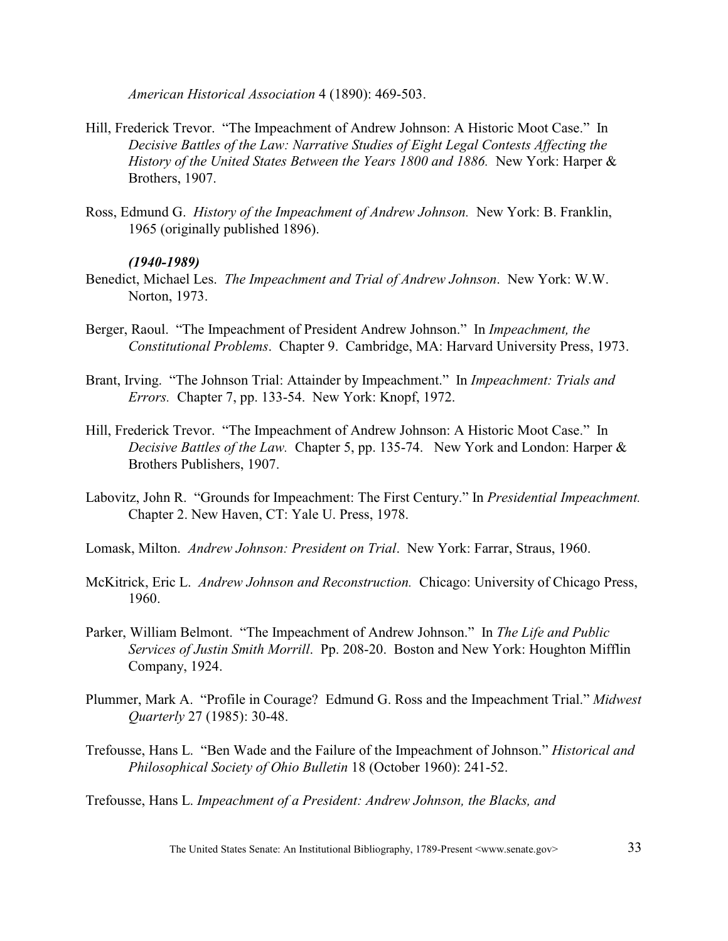*American Historical Association* 4 (1890): 469-503.

- Hill, Frederick Trevor. "The Impeachment of Andrew Johnson: A Historic Moot Case." In *Decisive Battles of the Law: Narrative Studies of Eight Legal Contests Affecting the History of the United States Between the Years 1800 and 1886.* New York: Harper & Brothers, 1907.
- Ross, Edmund G. *History of the Impeachment of Andrew Johnson.* New York: B. Franklin, 1965 (originally published 1896).

#### *(1940-1989)*

- Benedict, Michael Les. *The Impeachment and Trial of Andrew Johnson*. New York: W.W. Norton, 1973.
- Berger, Raoul. "The Impeachment of President Andrew Johnson." In *Impeachment, the Constitutional Problems*. Chapter 9. Cambridge, MA: Harvard University Press, 1973.
- Brant, Irving. "The Johnson Trial: Attainder by Impeachment." In *Impeachment: Trials and Errors.* Chapter 7, pp. 133-54. New York: Knopf, 1972.
- Hill, Frederick Trevor. "The Impeachment of Andrew Johnson: A Historic Moot Case." In *Decisive Battles of the Law.* Chapter 5, pp. 135-74. New York and London: Harper & Brothers Publishers, 1907.
- Labovitz, John R. "Grounds for Impeachment: The First Century." In *Presidential Impeachment.*  Chapter 2. New Haven, CT: Yale U. Press, 1978.
- Lomask, Milton. *Andrew Johnson: President on Trial*. New York: Farrar, Straus, 1960.
- McKitrick, Eric L. *Andrew Johnson and Reconstruction.* Chicago: University of Chicago Press, 1960.
- Parker, William Belmont. "The Impeachment of Andrew Johnson." In *The Life and Public Services of Justin Smith Morrill*. Pp. 208-20. Boston and New York: Houghton Mifflin Company, 1924.
- Plummer, Mark A. "Profile in Courage? Edmund G. Ross and the Impeachment Trial." *Midwest Quarterly* 27 (1985): 30-48.
- Trefousse, Hans L. "Ben Wade and the Failure of the Impeachment of Johnson." *Historical and Philosophical Society of Ohio Bulletin* 18 (October 1960): 241-52.

Trefousse, Hans L. *Impeachment of a President: Andrew Johnson, the Blacks, and*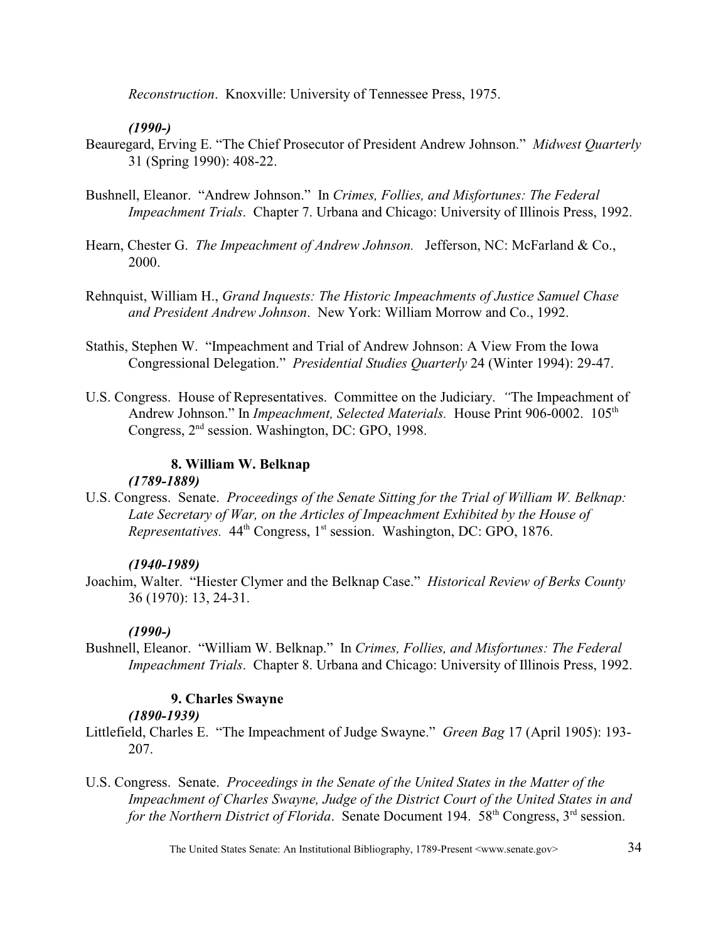*Reconstruction*. Knoxville: University of Tennessee Press, 1975.

## *(1990-)*

- Beauregard, Erving E. "The Chief Prosecutor of President Andrew Johnson." *Midwest Quarterly* 31 (Spring 1990): 408-22.
- Bushnell, Eleanor. "Andrew Johnson." In *Crimes, Follies, and Misfortunes: The Federal Impeachment Trials*. Chapter 7. Urbana and Chicago: University of Illinois Press, 1992.
- Hearn, Chester G. *The Impeachment of Andrew Johnson*. Jefferson, NC: McFarland & Co., 2000.
- Rehnquist, William H., *Grand Inquests: The Historic Impeachments of Justice Samuel Chase and President Andrew Johnson*. New York: William Morrow and Co., 1992.
- Stathis, Stephen W. "Impeachment and Trial of Andrew Johnson: A View From the Iowa Congressional Delegation." *Presidential Studies Quarterly* 24 (Winter 1994): 29-47.
- U.S. Congress. House of Representatives. Committee on the Judiciary. *"*The Impeachment of Andrew Johnson." In *Impeachment, Selected Materials*. House Print 906-0002. 105<sup>th</sup> Congress,  $2<sup>nd</sup>$  session. Washington, DC: GPO, 1998.

## **8. William W. Belknap**

## *(1789-1889)*

U.S. Congress. Senate. *Proceedings of the Senate Sitting for the Trial of William W. Belknap: Late Secretary of War, on the Articles of Impeachment Exhibited by the House of Representatives.*  $44^{\text{th}}$  Congress, 1<sup>st</sup> session. Washington, DC: GPO, 1876.

## *(1940-1989)*

Joachim, Walter. "Hiester Clymer and the Belknap Case." *Historical Review of Berks County* 36 (1970): 13, 24-31.

## *(1990-)*

Bushnell, Eleanor. "William W. Belknap." In *Crimes, Follies, and Misfortunes: The Federal Impeachment Trials*. Chapter 8. Urbana and Chicago: University of Illinois Press, 1992.

## **9. Charles Swayne**

## *(1890-1939)*

- Littlefield, Charles E. "The Impeachment of Judge Swayne." *Green Bag* 17 (April 1905): 193- 207.
- U.S. Congress. Senate. *Proceedings in the Senate of the United States in the Matter of the Impeachment of Charles Swayne, Judge of the District Court of the United States in and for the Northern District of Florida.* Senate Document 194. 58<sup>th</sup> Congress, 3<sup>rd</sup> session.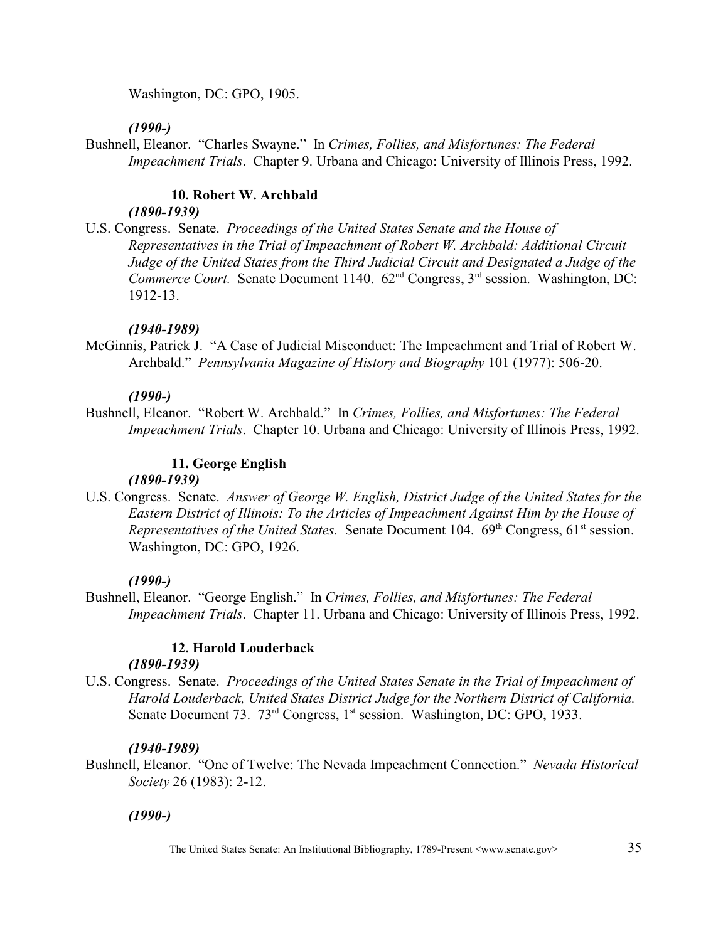Washington, DC: GPO, 1905.

## *(1990-)*

Bushnell, Eleanor. "Charles Swayne." In *Crimes, Follies, and Misfortunes: The Federal Impeachment Trials*. Chapter 9. Urbana and Chicago: University of Illinois Press, 1992.

## **10. Robert W. Archbald**

## *(1890-1939)*

U.S. Congress. Senate. *Proceedings of the United States Senate and the House of Representatives in the Trial of Impeachment of Robert W. Archbald: Additional Circuit Judge of the United States from the Third Judicial Circuit and Designated a Judge of the Commerce Court.* Senate Document 1140.  $62<sup>nd</sup>$  Congress, 3<sup>rd</sup> session. Washington, DC: 1912-13.

## *(1940-1989)*

McGinnis, Patrick J. "A Case of Judicial Misconduct: The Impeachment and Trial of Robert W. Archbald." *Pennsylvania Magazine of History and Biography* 101 (1977): 506-20.

## *(1990-)*

Bushnell, Eleanor. "Robert W. Archbald." In *Crimes, Follies, and Misfortunes: The Federal Impeachment Trials*. Chapter 10. Urbana and Chicago: University of Illinois Press, 1992.

# **11. George English**

## *(1890-1939)*

U.S. Congress. Senate. *Answer of George W. English, District Judge of the United States for the Eastern District of Illinois: To the Articles of Impeachment Against Him by the House of Representatives of the United States.* Senate Document 104.  $69<sup>th</sup>$  Congress, 61<sup>st</sup> session. Washington, DC: GPO, 1926.

## *(1990-)*

Bushnell, Eleanor. "George English." In *Crimes, Follies, and Misfortunes: The Federal Impeachment Trials*. Chapter 11. Urbana and Chicago: University of Illinois Press, 1992.

# **12. Harold Louderback**

## *(1890-1939)*

U.S. Congress. Senate. *Proceedings of the United States Senate in the Trial of Impeachment of Harold Louderback, United States District Judge for the Northern District of California.*  Senate Document 73. 73<sup>rd</sup> Congress, 1<sup>st</sup> session. Washington, DC: GPO, 1933.

## *(1940-1989)*

Bushnell, Eleanor. "One of Twelve: The Nevada Impeachment Connection." *Nevada Historical Society* 26 (1983): 2-12.

## *(1990-)*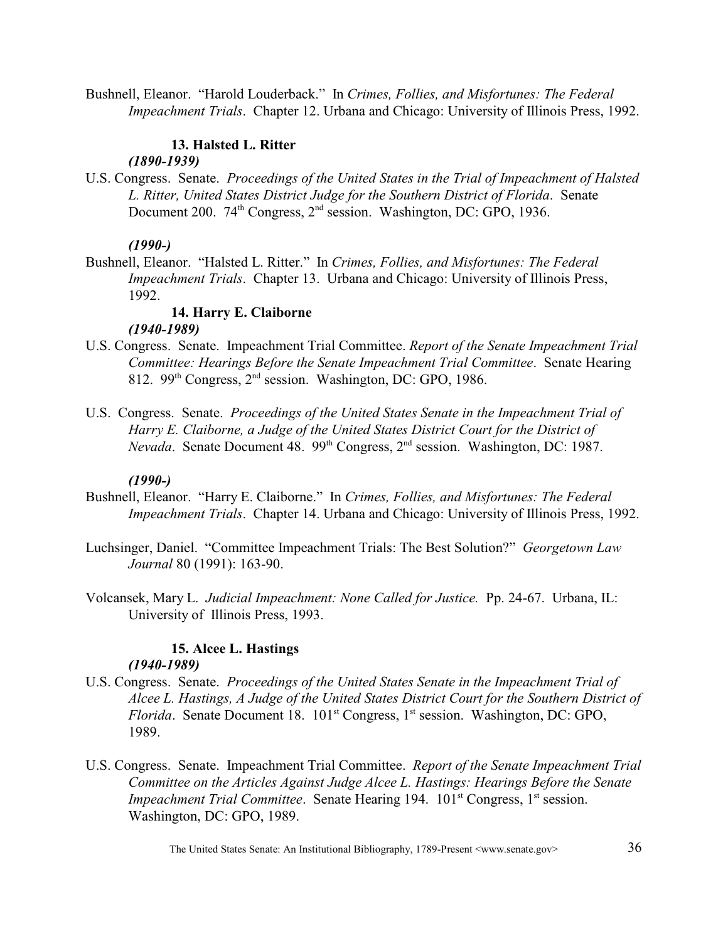Bushnell, Eleanor. "Harold Louderback." In *Crimes, Follies, and Misfortunes: The Federal Impeachment Trials*. Chapter 12. Urbana and Chicago: University of Illinois Press, 1992.

## **13. Halsted L. Ritter**

#### *(1890-1939)*

U.S. Congress. Senate. *Proceedings of the United States in the Trial of Impeachment of Halsted L. Ritter, United States District Judge for the Southern District of Florida*. Senate Document 200.  $74<sup>th</sup> Congress, 2<sup>nd</sup> session. Washington, DC: GPO, 1936.$ 

#### *(1990-)*

Bushnell, Eleanor. "Halsted L. Ritter." In *Crimes, Follies, and Misfortunes: The Federal Impeachment Trials*. Chapter 13. Urbana and Chicago: University of Illinois Press, 1992.

## **14. Harry E. Claiborne**

## *(1940-1989)*

- U.S. Congress. Senate. Impeachment Trial Committee. *Report of the Senate Impeachment Trial Committee: Hearings Before the Senate Impeachment Trial Committee*. Senate Hearing 812. 99<sup>th</sup> Congress,  $2<sup>nd</sup>$  session. Washington, DC: GPO, 1986.
- U.S. Congress. Senate. *Proceedings of the United States Senate in the Impeachment Trial of Harry E. Claiborne, a Judge of the United States District Court for the District of Nevada*. Senate Document 48. 99<sup>th</sup> Congress, 2<sup>nd</sup> session. Washington, DC: 1987.

#### *(1990-)*

- Bushnell, Eleanor. "Harry E. Claiborne." In *Crimes, Follies, and Misfortunes: The Federal Impeachment Trials*. Chapter 14. Urbana and Chicago: University of Illinois Press, 1992.
- Luchsinger, Daniel. "Committee Impeachment Trials: The Best Solution?" *Georgetown Law Journal* 80 (1991): 163-90.
- Volcansek, Mary L. *Judicial Impeachment: None Called for Justice.* Pp. 24-67. Urbana, IL: University of Illinois Press, 1993.

## **15. Alcee L. Hastings**

#### *(1940-1989)*

- U.S. Congress. Senate. *Proceedings of the United States Senate in the Impeachment Trial of Alcee L. Hastings, A Judge of the United States District Court for the Southern District of Florida*. Senate Document 18. 101<sup>st</sup> Congress, 1<sup>st</sup> session. Washington, DC: GPO, 1989.
- U.S. Congress. Senate. Impeachment Trial Committee. *Report of the Senate Impeachment Trial Committee on the Articles Against Judge Alcee L. Hastings: Hearings Before the Senate Impeachment Trial Committee.* Senate Hearing 194. 101<sup>st</sup> Congress, 1<sup>st</sup> session. Washington, DC: GPO, 1989.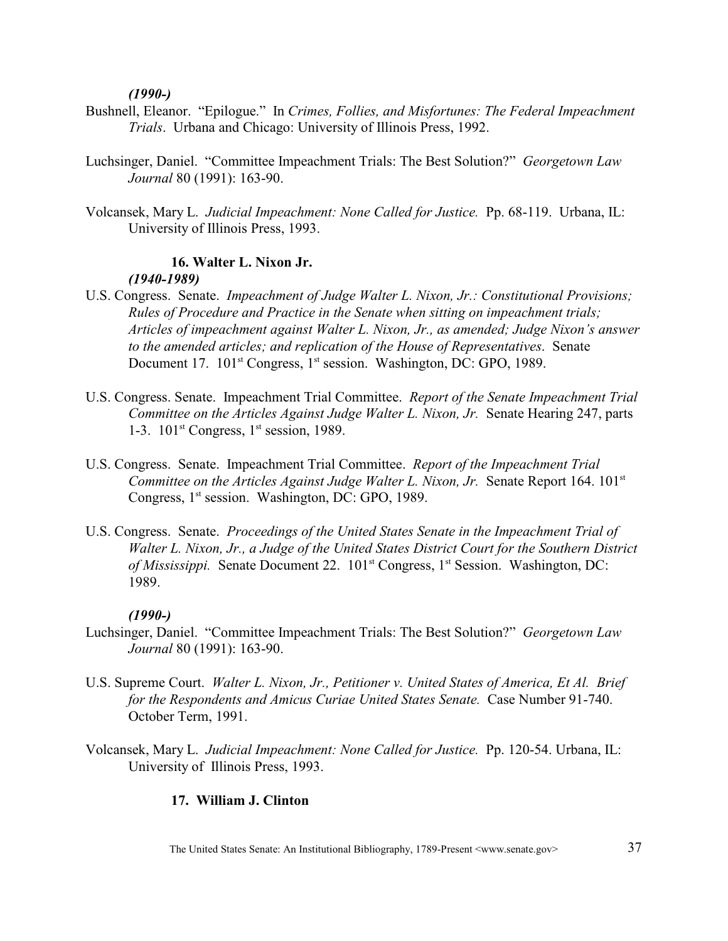### *(1990-)*

- Bushnell, Eleanor. "Epilogue." In *Crimes, Follies, and Misfortunes: The Federal Impeachment Trials*. Urbana and Chicago: University of Illinois Press, 1992.
- Luchsinger, Daniel. "Committee Impeachment Trials: The Best Solution?" *Georgetown Law Journal* 80 (1991): 163-90.
- Volcansek, Mary L. *Judicial Impeachment: None Called for Justice.* Pp. 68-119. Urbana, IL: University of Illinois Press, 1993.

# **16. Walter L. Nixon Jr.** *(1940-1989)*

- U.S. Congress. Senate. *Impeachment of Judge Walter L. Nixon, Jr.: Constitutional Provisions; Rules of Procedure and Practice in the Senate when sitting on impeachment trials; Articles of impeachment against Walter L. Nixon, Jr., as amended; Judge Nixon's answer to the amended articles; and replication of the House of Representatives*. Senate Document 17. 101<sup>st</sup> Congress, 1<sup>st</sup> session. Washington, DC: GPO, 1989.
- U.S. Congress. Senate. Impeachment Trial Committee. *Report of the Senate Impeachment Trial Committee on the Articles Against Judge Walter L. Nixon, Jr.* Senate Hearing 247, parts 1-3.  $101<sup>st</sup>$  Congress,  $1<sup>st</sup>$  session, 1989.
- U.S. Congress. Senate. Impeachment Trial Committee. *Report of the Impeachment Trial Committee on the Articles Against Judge Walter L. Nixon, Jr. Senate Report 164. 101<sup>st</sup>* Congress,  $1<sup>st</sup>$  session. Washington, DC: GPO, 1989.
- U.S. Congress. Senate. *Proceedings of the United States Senate in the Impeachment Trial of Walter L. Nixon, Jr., a Judge of the United States District Court for the Southern District of Mississippi.* Senate Document 22. 101<sup>st</sup> Congress, 1<sup>st</sup> Session. Washington, DC: 1989.

### *(1990-)*

- Luchsinger, Daniel. "Committee Impeachment Trials: The Best Solution?" *Georgetown Law Journal* 80 (1991): 163-90.
- U.S. Supreme Court. *Walter L. Nixon, Jr., Petitioner v. United States of America, Et Al. Brief for the Respondents and Amicus Curiae United States Senate.* Case Number 91-740. October Term, 1991.
- Volcansek, Mary L. *Judicial Impeachment: None Called for Justice.* Pp. 120-54. Urbana, IL: University of Illinois Press, 1993.

# **17. William J. Clinton**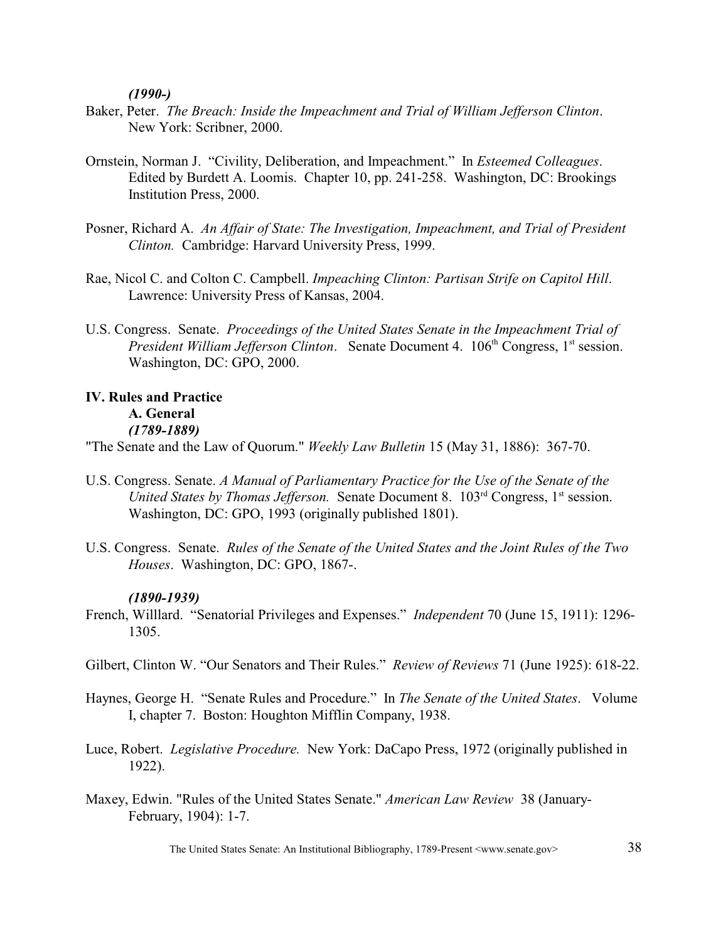*(1990-)*

- Baker, Peter. *The Breach: Inside the Impeachment and Trial of William Jefferson Clinton*. New York: Scribner, 2000.
- Ornstein, Norman J. "Civility, Deliberation, and Impeachment." In *Esteemed Colleagues*. Edited by Burdett A. Loomis. Chapter 10, pp. 241-258. Washington, DC: Brookings Institution Press, 2000.
- Posner, Richard A. *An Affair of State: The Investigation, Impeachment, and Trial of President Clinton.* Cambridge: Harvard University Press, 1999.
- Rae, Nicol C. and Colton C. Campbell. *Impeaching Clinton: Partisan Strife on Capitol Hill*. Lawrence: University Press of Kansas, 2004.
- U.S. Congress. Senate. *Proceedings of the United States Senate in the Impeachment Trial of President William Jefferson Clinton.* Senate Document 4. 106<sup>th</sup> Congress, 1<sup>st</sup> session. Washington, DC: GPO, 2000.

# **IV. Rules and Practice A. General** *(1789-1889)*

"The Senate and the Law of Quorum." *Weekly Law Bulletin* 15 (May 31, 1886): 367-70.

- U.S. Congress. Senate. *A Manual of Parliamentary Practice for the Use of the Senate of the United States by Thomas Jefferson.* Senate Document 8. 103<sup>rd</sup> Congress, 1<sup>st</sup> session. Washington, DC: GPO, 1993 (originally published 1801).
- U.S. Congress. Senate. *Rules of the Senate of the United States and the Joint Rules of the Two Houses*. Washington, DC: GPO, 1867-.

### *(1890-1939)*

- French, Willlard. "Senatorial Privileges and Expenses." *Independent* 70 (June 15, 1911): 1296- 1305.
- Gilbert, Clinton W. "Our Senators and Their Rules." *Review of Reviews* 71 (June 1925): 618-22.
- Haynes, George H. "Senate Rules and Procedure." In *The Senate of the United States*. Volume I, chapter 7. Boston: Houghton Mifflin Company, 1938.
- Luce, Robert. *Legislative Procedure.* New York: DaCapo Press, 1972 (originally published in 1922).
- Maxey, Edwin. "Rules of the United States Senate." *American Law Review* 38 (January-February, 1904): 1-7.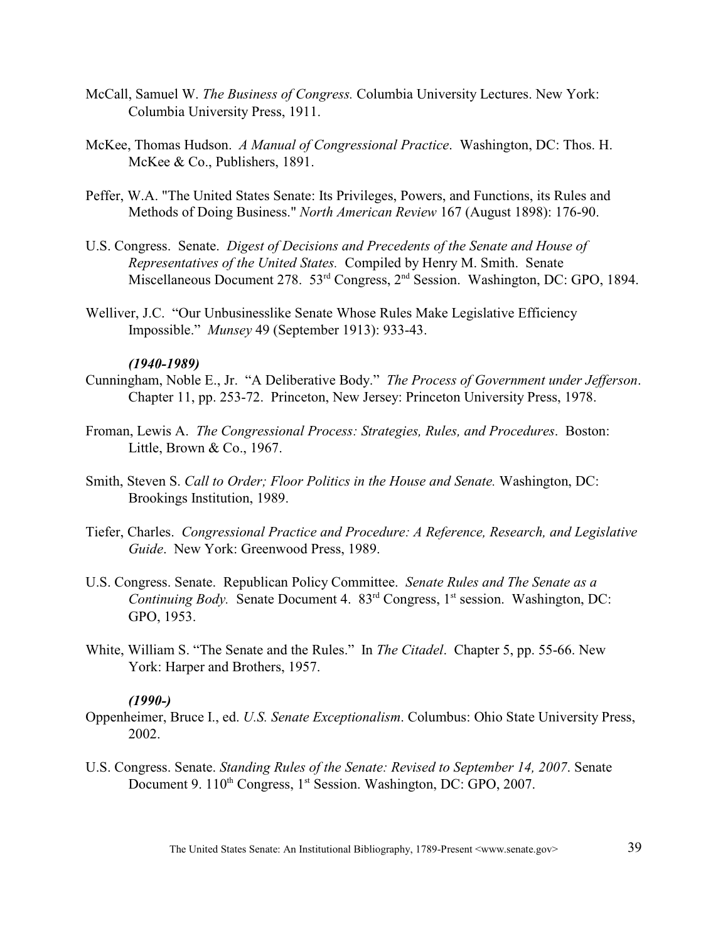- McCall, Samuel W. *The Business of Congress.* Columbia University Lectures. New York: Columbia University Press, 1911.
- McKee, Thomas Hudson. *A Manual of Congressional Practice*. Washington, DC: Thos. H. McKee & Co., Publishers, 1891.
- Peffer, W.A. "The United States Senate: Its Privileges, Powers, and Functions, its Rules and Methods of Doing Business." *North American Review* 167 (August 1898): 176-90.
- U.S. Congress. Senate. *Digest of Decisions and Precedents of the Senate and House of Representatives of the United States.* Compiled by Henry M. Smith. Senate Miscellaneous Document 278.  $53<sup>rd</sup>$  Congress,  $2<sup>nd</sup>$  Session. Washington, DC: GPO, 1894.
- Welliver, J.C. "Our Unbusinesslike Senate Whose Rules Make Legislative Efficiency Impossible." *Munsey* 49 (September 1913): 933-43.

### *(1940-1989)*

- Cunningham, Noble E., Jr. "A Deliberative Body." *The Process of Government under Jefferson*. Chapter 11, pp. 253-72. Princeton, New Jersey: Princeton University Press, 1978.
- Froman, Lewis A. *The Congressional Process: Strategies, Rules, and Procedures*. Boston: Little, Brown & Co., 1967.
- Smith, Steven S. *Call to Order; Floor Politics in the House and Senate.* Washington, DC: Brookings Institution, 1989.
- Tiefer, Charles. *Congressional Practice and Procedure: A Reference, Research, and Legislative Guide*. New York: Greenwood Press, 1989.
- U.S. Congress. Senate. Republican Policy Committee. *Senate Rules and The Senate as a Continuing Body.* Senate Document 4.  $83<sup>rd</sup>$  Congress, 1<sup>st</sup> session. Washington, DC: GPO, 1953.
- White, William S. "The Senate and the Rules." In *The Citadel*. Chapter 5, pp. 55-66. New York: Harper and Brothers, 1957.

### *(1990-)*

- Oppenheimer, Bruce I., ed. *U.S. Senate Exceptionalism*. Columbus: Ohio State University Press, 2002.
- U.S. Congress. Senate. *Standing Rules of the Senate: Revised to September 14, 2007*. Senate Document 9. 110<sup>th</sup> Congress, 1<sup>st</sup> Session. Washington, DC: GPO, 2007.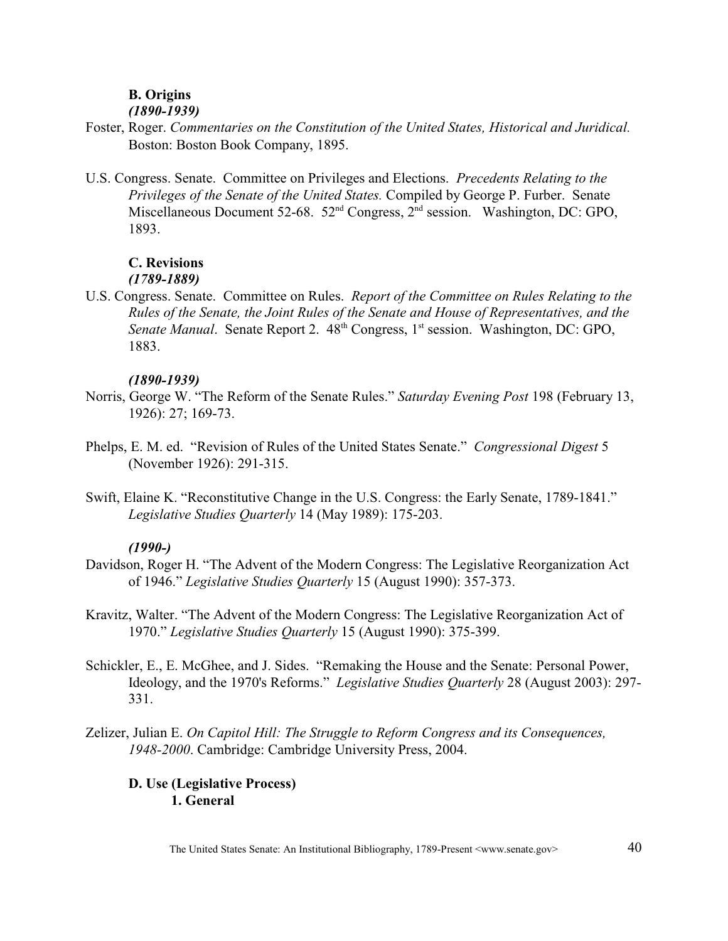# **B. Origins**

### *(1890-1939)*

- Foster, Roger. *Commentaries on the Constitution of the United States, Historical and Juridical.* Boston: Boston Book Company, 1895.
- U.S. Congress. Senate. Committee on Privileges and Elections. *Precedents Relating to the Privileges of the Senate of the United States.* Compiled by George P. Furber. Senate Miscellaneous Document 52-68.  $52<sup>nd</sup>$  Congress,  $2<sup>nd</sup>$  session. Washington, DC: GPO, 1893.

# **C. Revisions**

### *(1789-1889)*

U.S. Congress. Senate. Committee on Rules. *Report of the Committee on Rules Relating to the Rules of the Senate, the Joint Rules of the Senate and House of Representatives, and the Senate Manual.* Senate Report 2. 48<sup>th</sup> Congress, 1<sup>st</sup> session. Washington, DC: GPO, 1883.

### *(1890-1939)*

- Norris, George W. "The Reform of the Senate Rules." *Saturday Evening Post* 198 (February 13, 1926): 27; 169-73.
- Phelps, E. M. ed. "Revision of Rules of the United States Senate." *Congressional Digest* 5 (November 1926): 291-315.
- Swift, Elaine K. "Reconstitutive Change in the U.S. Congress: the Early Senate, 1789-1841." *Legislative Studies Quarterly* 14 (May 1989): 175-203.

### *(1990-)*

- Davidson, Roger H. "The Advent of the Modern Congress: The Legislative Reorganization Act of 1946." *Legislative Studies Quarterly* 15 (August 1990): 357-373.
- Kravitz, Walter. "The Advent of the Modern Congress: The Legislative Reorganization Act of 1970." *Legislative Studies Quarterly* 15 (August 1990): 375-399.
- Schickler, E., E. McGhee, and J. Sides. "Remaking the House and the Senate: Personal Power, Ideology, and the 1970's Reforms." *Legislative Studies Quarterly* 28 (August 2003): 297- 331.
- Zelizer, Julian E. *On Capitol Hill: The Struggle to Reform Congress and its Consequences, 1948-2000*. Cambridge: Cambridge University Press, 2004.

# **D. Use (Legislative Process) 1. General**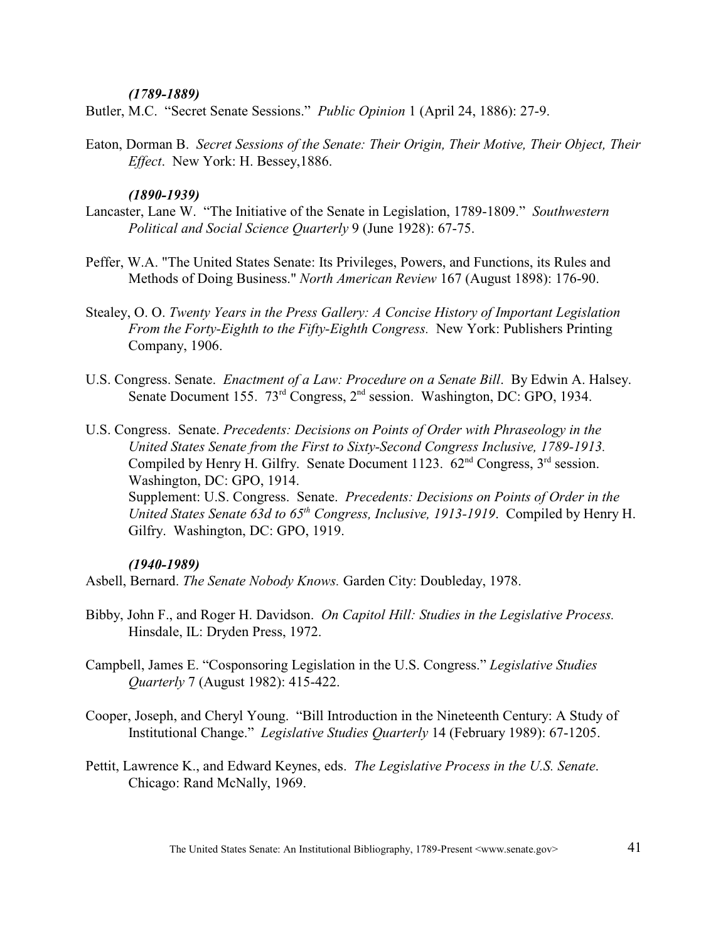### *(1789-1889)*

Butler, M.C. "Secret Senate Sessions." *Public Opinion* 1 (April 24, 1886): 27-9.

Eaton, Dorman B. *Secret Sessions of the Senate: Their Origin, Their Motive, Their Object, Their Effect*. New York: H. Bessey,1886.

### *(1890-1939)*

- Lancaster, Lane W. "The Initiative of the Senate in Legislation, 1789-1809." *Southwestern Political and Social Science Quarterly* 9 (June 1928): 67-75.
- Peffer, W.A. "The United States Senate: Its Privileges, Powers, and Functions, its Rules and Methods of Doing Business." *North American Review* 167 (August 1898): 176-90.
- Stealey, O. O. *Twenty Years in the Press Gallery: A Concise History of Important Legislation From the Forty-Eighth to the Fifty-Eighth Congress.* New York: Publishers Printing Company, 1906.
- U.S. Congress. Senate. *Enactment of a Law: Procedure on a Senate Bill*. By Edwin A. Halsey. Senate Document 155.  $73<sup>rd</sup>$  Congress,  $2<sup>nd</sup>$  session. Washington, DC: GPO, 1934.
- U.S. Congress. Senate. *Precedents: Decisions on Points of Order with Phraseology in the United States Senate from the First to Sixty-Second Congress Inclusive, 1789-1913.* Compiled by Henry H. Gilfry. Senate Document 1123.  $62<sup>nd</sup>$  Congress,  $3<sup>rd</sup>$  session. Washington, DC: GPO, 1914.

Supplement: U.S. Congress. Senate. *Precedents: Decisions on Points of Order in the United States Senate 63d to 65<sup>th</sup> Congress, Inclusive, 1913-1919.* Compiled by Henry H. Gilfry. Washington, DC: GPO, 1919.

### *(1940-1989)*

Asbell, Bernard. *The Senate Nobody Knows.* Garden City: Doubleday, 1978.

- Bibby, John F., and Roger H. Davidson. *On Capitol Hill: Studies in the Legislative Process.* Hinsdale, IL: Dryden Press, 1972.
- Campbell, James E. "Cosponsoring Legislation in the U.S. Congress." *Legislative Studies Quarterly* 7 (August 1982): 415-422.
- Cooper, Joseph, and Cheryl Young. "Bill Introduction in the Nineteenth Century: A Study of Institutional Change." *Legislative Studies Quarterly* 14 (February 1989): 67-1205.
- Pettit, Lawrence K., and Edward Keynes, eds. *The Legislative Process in the U.S. Senate*. Chicago: Rand McNally, 1969.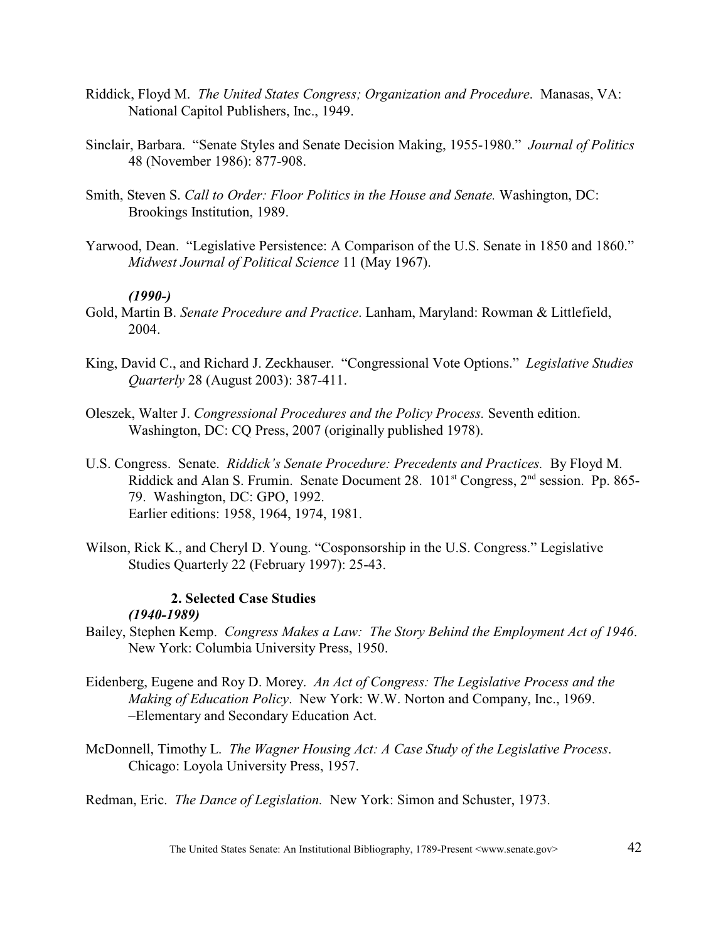- Riddick, Floyd M. *The United States Congress; Organization and Procedure*. Manasas, VA: National Capitol Publishers, Inc., 1949.
- Sinclair, Barbara. "Senate Styles and Senate Decision Making, 1955-1980." *Journal of Politics* 48 (November 1986): 877-908.
- Smith, Steven S. *Call to Order: Floor Politics in the House and Senate.* Washington, DC: Brookings Institution, 1989.
- Yarwood, Dean. "Legislative Persistence: A Comparison of the U.S. Senate in 1850 and 1860." *Midwest Journal of Political Science* 11 (May 1967).

### *(1990-)*

- Gold, Martin B. *Senate Procedure and Practice*. Lanham, Maryland: Rowman & Littlefield, 2004.
- King, David C., and Richard J. Zeckhauser. "Congressional Vote Options." *Legislative Studies Quarterly* 28 (August 2003): 387-411.
- Oleszek, Walter J. *Congressional Procedures and the Policy Process.* Seventh edition. Washington, DC: CQ Press, 2007 (originally published 1978).
- U.S. Congress. Senate. *Riddick's Senate Procedure: Precedents and Practices.* By Floyd M. Riddick and Alan S. Frumin. Senate Document 28.  $101<sup>st</sup>$  Congress,  $2<sup>nd</sup>$  session. Pp. 865-79. Washington, DC: GPO, 1992. Earlier editions: 1958, 1964, 1974, 1981.
- Wilson, Rick K., and Cheryl D. Young. "Cosponsorship in the U.S. Congress." Legislative Studies Quarterly 22 (February 1997): 25-43.

### **2. Selected Case Studies** *(1940-1989)*

- Bailey, Stephen Kemp. *Congress Makes a Law: The Story Behind the Employment Act of 1946*. New York: Columbia University Press, 1950.
- Eidenberg, Eugene and Roy D. Morey. *An Act of Congress: The Legislative Process and the Making of Education Policy*. New York: W.W. Norton and Company, Inc., 1969. –Elementary and Secondary Education Act.
- McDonnell, Timothy L. *The Wagner Housing Act: A Case Study of the Legislative Process*. Chicago: Loyola University Press, 1957.

Redman, Eric. *The Dance of Legislation.* New York: Simon and Schuster, 1973.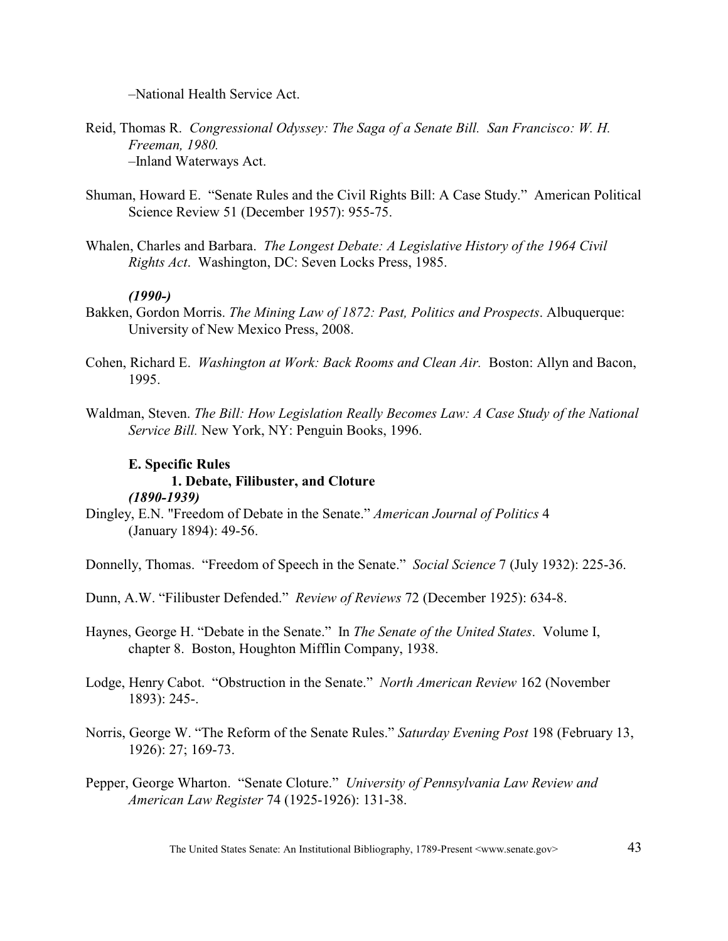–National Health Service Act.

- Reid, Thomas R. *Congressional Odyssey: The Saga of a Senate Bill. San Francisco: W. H. Freeman, 1980.* –Inland Waterways Act.
- Shuman, Howard E. "Senate Rules and the Civil Rights Bill: A Case Study." American Political Science Review 51 (December 1957): 955-75.
- Whalen, Charles and Barbara. *The Longest Debate: A Legislative History of the 1964 Civil Rights Act*. Washington, DC: Seven Locks Press, 1985.

### *(1990-)*

- Bakken, Gordon Morris. *The Mining Law of 1872: Past, Politics and Prospects*. Albuquerque: University of New Mexico Press, 2008.
- Cohen, Richard E. *Washington at Work: Back Rooms and Clean Air.* Boston: Allyn and Bacon, 1995.
- Waldman, Steven. *The Bill: How Legislation Really Becomes Law: A Case Study of the National Service Bill.* New York, NY: Penguin Books, 1996.

# **E. Specific Rules**

# **1. Debate, Filibuster, and Cloture**

### *(1890-1939)*

Dingley, E.N. "Freedom of Debate in the Senate." *American Journal of Politics* 4 (January 1894): 49-56.

Donnelly, Thomas. "Freedom of Speech in the Senate." *Social Science* 7 (July 1932): 225-36.

- Dunn, A.W. "Filibuster Defended." *Review of Reviews* 72 (December 1925): 634-8.
- Haynes, George H. "Debate in the Senate." In *The Senate of the United States*. Volume I, chapter 8. Boston, Houghton Mifflin Company, 1938.
- Lodge, Henry Cabot. "Obstruction in the Senate." *North American Review* 162 (November 1893): 245-.
- Norris, George W. "The Reform of the Senate Rules." *Saturday Evening Post* 198 (February 13, 1926): 27; 169-73.
- Pepper, George Wharton. "Senate Cloture." *University of Pennsylvania Law Review and American Law Register* 74 (1925-1926): 131-38.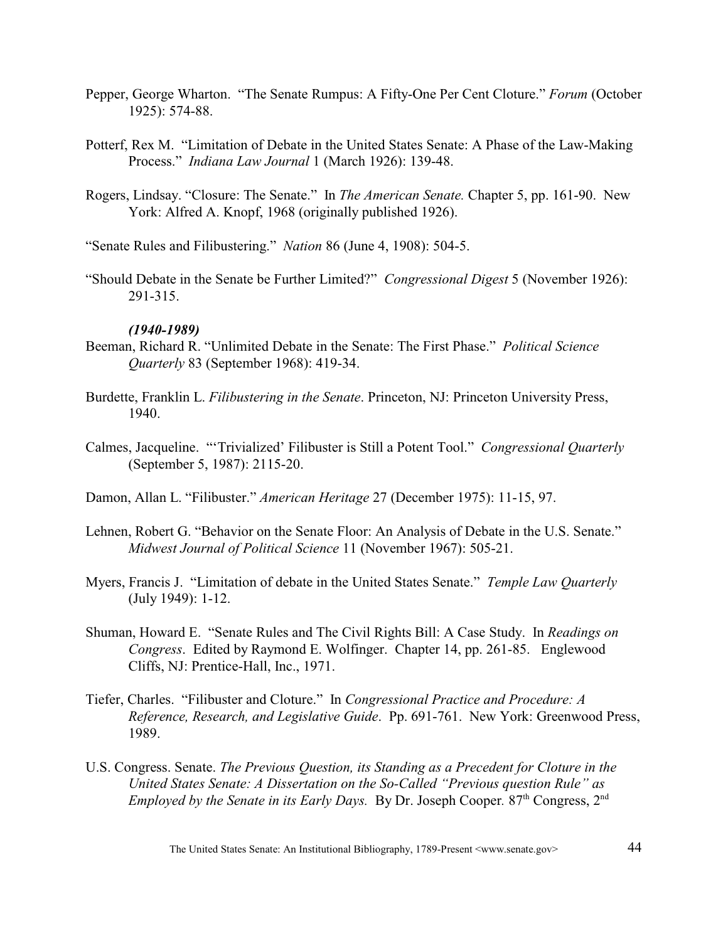- Pepper, George Wharton. "The Senate Rumpus: A Fifty-One Per Cent Cloture." *Forum* (October 1925): 574-88.
- Potterf, Rex M. "Limitation of Debate in the United States Senate: A Phase of the Law-Making Process." *Indiana Law Journal* 1 (March 1926): 139-48.
- Rogers, Lindsay. "Closure: The Senate." In *The American Senate.* Chapter 5, pp. 161-90. New York: Alfred A. Knopf, 1968 (originally published 1926).

"Senate Rules and Filibustering." *Nation* 86 (June 4, 1908): 504-5.

"Should Debate in the Senate be Further Limited?" *Congressional Digest* 5 (November 1926): 291-315.

### *(1940-1989)*

- Beeman, Richard R. "Unlimited Debate in the Senate: The First Phase." *Political Science Quarterly* 83 (September 1968): 419-34.
- Burdette, Franklin L. *Filibustering in the Senate*. Princeton, NJ: Princeton University Press, 1940.
- Calmes, Jacqueline. "'Trivialized' Filibuster is Still a Potent Tool." *Congressional Quarterly* (September 5, 1987): 2115-20.

Damon, Allan L. "Filibuster." *American Heritage* 27 (December 1975): 11-15, 97.

- Lehnen, Robert G. "Behavior on the Senate Floor: An Analysis of Debate in the U.S. Senate." *Midwest Journal of Political Science* 11 (November 1967): 505-21.
- Myers, Francis J. "Limitation of debate in the United States Senate." *Temple Law Quarterly* (July 1949): 1-12.
- Shuman, Howard E. "Senate Rules and The Civil Rights Bill: A Case Study. In *Readings on Congress*. Edited by Raymond E. Wolfinger. Chapter 14, pp. 261-85. Englewood Cliffs, NJ: Prentice-Hall, Inc., 1971.
- Tiefer, Charles. "Filibuster and Cloture." In *Congressional Practice and Procedure: A Reference, Research, and Legislative Guide*. Pp. 691-761. New York: Greenwood Press, 1989.
- U.S. Congress. Senate. *The Previous Question, its Standing as a Precedent for Cloture in the United States Senate: A Dissertation on the So-Called "Previous question Rule" as Employed by the Senate in its Early Days.* By Dr. Joseph Cooper. 87<sup>th</sup> Congress, 2<sup>nd</sup>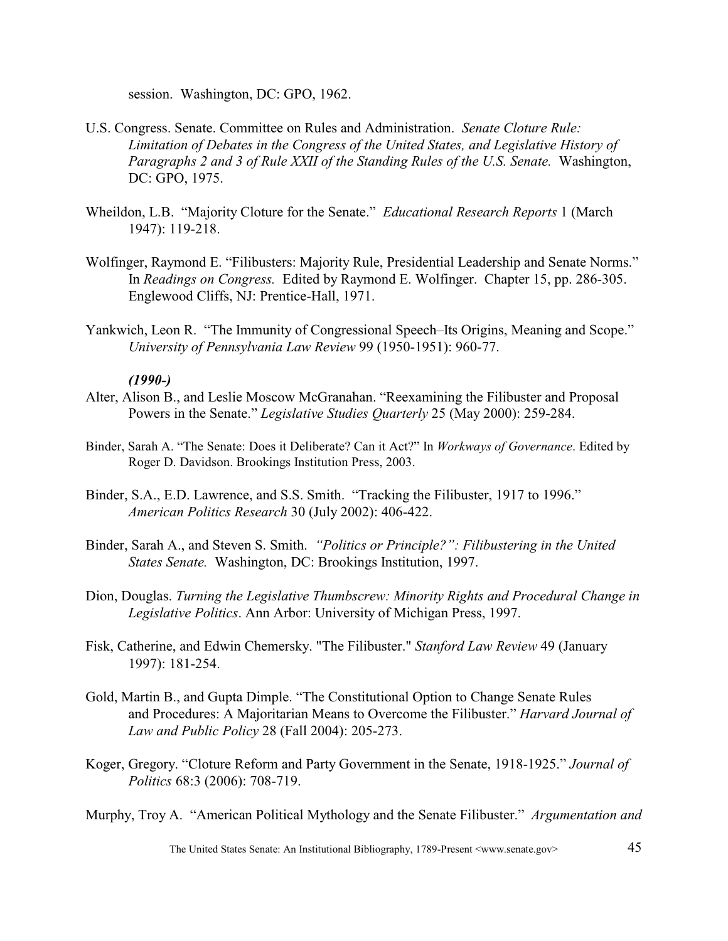session. Washington, DC: GPO, 1962.

- U.S. Congress. Senate. Committee on Rules and Administration. *Senate Cloture Rule: Limitation of Debates in the Congress of the United States, and Legislative History of* Paragraphs 2 and 3 of Rule XXII of the Standing Rules of the U.S. Senate. Washington, DC: GPO, 1975.
- Wheildon, L.B. "Majority Cloture for the Senate." *Educational Research Reports* 1 (March 1947): 119-218.
- Wolfinger, Raymond E. "Filibusters: Majority Rule, Presidential Leadership and Senate Norms." In *Readings on Congress.* Edited by Raymond E. Wolfinger. Chapter 15, pp. 286-305. Englewood Cliffs, NJ: Prentice-Hall, 1971.
- Yankwich, Leon R. "The Immunity of Congressional Speech–Its Origins, Meaning and Scope." *University of Pennsylvania Law Review* 99 (1950-1951): 960-77.

### *(1990-)*

- Alter, Alison B., and Leslie Moscow McGranahan. "Reexamining the Filibuster and Proposal Powers in the Senate." *Legislative Studies Quarterly* 25 (May 2000): 259-284.
- Binder, Sarah A. "The Senate: Does it Deliberate? Can it Act?" In *Workways of Governance*. Edited by Roger D. Davidson. Brookings Institution Press, 2003.
- Binder, S.A., E.D. Lawrence, and S.S. Smith. "Tracking the Filibuster, 1917 to 1996." *American Politics Research* 30 (July 2002): 406-422.
- Binder, Sarah A., and Steven S. Smith. *"Politics or Principle?": Filibustering in the United States Senate.* Washington, DC: Brookings Institution, 1997.
- Dion, Douglas. *Turning the Legislative Thumbscrew: Minority Rights and Procedural Change in Legislative Politics*. Ann Arbor: University of Michigan Press, 1997.
- Fisk, Catherine, and Edwin Chemersky. "The Filibuster." *Stanford Law Review* 49 (January 1997): 181-254.
- Gold, Martin B., and Gupta Dimple. "The Constitutional Option to Change Senate Rules and Procedures: A Majoritarian Means to Overcome the Filibuster." *Harvard Journal of Law and Public Policy* 28 (Fall 2004): 205-273.
- Koger, Gregory. "Cloture Reform and Party Government in the Senate, 1918-1925." *Journal of Politics* 68:3 (2006): 708-719.

Murphy, Troy A. "American Political Mythology and the Senate Filibuster." *Argumentation and*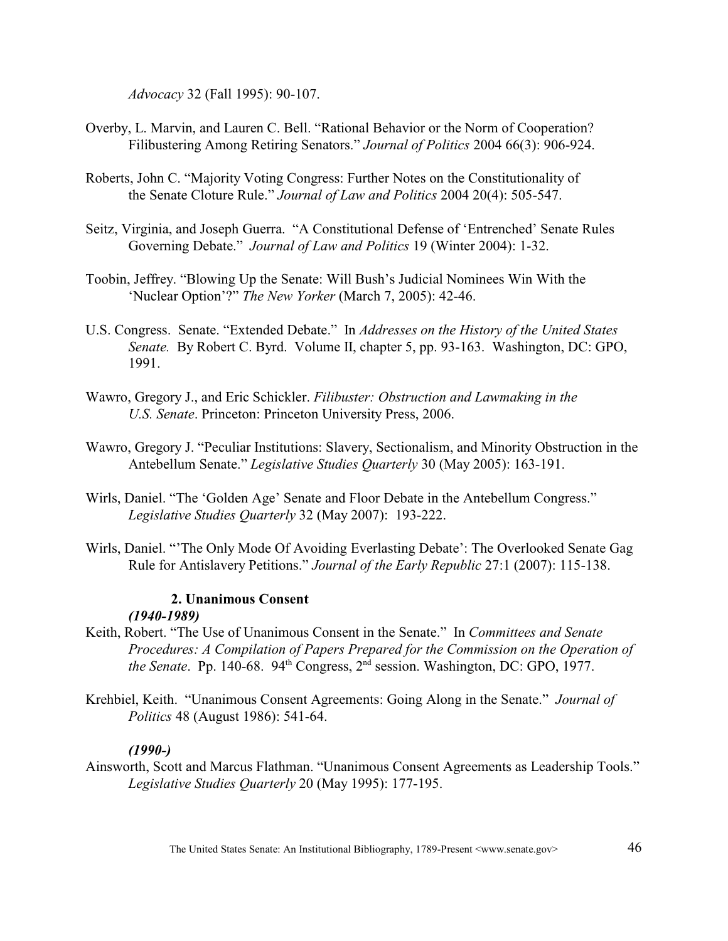*Advocacy* 32 (Fall 1995): 90-107.

- Overby, L. Marvin, and Lauren C. Bell. "Rational Behavior or the Norm of Cooperation? Filibustering Among Retiring Senators." *Journal of Politics* 2004 66(3): 906-924.
- Roberts, John C. "Majority Voting Congress: Further Notes on the Constitutionality of the Senate Cloture Rule." *Journal of Law and Politics* 2004 20(4): 505-547.
- Seitz, Virginia, and Joseph Guerra. "A Constitutional Defense of 'Entrenched' Senate Rules Governing Debate." *Journal of Law and Politics* 19 (Winter 2004): 1-32.
- Toobin, Jeffrey. "Blowing Up the Senate: Will Bush's Judicial Nominees Win With the 'Nuclear Option'?" *The New Yorker* (March 7, 2005): 42-46.
- U.S. Congress. Senate. "Extended Debate." In *Addresses on the History of the United States Senate.* By Robert C. Byrd. Volume II, chapter 5, pp. 93-163. Washington, DC: GPO, 1991.
- Wawro, Gregory J., and Eric Schickler. *Filibuster: Obstruction and Lawmaking in the U.S. Senate*. Princeton: Princeton University Press, 2006.
- Wawro, Gregory J. "Peculiar Institutions: Slavery, Sectionalism, and Minority Obstruction in the Antebellum Senate." *Legislative Studies Quarterly* 30 (May 2005): 163-191.
- Wirls, Daniel. "The 'Golden Age' Senate and Floor Debate in the Antebellum Congress." *Legislative Studies Quarterly* 32 (May 2007): 193-222.
- Wirls, Daniel. "'The Only Mode Of Avoiding Everlasting Debate': The Overlooked Senate Gag Rule for Antislavery Petitions." *Journal of the Early Republic* 27:1 (2007): 115-138.

### **2. Unanimous Consent** *(1940-1989)*

- Keith, Robert. "The Use of Unanimous Consent in the Senate." In *Committees and Senate Procedures: A Compilation of Papers Prepared for the Commission on the Operation of the Senate.* Pp. 140-68.  $94<sup>th</sup> Congress, 2<sup>nd</sup> session. Washington, DC: GPO, 1977.$
- Krehbiel, Keith. "Unanimous Consent Agreements: Going Along in the Senate." *Journal of Politics* 48 (August 1986): 541-64.

# *(1990-)*

Ainsworth, Scott and Marcus Flathman. "Unanimous Consent Agreements as Leadership Tools." *Legislative Studies Quarterly* 20 (May 1995): 177-195.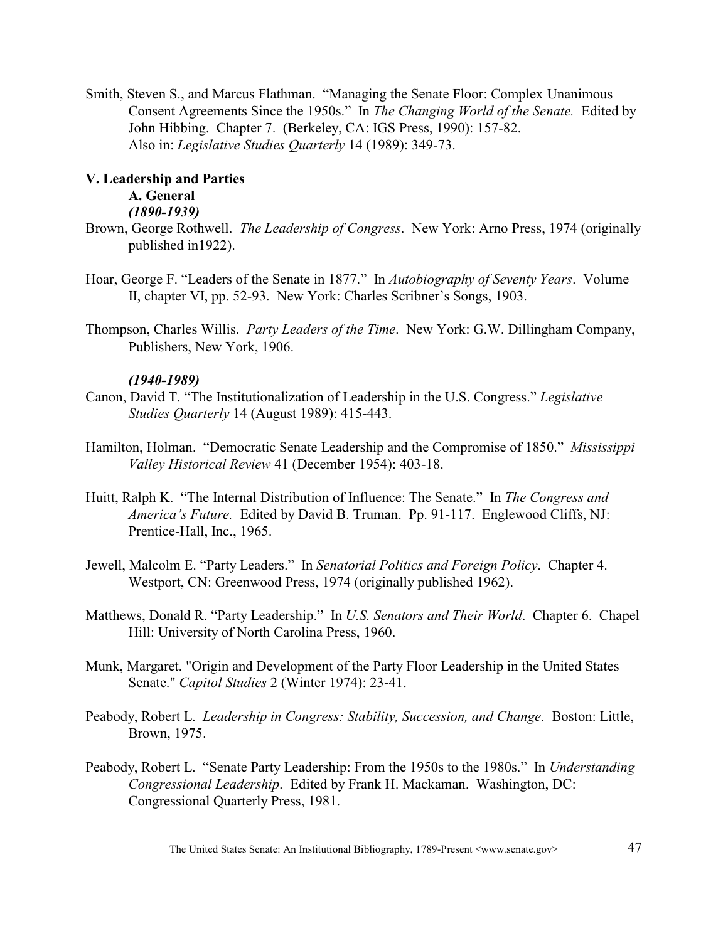Smith, Steven S., and Marcus Flathman. "Managing the Senate Floor: Complex Unanimous Consent Agreements Since the 1950s." In *The Changing World of the Senate.* Edited by John Hibbing. Chapter 7. (Berkeley, CA: IGS Press, 1990): 157-82. Also in: *Legislative Studies Quarterly* 14 (1989): 349-73.

# **V. Leadership and Parties**

### **A. General** *(1890-1939)*

- Brown, George Rothwell. *The Leadership of Congress*. New York: Arno Press, 1974 (originally published in1922).
- Hoar, George F. "Leaders of the Senate in 1877." In *Autobiography of Seventy Years*. Volume II, chapter VI, pp. 52-93. New York: Charles Scribner's Songs, 1903.
- Thompson, Charles Willis. *Party Leaders of the Time*. New York: G.W. Dillingham Company, Publishers, New York, 1906.

# *(1940-1989)*

- Canon, David T. "The Institutionalization of Leadership in the U.S. Congress." *Legislative Studies Quarterly* 14 (August 1989): 415-443.
- Hamilton, Holman. "Democratic Senate Leadership and the Compromise of 1850." *Mississippi Valley Historical Review* 41 (December 1954): 403-18.
- Huitt, Ralph K. "The Internal Distribution of Influence: The Senate." In *The Congress and America's Future.* Edited by David B. Truman. Pp. 91-117. Englewood Cliffs, NJ: Prentice-Hall, Inc., 1965.
- Jewell, Malcolm E. "Party Leaders." In *Senatorial Politics and Foreign Policy*. Chapter 4. Westport, CN: Greenwood Press, 1974 (originally published 1962).
- Matthews, Donald R. "Party Leadership." In *U.S. Senators and Their World*. Chapter 6. Chapel Hill: University of North Carolina Press, 1960.
- Munk, Margaret. "Origin and Development of the Party Floor Leadership in the United States Senate." *Capitol Studies* 2 (Winter 1974): 23-41.
- Peabody, Robert L. *Leadership in Congress: Stability, Succession, and Change. Boston: Little,* Brown, 1975.
- Peabody, Robert L. "Senate Party Leadership: From the 1950s to the 1980s." In *Understanding Congressional Leadership*. Edited by Frank H. Mackaman. Washington, DC: Congressional Quarterly Press, 1981.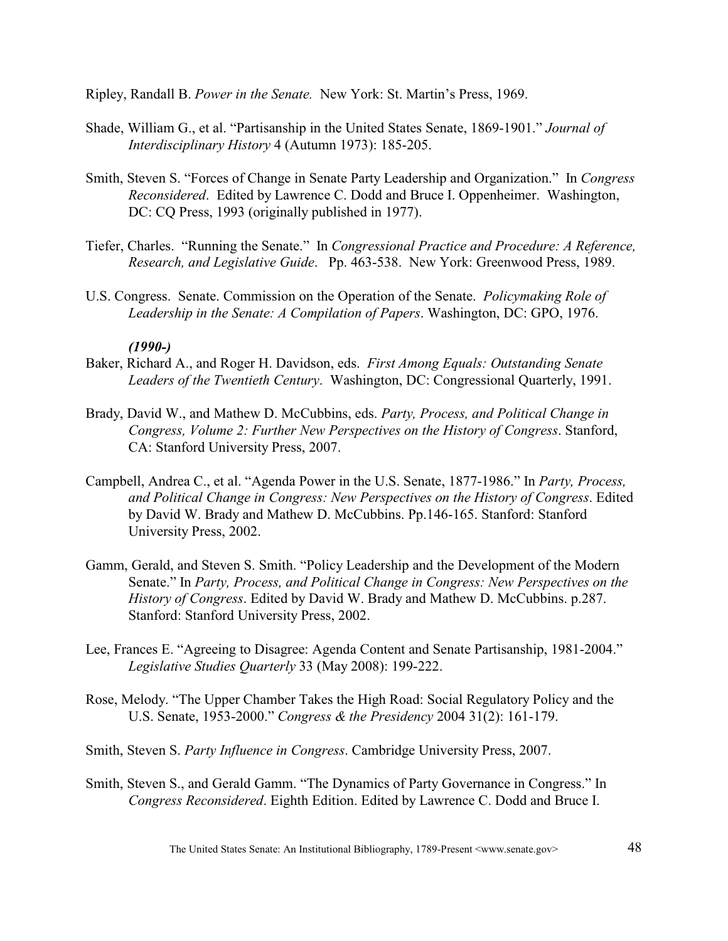Ripley, Randall B. *Power in the Senate.* New York: St. Martin's Press, 1969.

- Shade, William G., et al. "Partisanship in the United States Senate, 1869-1901." *Journal of Interdisciplinary History* 4 (Autumn 1973): 185-205.
- Smith, Steven S. "Forces of Change in Senate Party Leadership and Organization." In *Congress Reconsidered*. Edited by Lawrence C. Dodd and Bruce I. Oppenheimer. Washington, DC: CQ Press, 1993 (originally published in 1977).
- Tiefer, Charles. "Running the Senate." In *Congressional Practice and Procedure: A Reference, Research, and Legislative Guide*. Pp. 463-538. New York: Greenwood Press, 1989.
- U.S. Congress. Senate. Commission on the Operation of the Senate. *Policymaking Role of Leadership in the Senate: A Compilation of Papers*. Washington, DC: GPO, 1976.

### *(1990-)*

- Baker, Richard A., and Roger H. Davidson, eds. *First Among Equals: Outstanding Senate Leaders of the Twentieth Century*. Washington, DC: Congressional Quarterly, 1991.
- Brady, David W., and Mathew D. McCubbins, eds. *Party, Process, and Political Change in Congress, Volume 2: Further New Perspectives on the History of Congress*. Stanford, CA: Stanford University Press, 2007.
- Campbell, Andrea C., et al. "Agenda Power in the U.S. Senate, 1877-1986." In *Party, Process, and Political Change in Congress: New Perspectives on the History of Congress*. Edited by David W. Brady and Mathew D. McCubbins. Pp.146-165. Stanford: Stanford University Press, 2002.
- Gamm, Gerald, and Steven S. Smith. "Policy Leadership and the Development of the Modern Senate." In *Party, Process, and Political Change in Congress: New Perspectives on the History of Congress*. Edited by David W. Brady and Mathew D. McCubbins. p.287. Stanford: Stanford University Press, 2002.
- Lee, Frances E. "Agreeing to Disagree: Agenda Content and Senate Partisanship, 1981-2004." *Legislative Studies Quarterly* 33 (May 2008): 199-222.
- Rose, Melody. "The Upper Chamber Takes the High Road: Social Regulatory Policy and the U.S. Senate, 1953-2000." *Congress & the Presidency* 2004 31(2): 161-179.
- Smith, Steven S. *Party Influence in Congress*. Cambridge University Press, 2007.
- Smith, Steven S., and Gerald Gamm. "The Dynamics of Party Governance in Congress." In *Congress Reconsidered*. Eighth Edition. Edited by Lawrence C. Dodd and Bruce I.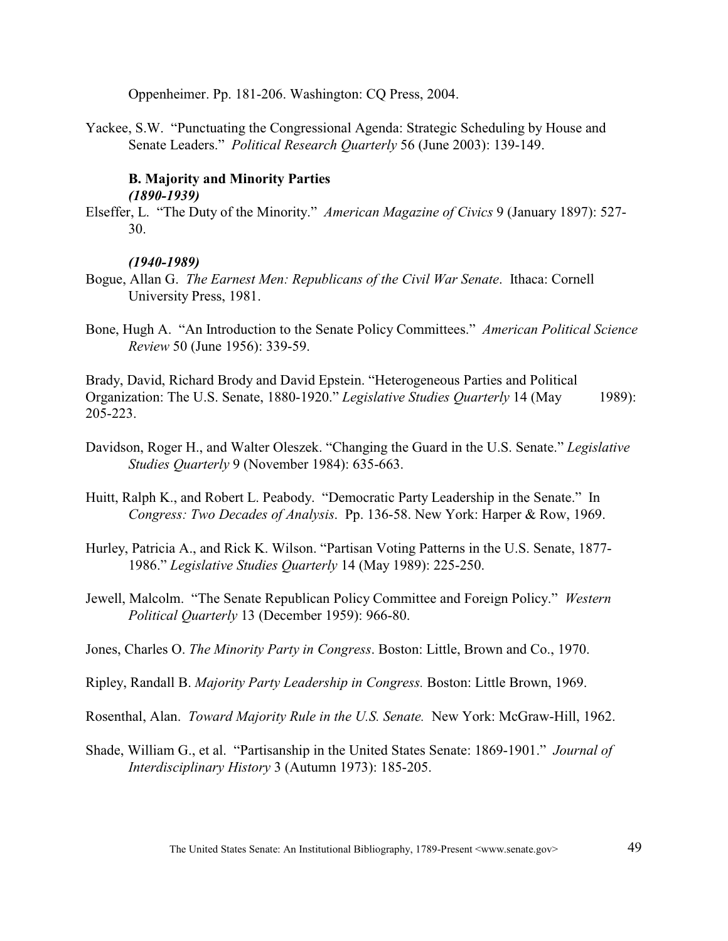Oppenheimer. Pp. 181-206. Washington: CQ Press, 2004.

Yackee, S.W. "Punctuating the Congressional Agenda: Strategic Scheduling by House and Senate Leaders." *Political Research Quarterly* 56 (June 2003): 139-149.

## **B. Majority and Minority Parties** *(1890-1939)*

Elseffer, L. "The Duty of the Minority." *American Magazine of Civics* 9 (January 1897): 527- 30.

### *(1940-1989)*

- Bogue, Allan G. *The Earnest Men: Republicans of the Civil War Senate*. Ithaca: Cornell University Press, 1981.
- Bone, Hugh A. "An Introduction to the Senate Policy Committees." *American Political Science Review* 50 (June 1956): 339-59.

Brady, David, Richard Brody and David Epstein. "Heterogeneous Parties and Political Organization: The U.S. Senate, 1880-1920." *Legislative Studies Quarterly* 14 (May 1989): 205-223.

- Davidson, Roger H., and Walter Oleszek. "Changing the Guard in the U.S. Senate." *Legislative Studies Quarterly* 9 (November 1984): 635-663.
- Huitt, Ralph K., and Robert L. Peabody. "Democratic Party Leadership in the Senate." In *Congress: Two Decades of Analysis*. Pp. 136-58. New York: Harper & Row, 1969.
- Hurley, Patricia A., and Rick K. Wilson. "Partisan Voting Patterns in the U.S. Senate, 1877- 1986." *Legislative Studies Quarterly* 14 (May 1989): 225-250.
- Jewell, Malcolm. "The Senate Republican Policy Committee and Foreign Policy." *Western Political Quarterly* 13 (December 1959): 966-80.
- Jones, Charles O. *The Minority Party in Congress*. Boston: Little, Brown and Co., 1970.
- Ripley, Randall B. *Majority Party Leadership in Congress.* Boston: Little Brown, 1969.
- Rosenthal, Alan. *Toward Majority Rule in the U.S. Senate.* New York: McGraw-Hill, 1962.
- Shade, William G., et al. "Partisanship in the United States Senate: 1869-1901." *Journal of Interdisciplinary History* 3 (Autumn 1973): 185-205.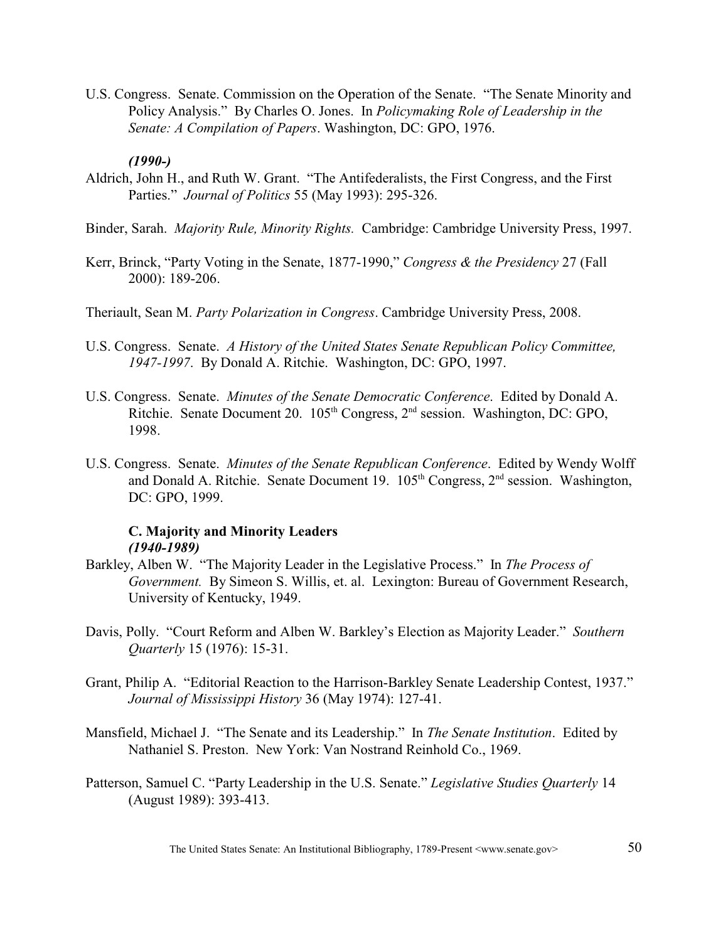U.S. Congress. Senate. Commission on the Operation of the Senate. "The Senate Minority and Policy Analysis." By Charles O. Jones. In *Policymaking Role of Leadership in the Senate: A Compilation of Papers*. Washington, DC: GPO, 1976.

### *(1990-)*

- Aldrich, John H., and Ruth W. Grant. "The Antifederalists, the First Congress, and the First Parties." *Journal of Politics* 55 (May 1993): 295-326.
- Binder, Sarah. *Majority Rule, Minority Rights.* Cambridge: Cambridge University Press, 1997.
- Kerr, Brinck, "Party Voting in the Senate, 1877-1990," *Congress & the Presidency* 27 (Fall 2000): 189-206.
- Theriault, Sean M. *Party Polarization in Congress*. Cambridge University Press, 2008.
- U.S. Congress. Senate. *A History of the United States Senate Republican Policy Committee, 1947-1997*. By Donald A. Ritchie. Washington, DC: GPO, 1997.
- U.S. Congress. Senate. *Minutes of the Senate Democratic Conference*. Edited by Donald A. Ritchie. Senate Document 20. 105<sup>th</sup> Congress, 2<sup>nd</sup> session. Washington, DC: GPO, 1998.
- U.S. Congress. Senate. *Minutes of the Senate Republican Conference*. Edited by Wendy Wolff and Donald A. Ritchie. Senate Document 19.  $105<sup>th</sup> Congress, 2<sup>nd</sup> session. Washington,$ DC: GPO, 1999.

# **C. Majority and Minority Leaders** *(1940-1989)*

- Barkley, Alben W. "The Majority Leader in the Legislative Process." In *The Process of Government.* By Simeon S. Willis, et. al. Lexington: Bureau of Government Research, University of Kentucky, 1949.
- Davis, Polly. "Court Reform and Alben W. Barkley's Election as Majority Leader." *Southern Quarterly* 15 (1976): 15-31.
- Grant, Philip A. "Editorial Reaction to the Harrison-Barkley Senate Leadership Contest, 1937." *Journal of Mississippi History* 36 (May 1974): 127-41.
- Mansfield, Michael J. "The Senate and its Leadership." In *The Senate Institution*. Edited by Nathaniel S. Preston. New York: Van Nostrand Reinhold Co., 1969.
- Patterson, Samuel C. "Party Leadership in the U.S. Senate." *Legislative Studies Quarterly* 14 (August 1989): 393-413.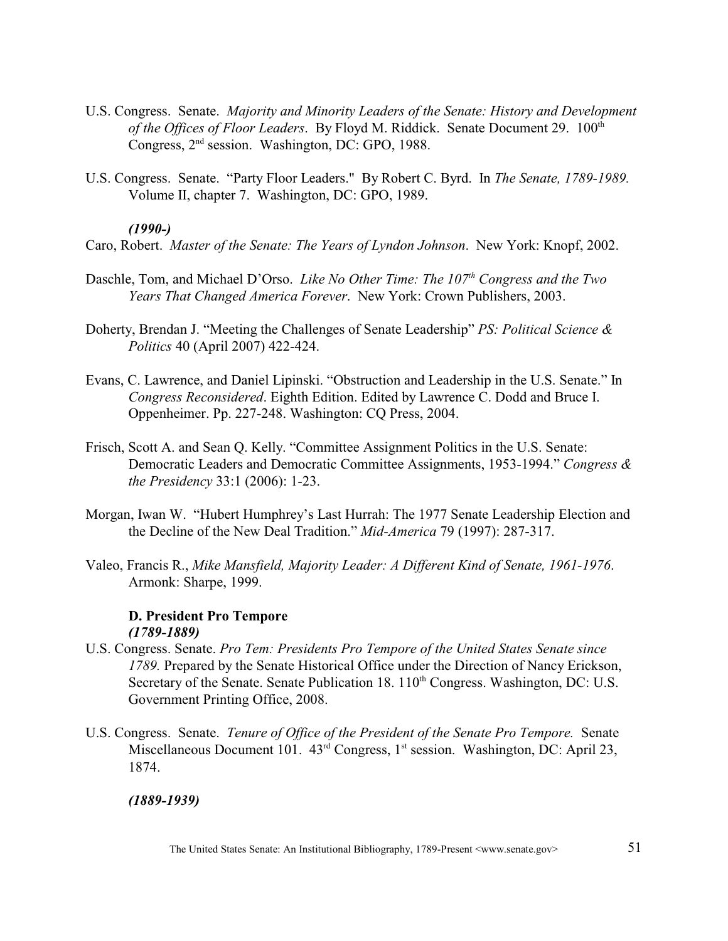- U.S. Congress. Senate. *Majority and Minority Leaders of the Senate: History and Development of the Offices of Floor Leaders.* By Floyd M. Riddick. Senate Document 29. 100<sup>th</sup> Congress,  $2<sup>nd</sup>$  session. Washington, DC: GPO, 1988.
- U.S. Congress. Senate. "Party Floor Leaders." By Robert C. Byrd. In *The Senate, 1789-1989.*  Volume II, chapter 7. Washington, DC: GPO, 1989.

## *(1990-)*

- Caro, Robert. *Master of the Senate: The Years of Lyndon Johnson*. New York: Knopf, 2002.
- Daschle, Tom, and Michael D'Orso. *Like No Other Time: The 107<sup>th</sup> Congress and the Two Years That Changed America Forever*. New York: Crown Publishers, 2003.
- Doherty, Brendan J. "Meeting the Challenges of Senate Leadership" *PS: Political Science & Politics* 40 (April 2007) 422-424.
- Evans, C. Lawrence, and Daniel Lipinski. "Obstruction and Leadership in the U.S. Senate." In *Congress Reconsidered*. Eighth Edition. Edited by Lawrence C. Dodd and Bruce I. Oppenheimer. Pp. 227-248. Washington: CQ Press, 2004.
- Frisch, Scott A. and Sean Q. Kelly. "Committee Assignment Politics in the U.S. Senate: Democratic Leaders and Democratic Committee Assignments, 1953-1994." *Congress & the Presidency* 33:1 (2006): 1-23.
- Morgan, Iwan W. "Hubert Humphrey's Last Hurrah: The 1977 Senate Leadership Election and the Decline of the New Deal Tradition." *Mid-America* 79 (1997): 287-317.
- Valeo, Francis R., *Mike Mansfield, Majority Leader: A Different Kind of Senate, 1961-1976*. Armonk: Sharpe, 1999.

### **D. President Pro Tempore** *(1789-1889)*

- U.S. Congress. Senate. *Pro Tem: Presidents Pro Tempore of the United States Senate since 1789.* Prepared by the Senate Historical Office under the Direction of Nancy Erickson, Secretary of the Senate. Senate Publication 18.  $110<sup>th</sup>$  Congress. Washington, DC: U.S. Government Printing Office, 2008.
- U.S. Congress. Senate. *Tenure of Office of the President of the Senate Pro Tempore.* Senate Miscellaneous Document 101.  $43<sup>rd</sup>$  Congress, 1<sup>st</sup> session. Washington, DC: April 23, 1874.

### *(1889-1939)*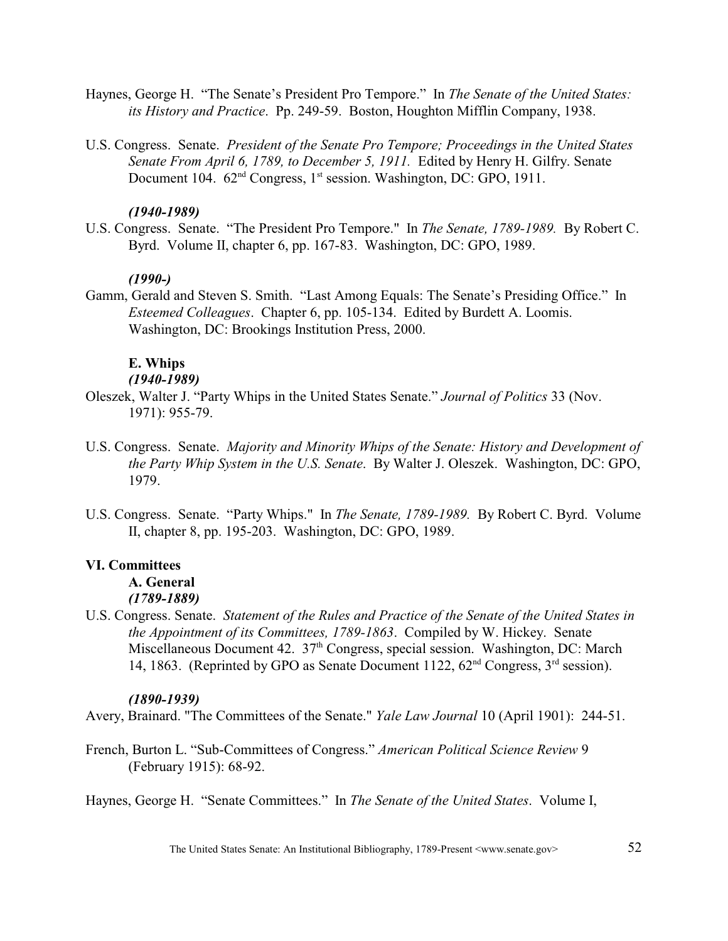- Haynes, George H. "The Senate's President Pro Tempore." In *The Senate of the United States: its History and Practice*. Pp. 249-59. Boston, Houghton Mifflin Company, 1938.
- U.S. Congress. Senate. *President of the Senate Pro Tempore; Proceedings in the United States Senate From April 6, 1789, to December 5, 1911.* Edited by Henry H. Gilfry. Senate Document 104.  $62<sup>nd</sup> Congress, 1<sup>st</sup> session. Washington, DC: GPO, 1911.$

### *(1940-1989)*

U.S. Congress. Senate. "The President Pro Tempore." In *The Senate, 1789-1989.* By Robert C. Byrd. Volume II, chapter 6, pp. 167-83. Washington, DC: GPO, 1989.

## *(1990-)*

Gamm, Gerald and Steven S. Smith. "Last Among Equals: The Senate's Presiding Office." In *Esteemed Colleagues*. Chapter 6, pp. 105-134. Edited by Burdett A. Loomis. Washington, DC: Brookings Institution Press, 2000.

### **E. Whips**

## *(1940-1989)*

- Oleszek, Walter J. "Party Whips in the United States Senate." *Journal of Politics* 33 (Nov. 1971): 955-79.
- U.S. Congress. Senate. *Majority and Minority Whips of the Senate: History and Development of the Party Whip System in the U.S. Senate*. By Walter J. Oleszek. Washington, DC: GPO, 1979.
- U.S. Congress. Senate. "Party Whips." In *The Senate, 1789-1989.* By Robert C. Byrd. Volume II, chapter 8, pp. 195-203. Washington, DC: GPO, 1989.

### **VI. Committees**

- **A. General** *(1789-1889)*
- U.S. Congress. Senate. *Statement of the Rules and Practice of the Senate of the United States in the Appointment of its Committees, 1789-1863*. Compiled by W. Hickey. Senate Miscellaneous Document 42. 37<sup>th</sup> Congress, special session. Washington, DC: March 14, 1863. (Reprinted by GPO as Senate Document 1122,  $62<sup>nd</sup>$  Congress,  $3<sup>rd</sup>$  session).

### *(1890-1939)*

Avery, Brainard. "The Committees of the Senate." *Yale Law Journal* 10 (April 1901): 244-51.

French, Burton L. "Sub-Committees of Congress." *American Political Science Review* 9 (February 1915): 68-92.

Haynes, George H. "Senate Committees." In *The Senate of the United States*. Volume I,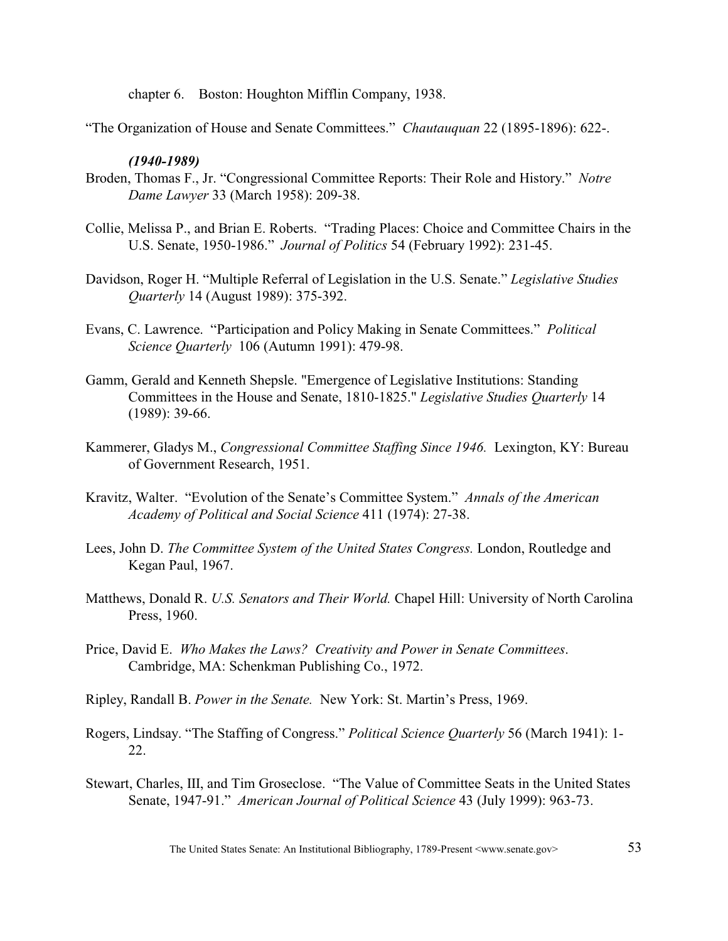chapter 6. Boston: Houghton Mifflin Company, 1938.

"The Organization of House and Senate Committees." *Chautauquan* 22 (1895-1896): 622-.

### *(1940-1989)*

- Broden, Thomas F., Jr. "Congressional Committee Reports: Their Role and History." *Notre Dame Lawyer* 33 (March 1958): 209-38.
- Collie, Melissa P., and Brian E. Roberts. "Trading Places: Choice and Committee Chairs in the U.S. Senate, 1950-1986." *Journal of Politics* 54 (February 1992): 231-45.
- Davidson, Roger H. "Multiple Referral of Legislation in the U.S. Senate." *Legislative Studies Quarterly* 14 (August 1989): 375-392.
- Evans, C. Lawrence. "Participation and Policy Making in Senate Committees." *Political Science Quarterly* 106 (Autumn 1991): 479-98.
- Gamm, Gerald and Kenneth Shepsle. "Emergence of Legislative Institutions: Standing Committees in the House and Senate, 1810-1825." *Legislative Studies Quarterly* 14 (1989): 39-66.
- Kammerer, Gladys M., *Congressional Committee Staffing Since 1946.* Lexington, KY: Bureau of Government Research, 1951.
- Kravitz, Walter. "Evolution of the Senate's Committee System." *Annals of the American Academy of Political and Social Science* 411 (1974): 27-38.
- Lees, John D. *The Committee System of the United States Congress.* London, Routledge and Kegan Paul, 1967.
- Matthews, Donald R. *U.S. Senators and Their World.* Chapel Hill: University of North Carolina Press, 1960.
- Price, David E. *Who Makes the Laws? Creativity and Power in Senate Committees*. Cambridge, MA: Schenkman Publishing Co., 1972.
- Ripley, Randall B. *Power in the Senate.* New York: St. Martin's Press, 1969.
- Rogers, Lindsay. "The Staffing of Congress." *Political Science Quarterly* 56 (March 1941): 1- 22.
- Stewart, Charles, III, and Tim Groseclose. "The Value of Committee Seats in the United States Senate, 1947-91." *American Journal of Political Science* 43 (July 1999): 963-73.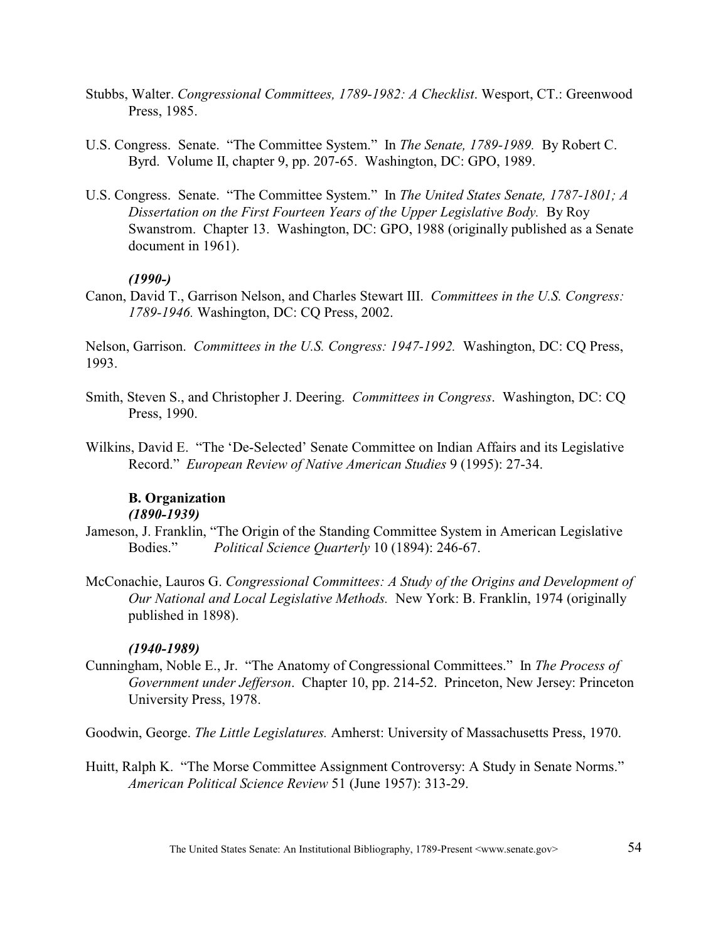- Stubbs, Walter. *Congressional Committees, 1789-1982: A Checklist*. Wesport, CT.: Greenwood Press, 1985.
- U.S. Congress. Senate. "The Committee System." In *The Senate, 1789-1989.* By Robert C. Byrd. Volume II, chapter 9, pp. 207-65. Washington, DC: GPO, 1989.
- U.S. Congress. Senate. "The Committee System." In *The United States Senate, 1787-1801; A Dissertation on the First Fourteen Years of the Upper Legislative Body.* By Roy Swanstrom. Chapter 13. Washington, DC: GPO, 1988 (originally published as a Senate document in 1961).

### *(1990-)*

Canon, David T., Garrison Nelson, and Charles Stewart III. *Committees in the U.S. Congress: 1789-1946.* Washington, DC: CQ Press, 2002.

Nelson, Garrison. *Committees in the U.S. Congress: 1947-1992.* Washington, DC: CQ Press, 1993.

- Smith, Steven S., and Christopher J. Deering. *Committees in Congress*. Washington, DC: CQ Press, 1990.
- Wilkins, David E. "The 'De-Selected' Senate Committee on Indian Affairs and its Legislative Record." *European Review of Native American Studies* 9 (1995): 27-34.

### **B. Organization** *(1890-1939)*

- Jameson, J. Franklin, "The Origin of the Standing Committee System in American Legislative Bodies." *Political Science Quarterly* 10 (1894): 246-67.
- McConachie, Lauros G. *Congressional Committees: A Study of the Origins and Development of Our National and Local Legislative Methods.* New York: B. Franklin, 1974 (originally published in 1898).

### *(1940-1989)*

Cunningham, Noble E., Jr. "The Anatomy of Congressional Committees." In *The Process of Government under Jefferson*. Chapter 10, pp. 214-52. Princeton, New Jersey: Princeton University Press, 1978.

Goodwin, George. *The Little Legislatures.* Amherst: University of Massachusetts Press, 1970.

Huitt, Ralph K. "The Morse Committee Assignment Controversy: A Study in Senate Norms." *American Political Science Review* 51 (June 1957): 313-29.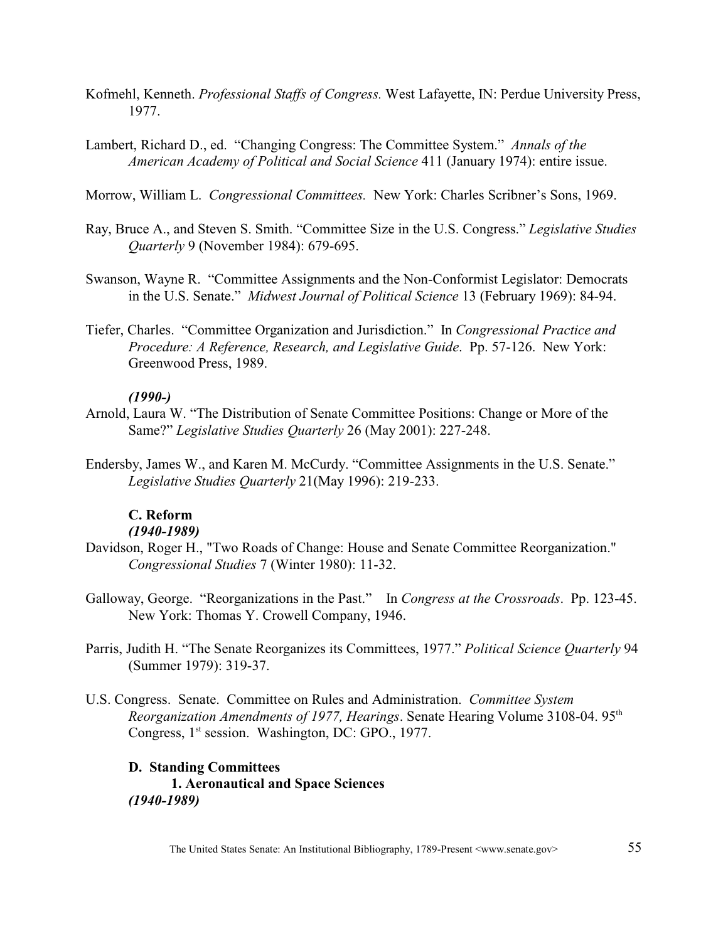- Kofmehl, Kenneth. *Professional Staffs of Congress.* West Lafayette, IN: Perdue University Press, 1977.
- Lambert, Richard D., ed. "Changing Congress: The Committee System." *Annals of the American Academy of Political and Social Science* 411 (January 1974): entire issue.

Morrow, William L. *Congressional Committees.* New York: Charles Scribner's Sons, 1969.

- Ray, Bruce A., and Steven S. Smith. "Committee Size in the U.S. Congress." *Legislative Studies Quarterly* 9 (November 1984): 679-695.
- Swanson, Wayne R. "Committee Assignments and the Non-Conformist Legislator: Democrats in the U.S. Senate." *Midwest Journal of Political Science* 13 (February 1969): 84-94.
- Tiefer, Charles. "Committee Organization and Jurisdiction." In *Congressional Practice and Procedure: A Reference, Research, and Legislative Guide*. Pp. 57-126. New York: Greenwood Press, 1989.

# *(1990-)*

- Arnold, Laura W. "The Distribution of Senate Committee Positions: Change or More of the Same?" *Legislative Studies Quarterly* 26 (May 2001): 227-248.
- Endersby, James W., and Karen M. McCurdy. "Committee Assignments in the U.S. Senate." *Legislative Studies Quarterly* 21(May 1996): 219-233.

# **C. Reform**

# *(1940-1989)*

- Davidson, Roger H., "Two Roads of Change: House and Senate Committee Reorganization." *Congressional Studies* 7 (Winter 1980): 11-32.
- Galloway, George. "Reorganizations in the Past." In *Congress at the Crossroads*. Pp. 123-45. New York: Thomas Y. Crowell Company, 1946.
- Parris, Judith H. "The Senate Reorganizes its Committees, 1977." *Political Science Quarterly* 94 (Summer 1979): 319-37.
- U.S. Congress. Senate. Committee on Rules and Administration. *Committee System Reorganization Amendments of 1977, Hearings.* Senate Hearing Volume 3108-04. 95<sup>th</sup> Congress,  $1<sup>st</sup>$  session. Washington, DC: GPO., 1977.

### **D. Standing Committees**

**1. Aeronautical and Space Sciences** *(1940-1989)*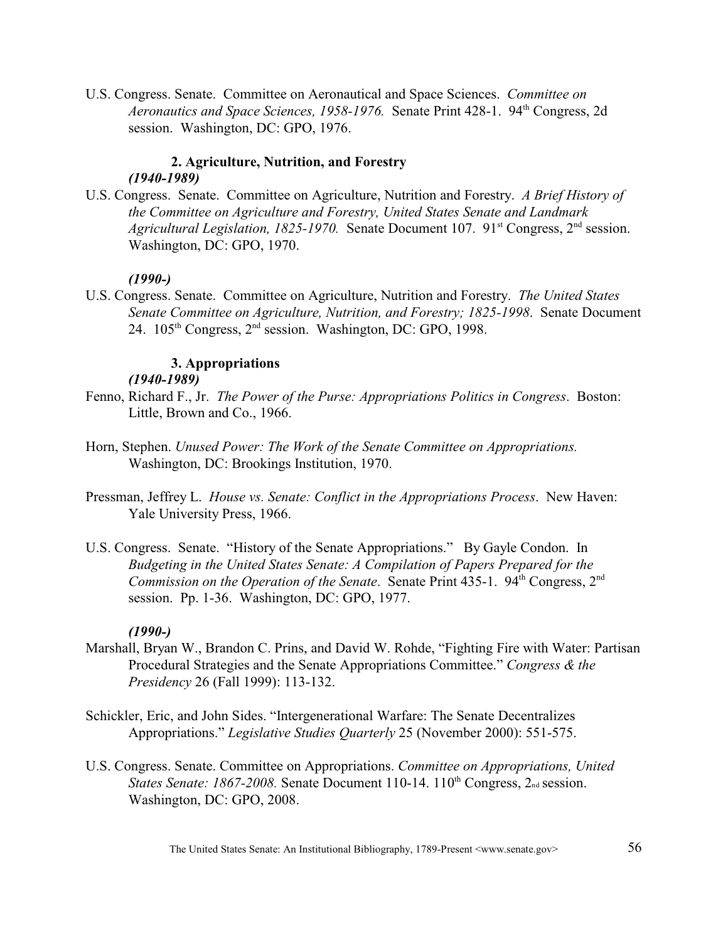U.S. Congress. Senate. Committee on Aeronautical and Space Sciences. *Committee on Aeronautics and Space Sciences, 1958-1976.* Senate Print 428-1. 94<sup>th</sup> Congress, 2d session. Washington, DC: GPO, 1976.

### **2. Agriculture, Nutrition, and Forestry** *(1940-1989)*

U.S. Congress. Senate. Committee on Agriculture, Nutrition and Forestry. *A Brief History of the Committee on Agriculture and Forestry, United States Senate and Landmark Agricultural Legislation, 1825-1970.* Senate Document 107. 91<sup>st</sup> Congress, 2<sup>nd</sup> session. Washington, DC: GPO, 1970.

### *(1990-)*

U.S. Congress. Senate. Committee on Agriculture, Nutrition and Forestry. *The United States Senate Committee on Agriculture, Nutrition, and Forestry; 1825-1998*. Senate Document 24.  $105<sup>th</sup>$  Congress,  $2<sup>nd</sup>$  session. Washington, DC: GPO, 1998.

### **3. Appropriations**

# *(1940-1989)*

- Fenno, Richard F., Jr. *The Power of the Purse: Appropriations Politics in Congress*. Boston: Little, Brown and Co., 1966.
- Horn, Stephen. *Unused Power: The Work of the Senate Committee on Appropriations.*  Washington, DC: Brookings Institution, 1970.
- Pressman, Jeffrey L. *House vs. Senate: Conflict in the Appropriations Process*. New Haven: Yale University Press, 1966.
- U.S. Congress. Senate. "History of the Senate Appropriations." By Gayle Condon. In *Budgeting in the United States Senate: A Compilation of Papers Prepared for the Commission on the Operation of the Senate.* Senate Print 435-1. 94<sup>th</sup> Congress, 2<sup>nd</sup> session. Pp. 1-36. Washington, DC: GPO, 1977.

### *(1990-)*

- Marshall, Bryan W., Brandon C. Prins, and David W. Rohde, "Fighting Fire with Water: Partisan Procedural Strategies and the Senate Appropriations Committee." *Congress & the Presidency* 26 (Fall 1999): 113-132.
- Schickler, Eric, and John Sides. "Intergenerational Warfare: The Senate Decentralizes Appropriations." *Legislative Studies Quarterly* 25 (November 2000): 551-575.
- U.S. Congress. Senate. Committee on Appropriations. *Committee on Appropriations, United States Senate: 1867-2008.* Senate Document 110-14. 110<sup>th</sup> Congress, 2<sub>nd</sub> session. Washington, DC: GPO, 2008.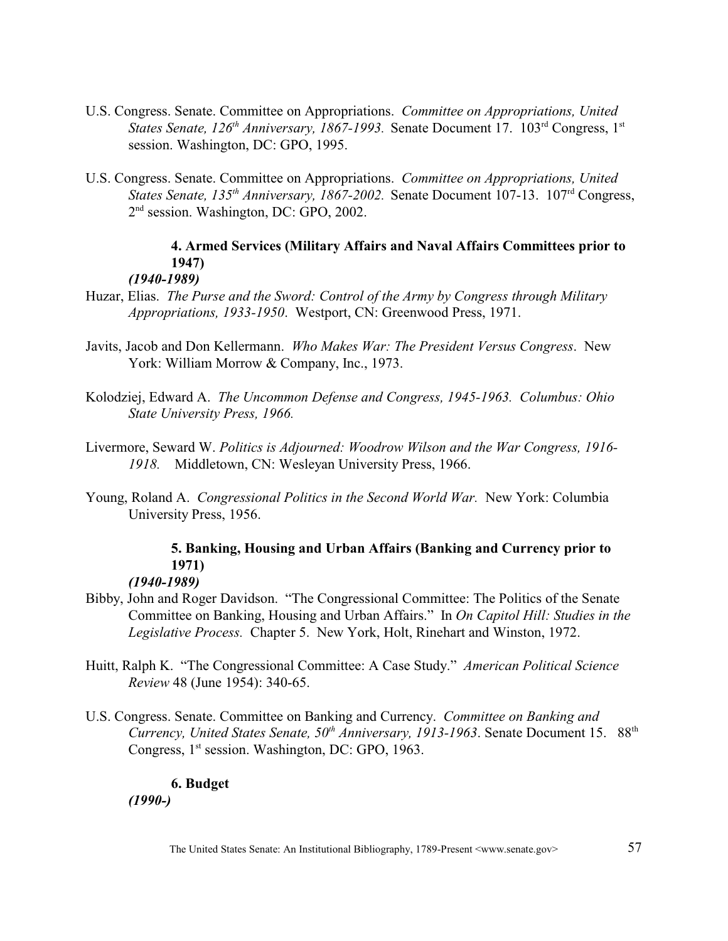- U.S. Congress. Senate. Committee on Appropriations. *Committee on Appropriations, United States Senate, 126<sup>th</sup> Anniversary, 1867-1993.* Senate Document 17. 103<sup>rd</sup> Congress, 1<sup>st</sup> session. Washington, DC: GPO, 1995.
- U.S. Congress. Senate. Committee on Appropriations. *Committee on Appropriations, United States Senate, 135<sup>th</sup> Anniversary, 1867-2002.* Senate Document 107-13. 107<sup>rd</sup> Congress, 2<sup>nd</sup> session. Washington, DC: GPO, 2002.

# **4. Armed Services (Military Affairs and Naval Affairs Committees prior to 1947)**

# *(1940-1989)*

- Huzar, Elias. *The Purse and the Sword: Control of the Army by Congress through Military Appropriations, 1933-1950*. Westport, CN: Greenwood Press, 1971.
- Javits, Jacob and Don Kellermann. *Who Makes War: The President Versus Congress*. New York: William Morrow & Company, Inc., 1973.
- Kolodziej, Edward A. *The Uncommon Defense and Congress, 1945-1963. Columbus: Ohio State University Press, 1966.*
- Livermore, Seward W. *Politics is Adjourned: Woodrow Wilson and the War Congress, 1916- 1918.* Middletown, CN: Wesleyan University Press, 1966.
- Young, Roland A. *Congressional Politics in the Second World War.* New York: Columbia University Press, 1956.

# **5. Banking, Housing and Urban Affairs (Banking and Currency prior to 1971)**

# *(1940-1989)*

- Bibby, John and Roger Davidson. "The Congressional Committee: The Politics of the Senate Committee on Banking, Housing and Urban Affairs."In *On Capitol Hill: Studies in the Legislative Process.* Chapter 5. New York, Holt, Rinehart and Winston, 1972.
- Huitt, Ralph K. "The Congressional Committee: A Case Study." *American Political Science Review* 48 (June 1954): 340-65.
- U.S. Congress. Senate. Committee on Banking and Currency. *Committee on Banking and Currency, United States Senate, 50<sup>th</sup> Anniversary, 1913-1963.* Senate Document 15. 88<sup>th</sup> Congress,  $1<sup>st</sup>$  session. Washington, DC: GPO, 1963.

# **6. Budget**

*(1990-)*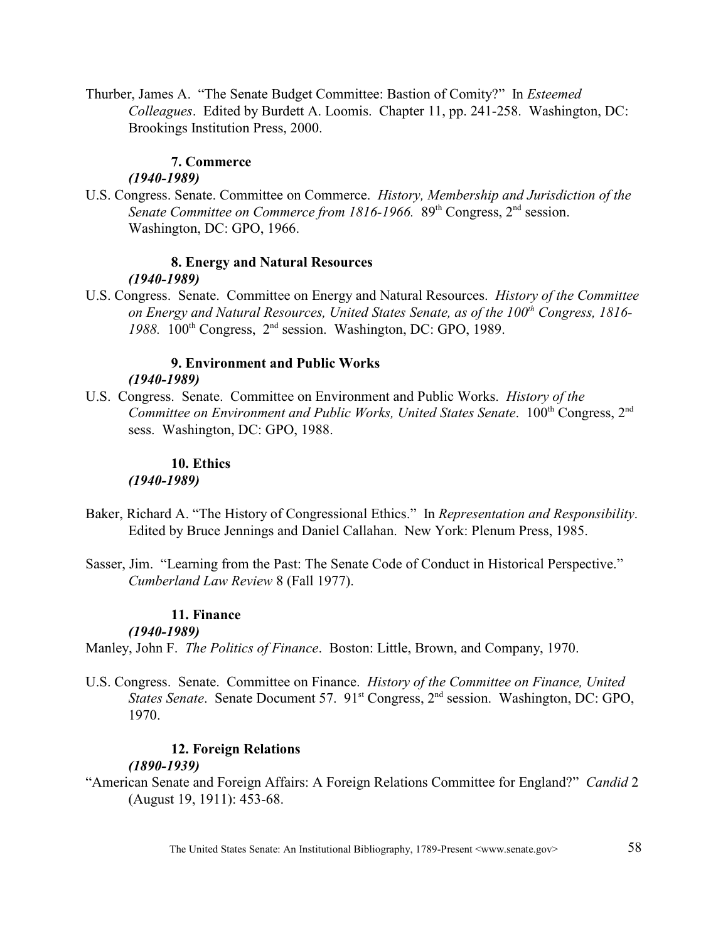Thurber, James A. "The Senate Budget Committee: Bastion of Comity?" In *Esteemed Colleagues*. Edited by Burdett A. Loomis. Chapter 11, pp. 241-258. Washington, DC: Brookings Institution Press, 2000.

# **7. Commerce**

# *(1940-1989)*

U.S. Congress. Senate. Committee on Commerce. *History, Membership and Jurisdiction of the Senate Committee on Commerce from 1816-1966.* 89<sup>th</sup> Congress, 2<sup>nd</sup> session. Washington, DC: GPO, 1966.

### **8. Energy and Natural Resources** *(1940-1989)*

U.S. Congress. Senate. Committee on Energy and Natural Resources. *History of the Committee on Energy and Natural Resources, United States Senate, as of the 100<sup>th</sup> Congress, 1816-* $1988.$   $100<sup>th</sup>$  Congress,  $2<sup>nd</sup>$  session. Washington, DC: GPO, 1989.

### **9. Environment and Public Works** *(1940-1989)*

U.S. Congress. Senate. Committee on Environment and Public Works. *History of the Committee on Environment and Public Works, United States Senate.* 100<sup>th</sup> Congress, 2<sup>nd</sup> sess. Washington, DC: GPO, 1988.

### **10. Ethics** *(1940-1989)*

- Baker, Richard A. "The History of Congressional Ethics." In *Representation and Responsibility*. Edited by Bruce Jennings and Daniel Callahan. New York: Plenum Press, 1985.
- Sasser, Jim. "Learning from the Past: The Senate Code of Conduct in Historical Perspective." *Cumberland Law Review* 8 (Fall 1977).

# **11. Finance**

# *(1940-1989)*

Manley, John F. *The Politics of Finance*. Boston: Little, Brown, and Company, 1970.

U.S. Congress. Senate.Committee on Finance. *History of the Committee on Finance, United States Senate.* Senate Document 57. 91<sup>st</sup> Congress, 2<sup>nd</sup> session. Washington, DC: GPO, 1970.

# **12. Foreign Relations**

# *(1890-1939)*

"American Senate and Foreign Affairs: A Foreign Relations Committee for England?" *Candid* 2 (August 19, 1911): 453-68.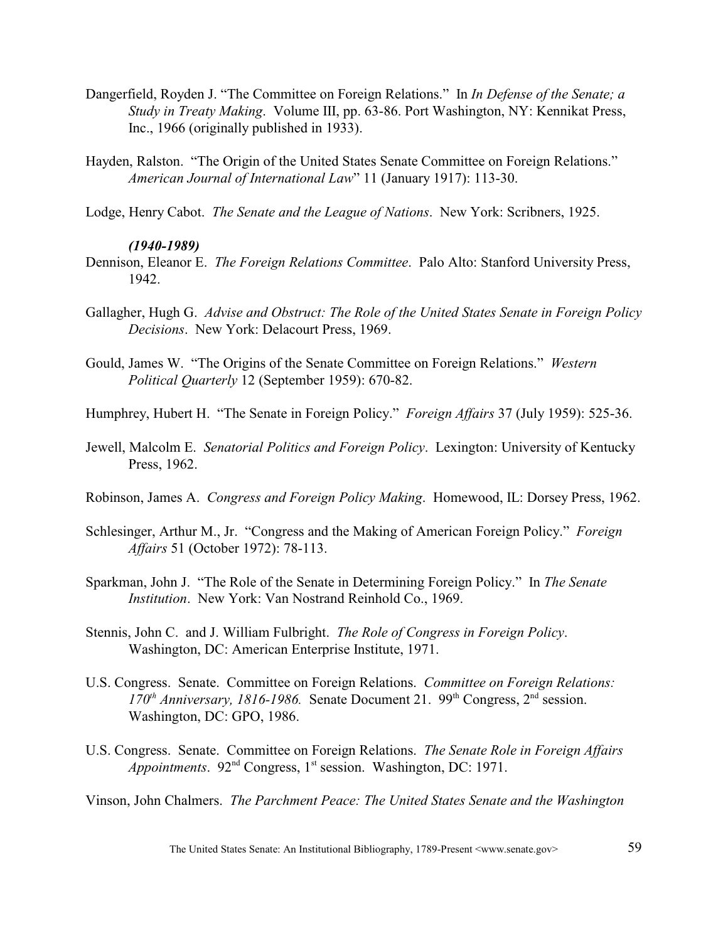- Dangerfield, Royden J. "The Committee on Foreign Relations." In *In Defense of the Senate; a Study in Treaty Making*. Volume III, pp. 63-86. Port Washington, NY: Kennikat Press, Inc., 1966 (originally published in 1933).
- Hayden, Ralston. "The Origin of the United States Senate Committee on Foreign Relations." *American Journal of International Law*" 11 (January 1917): 113-30.
- Lodge, Henry Cabot. *The Senate and the League of Nations*. New York: Scribners, 1925.

### *(1940-1989)*

- Dennison, Eleanor E. *The Foreign Relations Committee*. Palo Alto: Stanford University Press, 1942.
- Gallagher, Hugh G. *Advise and Obstruct: The Role of the United States Senate in Foreign Policy Decisions*. New York: Delacourt Press, 1969.
- Gould, James W. "The Origins of the Senate Committee on Foreign Relations." *Western Political Quarterly* 12 (September 1959): 670-82.
- Humphrey, Hubert H. "The Senate in Foreign Policy." *Foreign Affairs* 37 (July 1959): 525-36.
- Jewell, Malcolm E. *Senatorial Politics and Foreign Policy*. Lexington: University of Kentucky Press, 1962.
- Robinson, James A. *Congress and Foreign Policy Making*. Homewood, IL: Dorsey Press, 1962.
- Schlesinger, Arthur M., Jr. "Congress and the Making of American Foreign Policy." *Foreign Affairs* 51 (October 1972): 78-113.
- Sparkman, John J. "The Role of the Senate in Determining Foreign Policy." In *The Senate Institution*. New York: Van Nostrand Reinhold Co., 1969.
- Stennis, John C. and J. William Fulbright. *The Role of Congress in Foreign Policy*. Washington, DC: American Enterprise Institute, 1971.
- U.S. Congress. Senate. Committee on Foreign Relations. *Committee on Foreign Relations: 170<sup>th</sup> Anniversary, 1816-1986.* Senate Document 21. 99<sup>th</sup> Congress, 2<sup>nd</sup> session. Washington, DC: GPO, 1986.
- U.S. Congress. Senate. Committee on Foreign Relations. *The Senate Role in Foreign Affairs Appointments.* 92<sup>nd</sup> Congress, 1<sup>st</sup> session. Washington, DC: 1971.

Vinson, John Chalmers. *The Parchment Peace: The United States Senate and the Washington*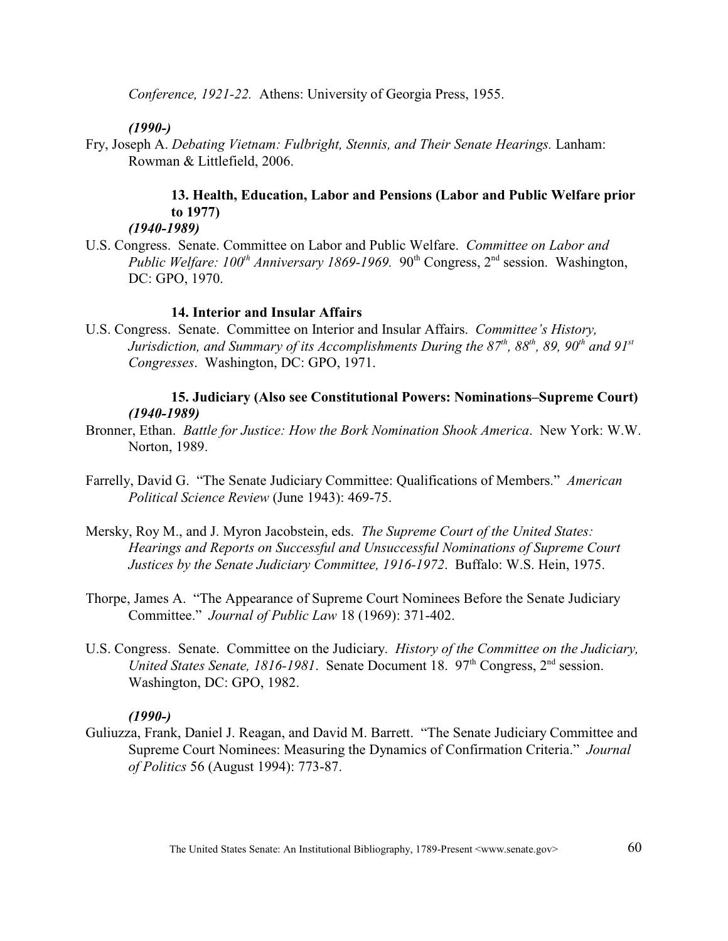*Conference, 1921-22.* Athens: University of Georgia Press, 1955.

# *(1990-)*

Fry, Joseph A. *Debating Vietnam: Fulbright, Stennis, and Their Senate Hearings.* Lanham: Rowman & Littlefield, 2006.

# **13. Health, Education, Labor and Pensions (Labor and Public Welfare prior to 1977)**

*(1940-1989)*

U.S. Congress. Senate. Committee on Labor and Public Welfare. *Committee on Labor and Public Welfare: 100<sup>th</sup> Anniversary 1869-1969.* 90<sup>th</sup> Congress, 2<sup>nd</sup> session. Washington, DC: GPO, 1970.

# **14. Interior and Insular Affairs**

U.S. Congress. Senate. Committee on Interior and Insular Affairs. *Committee's History, Jurisdiction, and Summary of its Accomplishments During the 87<sup>th</sup>, 88<sup>th</sup>, 89, 90<sup>th</sup> and 91<sup>st</sup> Congresses*. Washington, DC: GPO, 1971.

# **15. Judiciary (Also see Constitutional Powers: Nominations–Supreme Court)**  *(1940-1989)*

- Bronner, Ethan. *Battle for Justice: How the Bork Nomination Shook America*. New York: W.W. Norton, 1989.
- Farrelly, David G. "The Senate Judiciary Committee: Qualifications of Members." *American Political Science Review* (June 1943): 469-75.
- Mersky, Roy M., and J. Myron Jacobstein, eds. *The Supreme Court of the United States: Hearings and Reports on Successful and Unsuccessful Nominations of Supreme Court Justices by the Senate Judiciary Committee, 1916-1972*. Buffalo: W.S. Hein, 1975.
- Thorpe, James A. "The Appearance of Supreme Court Nominees Before the Senate Judiciary Committee." *Journal of Public Law* 18 (1969): 371-402.
- U.S. Congress. Senate. Committee on the Judiciary. *History of the Committee on the Judiciary, United States Senate, 1816-1981.* Senate Document 18. 97<sup>th</sup> Congress, 2<sup>nd</sup> session. Washington, DC: GPO, 1982.

### *(1990-)*

Guliuzza, Frank, Daniel J. Reagan, and David M. Barrett. "The Senate Judiciary Committee and Supreme Court Nominees: Measuring the Dynamics of Confirmation Criteria." *Journal of Politics* 56 (August 1994): 773-87.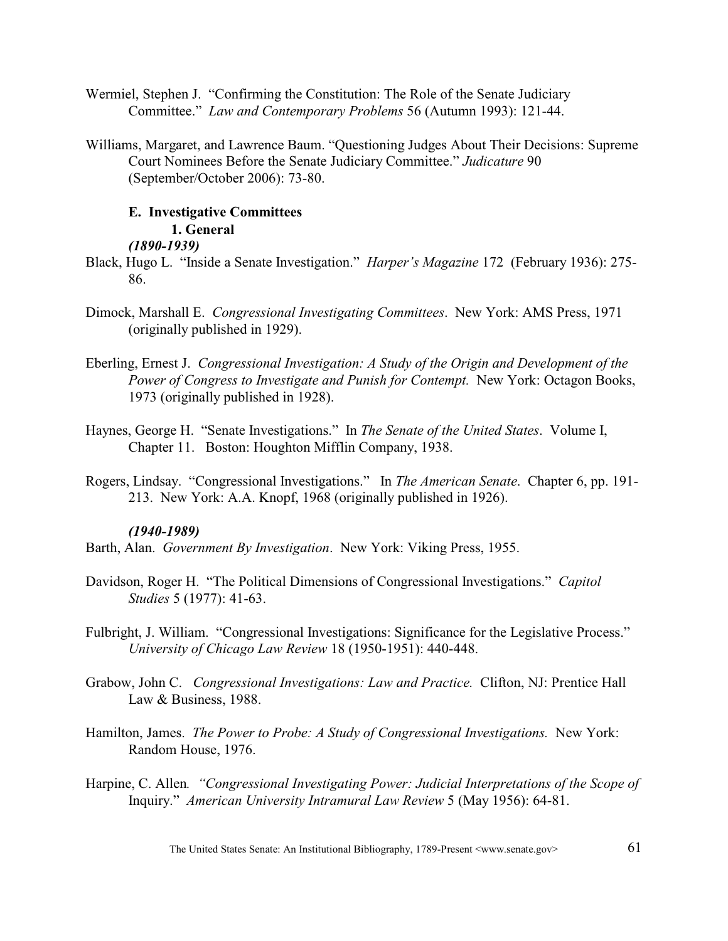- Wermiel, Stephen J. "Confirming the Constitution: The Role of the Senate Judiciary Committee." *Law and Contemporary Problems* 56 (Autumn 1993): 121-44.
- Williams, Margaret, and Lawrence Baum. "Questioning Judges About Their Decisions: Supreme Court Nominees Before the Senate Judiciary Committee." *Judicature* 90 (September/October 2006): 73-80.

# **E. Investigative Committees**

# **1. General**

### *(1890-1939)*

- Black, Hugo L. "Inside a Senate Investigation." *Harper's Magazine* 172 (February 1936): 275- 86.
- Dimock, Marshall E. *Congressional Investigating Committees*. New York: AMS Press, 1971 (originally published in 1929).
- Eberling, Ernest J. *Congressional Investigation: A Study of the Origin and Development of the Power of Congress to Investigate and Punish for Contempt.* New York: Octagon Books, 1973 (originally published in 1928).
- Haynes, George H. "Senate Investigations." In *The Senate of the United States*. Volume I, Chapter 11. Boston: Houghton Mifflin Company, 1938.
- Rogers, Lindsay. "Congressional Investigations." In *The American Senate*. Chapter 6, pp. 191- 213. New York: A.A. Knopf, 1968 (originally published in 1926).

### *(1940-1989)*

Barth, Alan. *Government By Investigation*. New York: Viking Press, 1955.

- Davidson, Roger H. "The Political Dimensions of Congressional Investigations." *Capitol Studies* 5 (1977): 41-63.
- Fulbright, J. William. "Congressional Investigations: Significance for the Legislative Process." *University of Chicago Law Review* 18 (1950-1951): 440-448.
- Grabow, John C. *Congressional Investigations: Law and Practice.* Clifton, NJ: Prentice Hall Law & Business, 1988.
- Hamilton, James. *The Power to Probe: A Study of Congressional Investigations.* New York: Random House, 1976.
- Harpine, C. Allen*. "Congressional Investigating Power: Judicial Interpretations of the Scope of* Inquiry." *American University Intramural Law Review* 5 (May 1956): 64-81.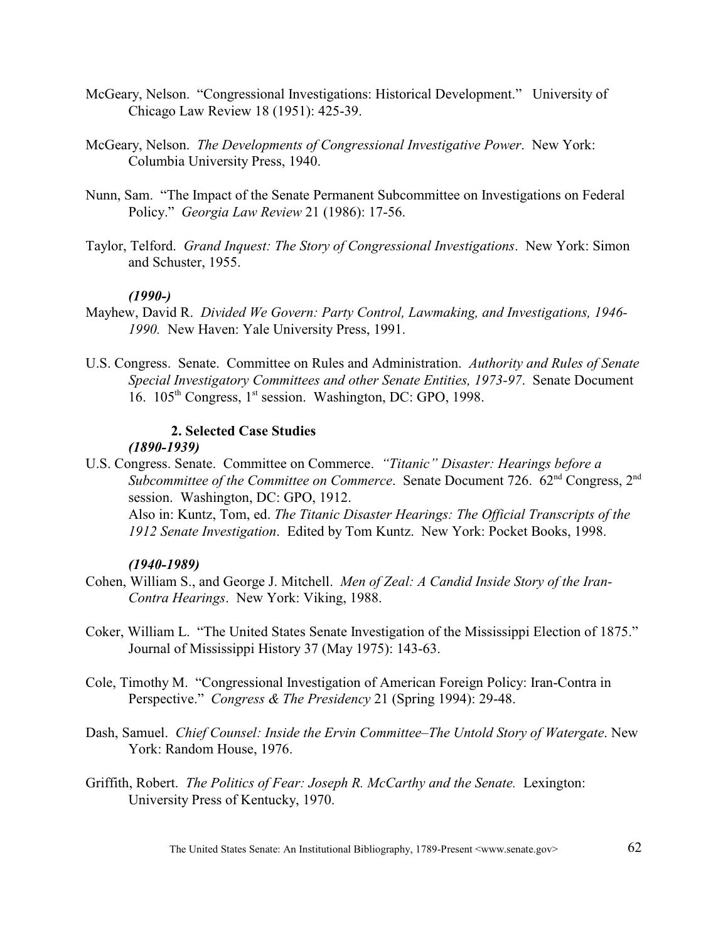- McGeary, Nelson. "Congressional Investigations: Historical Development." University of Chicago Law Review 18 (1951): 425-39.
- McGeary, Nelson. *The Developments of Congressional Investigative Power*. New York: Columbia University Press, 1940.
- Nunn, Sam. "The Impact of the Senate Permanent Subcommittee on Investigations on Federal Policy." *Georgia Law Review* 21 (1986): 17-56.
- Taylor, Telford. *Grand Inquest: The Story of Congressional Investigations*. New York: Simon and Schuster, 1955.

### *(1990-)*

- Mayhew, David R. *Divided We Govern: Party Control, Lawmaking, and Investigations, 1946- 1990.* New Haven: Yale University Press, 1991.
- U.S. Congress. Senate. Committee on Rules and Administration. *Authority and Rules of Senate Special Investigatory Committees and other Senate Entities, 1973-97*. Senate Document 16.  $105<sup>th</sup> Congress, 1<sup>st</sup> session. Washington, DC: GPO, 1998.$

# **2. Selected Case Studies**

### *(1890-1939)*

U.S. Congress. Senate. Committee on Commerce. *"Titanic" Disaster: Hearings before a Subcommittee of the Committee on Commerce.* Senate Document 726.  $62<sup>nd</sup>$  Congress, 2<sup>nd</sup> session. Washington, DC: GPO, 1912. Also in: Kuntz, Tom, ed. *The Titanic Disaster Hearings: The Official Transcripts of the 1912 Senate Investigation*. Edited by Tom Kuntz. New York: Pocket Books, 1998.

### *(1940-1989)*

- Cohen, William S., and George J. Mitchell. *Men of Zeal: A Candid Inside Story of the Iran-Contra Hearings*. New York: Viking, 1988.
- Coker, William L. "The United States Senate Investigation of the Mississippi Election of 1875." Journal of Mississippi History 37 (May 1975): 143-63.
- Cole, Timothy M. "Congressional Investigation of American Foreign Policy: Iran-Contra in Perspective." *Congress & The Presidency* 21 (Spring 1994): 29-48.
- Dash, Samuel. *Chief Counsel: Inside the Ervin Committee–The Untold Story of Watergate*. New York: Random House, 1976.
- Griffith, Robert. *The Politics of Fear: Joseph R. McCarthy and the Senate.* Lexington: University Press of Kentucky, 1970.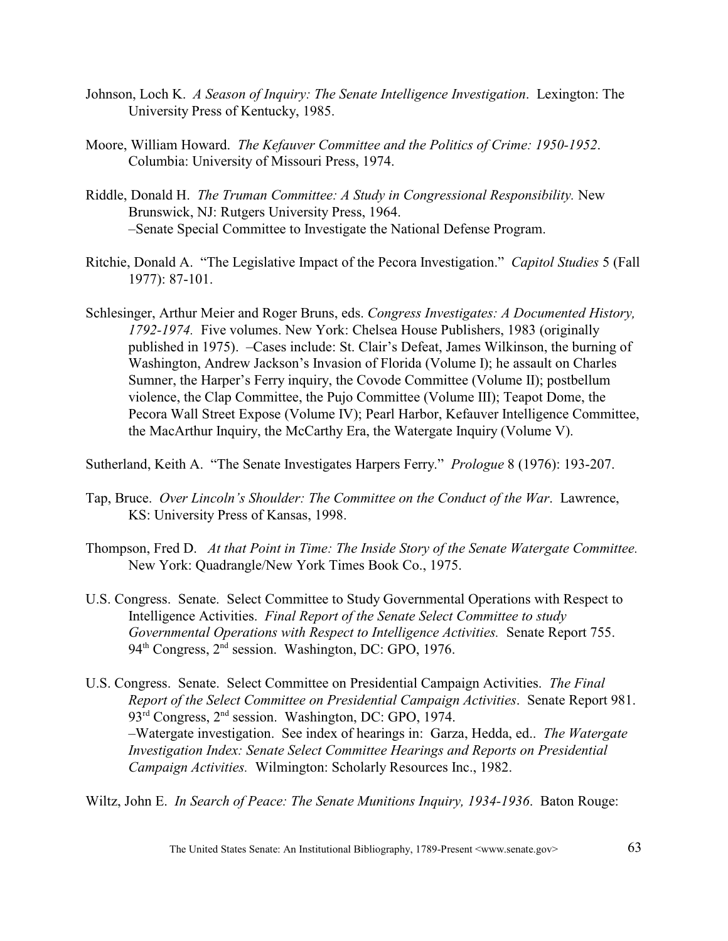- Johnson, Loch K. *A Season of Inquiry: The Senate Intelligence Investigation*. Lexington: The University Press of Kentucky, 1985.
- Moore, William Howard. *The Kefauver Committee and the Politics of Crime: 1950-1952*. Columbia: University of Missouri Press, 1974.
- Riddle, Donald H. *The Truman Committee: A Study in Congressional Responsibility.* New Brunswick, NJ: Rutgers University Press, 1964. –Senate Special Committee to Investigate the National Defense Program.
- Ritchie, Donald A. "The Legislative Impact of the Pecora Investigation." *Capitol Studies* 5 (Fall 1977): 87-101.
- Schlesinger, Arthur Meier and Roger Bruns, eds. *Congress Investigates: A Documented History, 1792-1974.* Five volumes. New York: Chelsea House Publishers, 1983 (originally published in 1975). –Cases include: St. Clair's Defeat, James Wilkinson, the burning of Washington, Andrew Jackson's Invasion of Florida (Volume I); he assault on Charles Sumner, the Harper's Ferry inquiry, the Covode Committee (Volume II); postbellum violence, the Clap Committee, the Pujo Committee (Volume III); Teapot Dome, the Pecora Wall Street Expose (Volume IV); Pearl Harbor, Kefauver Intelligence Committee, the MacArthur Inquiry, the McCarthy Era, the Watergate Inquiry (Volume V).

Sutherland, Keith A. "The Senate Investigates Harpers Ferry." *Prologue* 8 (1976): 193-207.

- Tap, Bruce. *Over Lincoln's Shoulder: The Committee on the Conduct of the War*. Lawrence, KS: University Press of Kansas, 1998.
- Thompson, Fred D. *At that Point in Time: The Inside Story of the Senate Watergate Committee.*  New York: Quadrangle/New York Times Book Co., 1975.
- U.S. Congress. Senate. Select Committee to Study Governmental Operations with Respect to Intelligence Activities. *Final Report of the Senate Select Committee to study Governmental Operations with Respect to Intelligence Activities.* Senate Report 755. 94<sup>th</sup> Congress, 2<sup>nd</sup> session. Washington, DC: GPO, 1976.
- U.S. Congress. Senate. Select Committee on Presidential Campaign Activities. *The Final Report of the Select Committee on Presidential Campaign Activities*. Senate Report 981. 93<sup>rd</sup> Congress, 2<sup>nd</sup> session. Washington, DC: GPO, 1974. –Watergate investigation. See index of hearings in: Garza, Hedda, ed.. *The Watergate Investigation Index: Senate Select Committee Hearings and Reports on Presidential Campaign Activities.* Wilmington: Scholarly Resources Inc., 1982.
- Wiltz, John E. *In Search of Peace: The Senate Munitions Inquiry, 1934-1936*. Baton Rouge: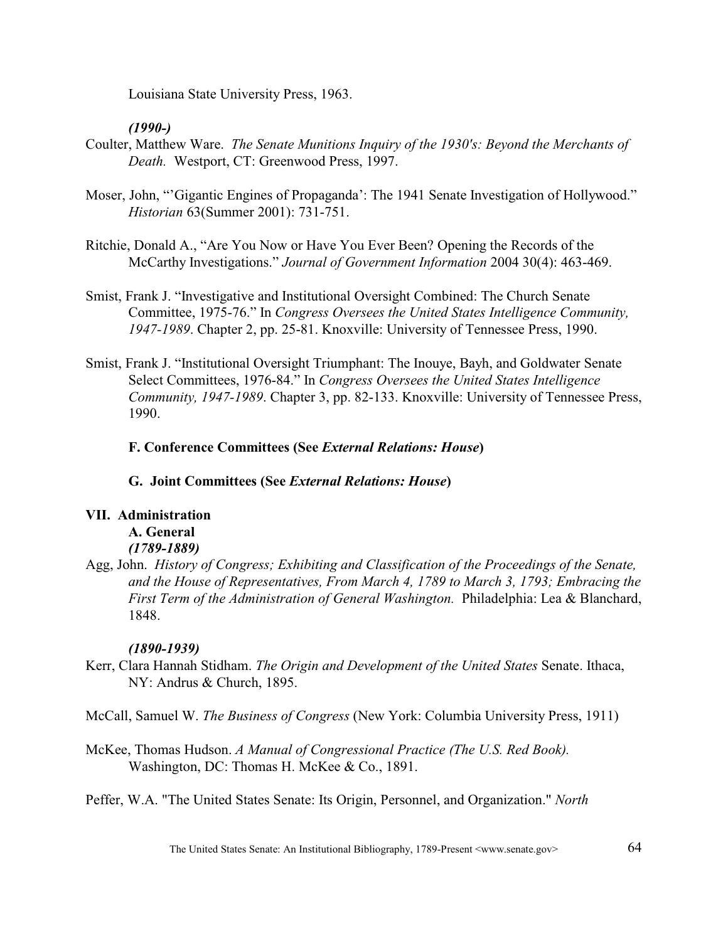Louisiana State University Press, 1963.

# *(1990-)*

- Coulter, Matthew Ware. *The Senate Munitions Inquiry of the 1930's: Beyond the Merchants of Death.* Westport, CT: Greenwood Press, 1997.
- Moser, John, "'Gigantic Engines of Propaganda': The 1941 Senate Investigation of Hollywood." *Historian* 63(Summer 2001): 731-751.
- Ritchie, Donald A., "Are You Now or Have You Ever Been? Opening the Records of the McCarthy Investigations." *Journal of Government Information* 2004 30(4): 463-469.
- Smist, Frank J. "Investigative and Institutional Oversight Combined: The Church Senate Committee, 1975-76." In *Congress Oversees the United States Intelligence Community, 1947-1989*. Chapter 2, pp. 25-81. Knoxville: University of Tennessee Press, 1990.
- Smist, Frank J. "Institutional Oversight Triumphant: The Inouye, Bayh, and Goldwater Senate Select Committees, 1976-84." In *Congress Oversees the United States Intelligence Community, 1947-1989*. Chapter 3, pp. 82-133. Knoxville: University of Tennessee Press, 1990.

# **F. Conference Committees (See** *External Relations: House***)**

**G. Joint Committees (See** *External Relations: House***)**

# **VII. Administration**

# **A. General**

- *(1789-1889)*
- Agg, John. *History of Congress; Exhibiting and Classification of the Proceedings of the Senate, and the House of Representatives, From March 4, 1789 to March 3, 1793; Embracing the First Term of the Administration of General Washington.* Philadelphia: Lea & Blanchard, 1848.

# *(1890-1939)*

- Kerr, Clara Hannah Stidham. *The Origin and Development of the United States* Senate. Ithaca, NY: Andrus & Church, 1895.
- McCall, Samuel W. *The Business of Congress* (New York: Columbia University Press, 1911)
- McKee, Thomas Hudson. *A Manual of Congressional Practice (The U.S. Red Book).*  Washington, DC: Thomas H. McKee & Co., 1891.
- Peffer, W.A. "The United States Senate: Its Origin, Personnel, and Organization." *North*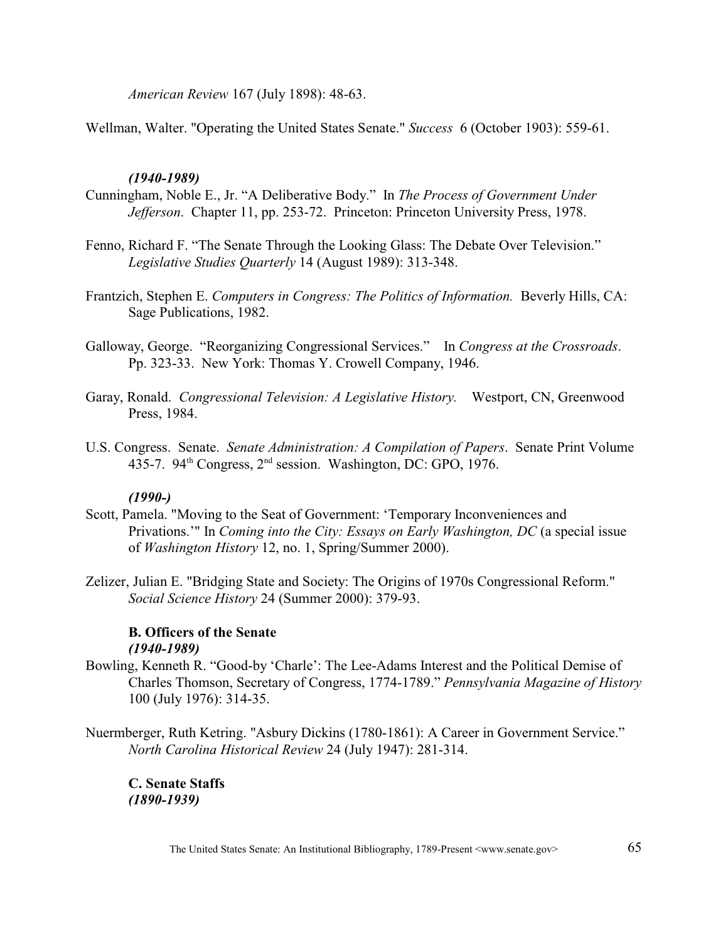*American Review* 167 (July 1898): 48-63.

Wellman, Walter. "Operating the United States Senate." *Success* 6 (October 1903): 559-61.

## *(1940-1989)*

- Cunningham, Noble E., Jr. "A Deliberative Body." In *The Process of Government Under Jefferson*. Chapter 11, pp. 253-72. Princeton: Princeton University Press, 1978.
- Fenno, Richard F. "The Senate Through the Looking Glass: The Debate Over Television." *Legislative Studies Quarterly* 14 (August 1989): 313-348.
- Frantzich, Stephen E. *Computers in Congress: The Politics of Information.* Beverly Hills, CA: Sage Publications, 1982.
- Galloway, George. "Reorganizing Congressional Services." In *Congress at the Crossroads*. Pp. 323-33. New York: Thomas Y. Crowell Company, 1946.
- Garay, Ronald. *Congressional Television: A Legislative History.* Westport, CN, Greenwood Press, 1984.
- U.S. Congress. Senate. *Senate Administration: A Compilation of Papers*. Senate Print Volume 435-7. 94<sup>th</sup> Congress,  $2<sup>nd</sup>$  session. Washington, DC: GPO, 1976.

### *(1990-)*

- Scott, Pamela. "Moving to the Seat of Government: 'Temporary Inconveniences and Privations.'" In *Coming into the City: Essays on Early Washington, DC* (a special issue of *Washington History* 12, no. 1, Spring/Summer 2000).
- Zelizer, Julian E. "Bridging State and Society: The Origins of 1970s Congressional Reform." *Social Science History* 24 (Summer 2000): 379-93.

## **B. Officers of the Senate** *(1940-1989)*

- Bowling, Kenneth R. "Good-by 'Charle': The Lee-Adams Interest and the Political Demise of Charles Thomson, Secretary of Congress, 1774-1789." *Pennsylvania Magazine of History* 100 (July 1976): 314-35.
- Nuermberger, Ruth Ketring. "Asbury Dickins (1780-1861): A Career in Government Service." *North Carolina Historical Review* 24 (July 1947): 281-314.

**C. Senate Staffs** *(1890-1939)*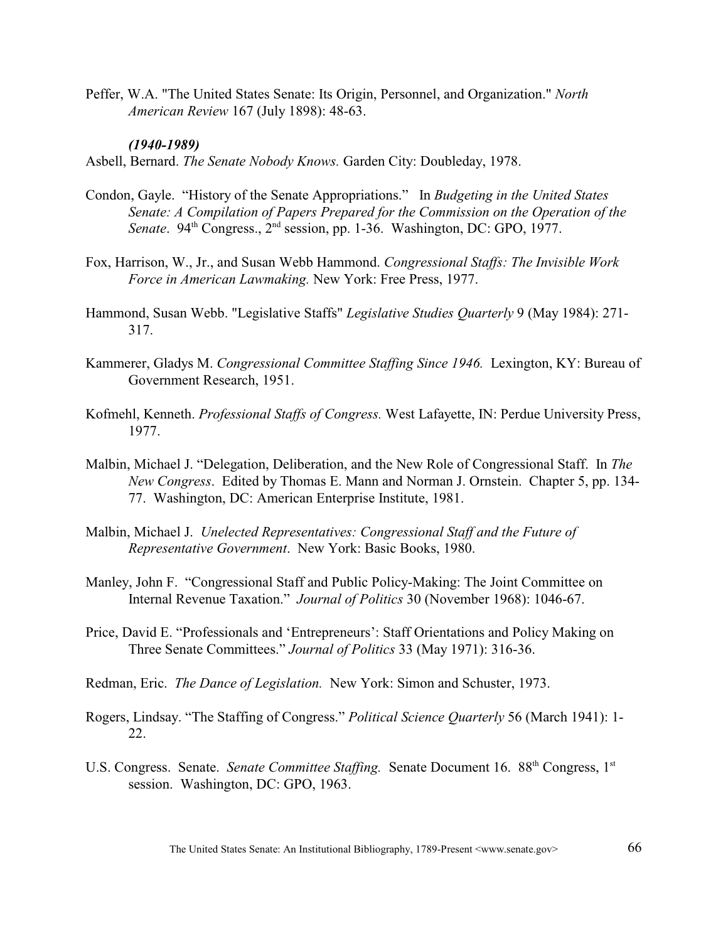Peffer, W.A. "The United States Senate: Its Origin, Personnel, and Organization." *North American Review* 167 (July 1898): 48-63.

### *(1940-1989)*

Asbell, Bernard. *The Senate Nobody Knows.* Garden City: Doubleday, 1978.

- Condon, Gayle. "History of the Senate Appropriations." In *Budgeting in the United States Senate: A Compilation of Papers Prepared for the Commission on the Operation of the Senate*. 94<sup>th</sup> Congress., 2<sup>nd</sup> session, pp. 1-36. Washington, DC: GPO, 1977.
- Fox, Harrison, W., Jr., and Susan Webb Hammond. *Congressional Staffs: The Invisible Work Force in American Lawmaking.* New York: Free Press, 1977.
- Hammond, Susan Webb. "Legislative Staffs" *Legislative Studies Quarterly* 9 (May 1984): 271- 317.
- Kammerer, Gladys M. *Congressional Committee Staffing Since 1946.* Lexington, KY: Bureau of Government Research, 1951.
- Kofmehl, Kenneth. *Professional Staffs of Congress.* West Lafayette, IN: Perdue University Press, 1977.
- Malbin, Michael J. "Delegation, Deliberation, and the New Role of Congressional Staff. In *The New Congress*. Edited by Thomas E. Mann and Norman J. Ornstein. Chapter 5, pp. 134- 77. Washington, DC: American Enterprise Institute, 1981.
- Malbin, Michael J. *Unelected Representatives: Congressional Staff and the Future of Representative Government*. New York: Basic Books, 1980.
- Manley, John F. "Congressional Staff and Public Policy-Making: The Joint Committee on Internal Revenue Taxation." *Journal of Politics* 30 (November 1968): 1046-67.
- Price, David E. "Professionals and 'Entrepreneurs': Staff Orientations and Policy Making on Three Senate Committees." *Journal of Politics* 33 (May 1971): 316-36.
- Redman, Eric. *The Dance of Legislation.* New York: Simon and Schuster, 1973.
- Rogers, Lindsay. "The Staffing of Congress." *Political Science Quarterly* 56 (March 1941): 1- 22.
- U.S. Congress. Senate. *Senate Committee Staffing.* Senate Document 16. 88<sup>th</sup> Congress, 1<sup>st</sup> session. Washington, DC: GPO, 1963.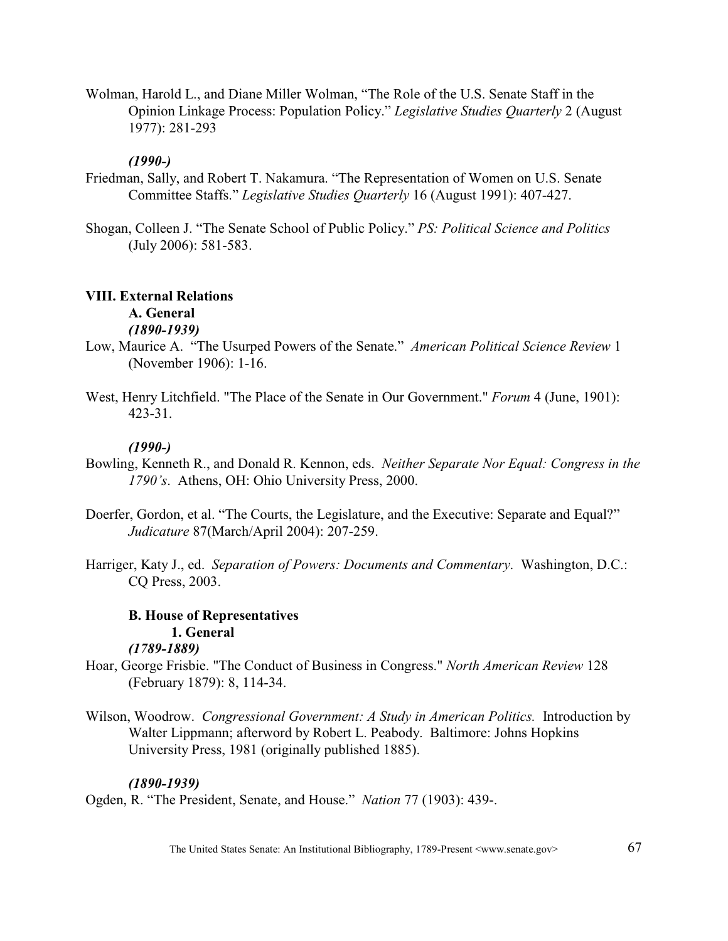Wolman, Harold L., and Diane Miller Wolman, "The Role of the U.S. Senate Staff in the Opinion Linkage Process: Population Policy." *Legislative Studies Quarterly* 2 (August 1977): 281-293

# *(1990-)*

- Friedman, Sally, and Robert T. Nakamura. "The Representation of Women on U.S. Senate Committee Staffs." *Legislative Studies Quarterly* 16 (August 1991): 407-427.
- Shogan, Colleen J. "The Senate School of Public Policy." *PS: Political Science and Politics* (July 2006): 581-583.

# **VIII. External Relations**

### **A. General** *(1890-1939)*

- Low, Maurice A. "The Usurped Powers of the Senate." *American Political Science Review* 1 (November 1906): 1-16.
- West, Henry Litchfield. "The Place of the Senate in Our Government." *Forum* 4 (June, 1901): 423-31.

# *(1990-)*

- Bowling, Kenneth R., and Donald R. Kennon, eds. *Neither Separate Nor Equal: Congress in the 1790's*. Athens, OH: Ohio University Press, 2000.
- Doerfer, Gordon, et al. "The Courts, the Legislature, and the Executive: Separate and Equal?" *Judicature* 87(March/April 2004): 207-259.
- Harriger, Katy J., ed. *Separation of Powers: Documents and Commentary*. Washington, D.C.: CQ Press, 2003.

### **B. House of Representatives 1. General**

# *(1789-1889)*

- Hoar, George Frisbie. "The Conduct of Business in Congress." *North American Review* 128 (February 1879): 8, 114-34.
- Wilson, Woodrow. *Congressional Government: A Study in American Politics.* Introduction by Walter Lippmann; afterword by Robert L. Peabody. Baltimore: Johns Hopkins University Press, 1981 (originally published 1885).

# *(1890-1939)*

Ogden, R. "The President, Senate, and House." *Nation* 77 (1903): 439-.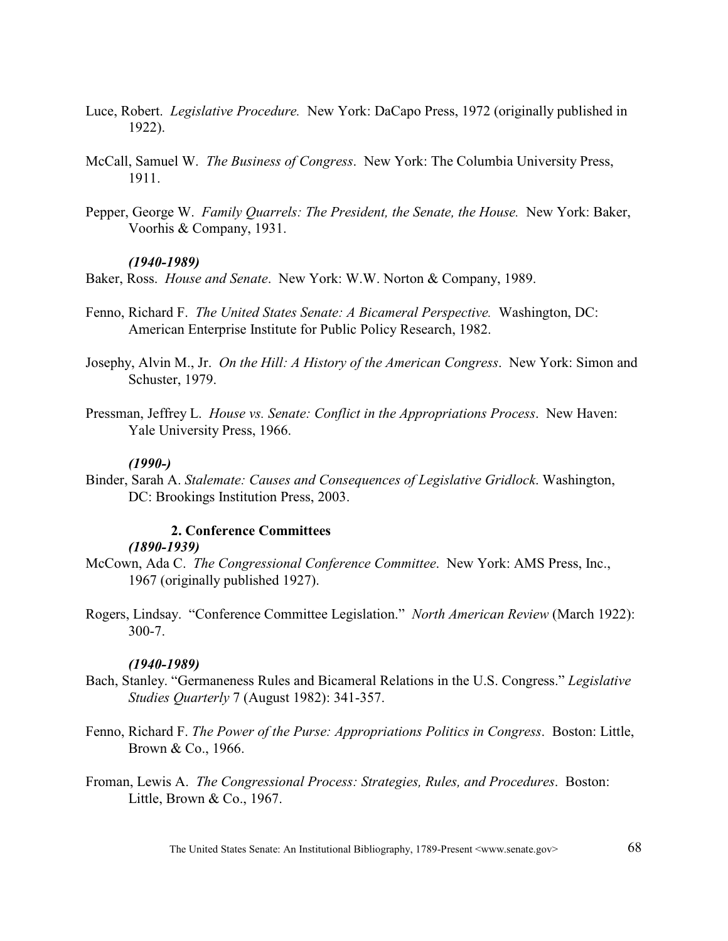- Luce, Robert. *Legislative Procedure.* New York: DaCapo Press, 1972 (originally published in 1922).
- McCall, Samuel W. *The Business of Congress*. New York: The Columbia University Press, 1911.
- Pepper, George W. *Family Quarrels: The President, the Senate, the House.* New York: Baker, Voorhis & Company, 1931.

### *(1940-1989)*

Baker, Ross. *House and Senate*. New York: W.W. Norton & Company, 1989.

- Fenno, Richard F. *The United States Senate: A Bicameral Perspective.* Washington, DC: American Enterprise Institute for Public Policy Research, 1982.
- Josephy, Alvin M., Jr. *On the Hill: A History of the American Congress*. New York: Simon and Schuster, 1979.
- Pressman, Jeffrey L. *House vs. Senate: Conflict in the Appropriations Process*. New Haven: Yale University Press, 1966.

### *(1990-)*

Binder, Sarah A. *Stalemate: Causes and Consequences of Legislative Gridlock*. Washington, DC: Brookings Institution Press, 2003.

### **2. Conference Committees**

#### *(1890-1939)*

- McCown, Ada C. *The Congressional Conference Committee*. New York: AMS Press, Inc., 1967 (originally published 1927).
- Rogers, Lindsay. "Conference Committee Legislation." *North American Review* (March 1922): 300-7.

#### *(1940-1989)*

- Bach, Stanley. "Germaneness Rules and Bicameral Relations in the U.S. Congress." *Legislative Studies Quarterly* 7 (August 1982): 341-357.
- Fenno, Richard F. *The Power of the Purse: Appropriations Politics in Congress*. Boston: Little, Brown & Co., 1966.
- Froman, Lewis A. *The Congressional Process: Strategies, Rules, and Procedures*. Boston: Little, Brown & Co., 1967.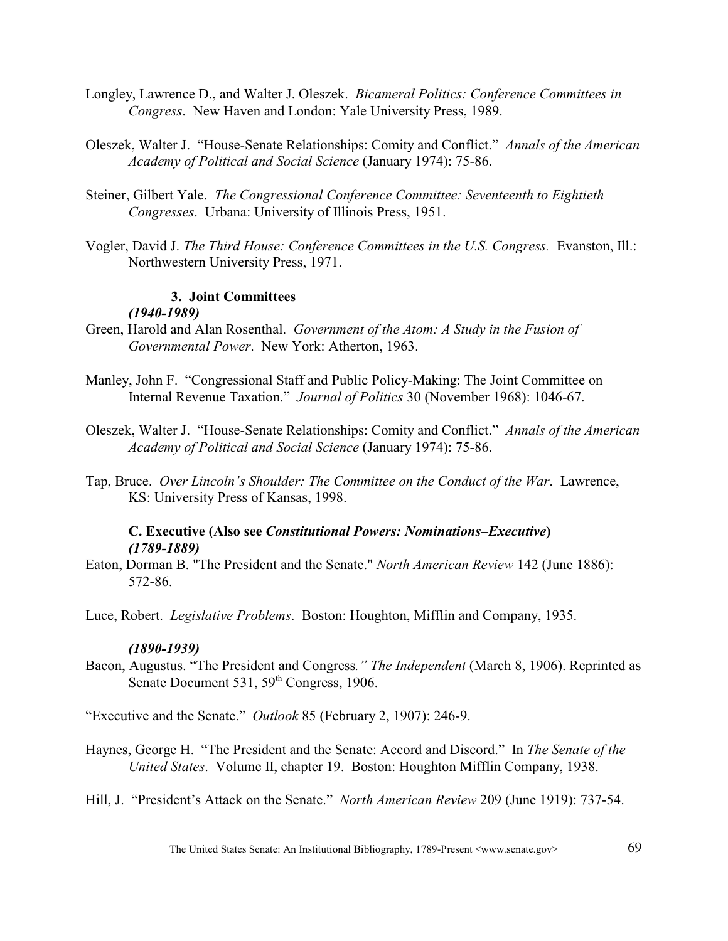- Longley, Lawrence D., and Walter J. Oleszek. *Bicameral Politics: Conference Committees in Congress*. New Haven and London: Yale University Press, 1989.
- Oleszek, Walter J. "House-Senate Relationships: Comity and Conflict." *Annals of the American Academy of Political and Social Science* (January 1974): 75-86.
- Steiner, Gilbert Yale. *The Congressional Conference Committee: Seventeenth to Eightieth Congresses*. Urbana: University of Illinois Press, 1951.
- Vogler, David J. *The Third House: Conference Committees in the U.S. Congress.* Evanston, Ill.: Northwestern University Press, 1971.

# **3. Joint Committees**

# *(1940-1989)*

- Green, Harold and Alan Rosenthal. *Government of the Atom: A Study in the Fusion of Governmental Power*. New York: Atherton, 1963.
- Manley, John F. "Congressional Staff and Public Policy-Making: The Joint Committee on Internal Revenue Taxation." *Journal of Politics* 30 (November 1968): 1046-67.
- Oleszek, Walter J. "House-Senate Relationships: Comity and Conflict." *Annals of the American Academy of Political and Social Science* (January 1974): 75-86.
- Tap, Bruce. *Over Lincoln's Shoulder: The Committee on the Conduct of the War*. Lawrence, KS: University Press of Kansas, 1998.

## **C. Executive (Also see** *Constitutional Powers: Nominations–Executive***)** *(1789-1889)*

Eaton, Dorman B. "The President and the Senate." *North American Review* 142 (June 1886): 572-86.

Luce, Robert. *Legislative Problems*. Boston: Houghton, Mifflin and Company, 1935.

### *(1890-1939)*

Bacon, Augustus. "The President and Congress*." The Independent* (March 8, 1906). Reprinted as Senate Document  $531, 59<sup>th</sup> Congress, 1906.$ 

"Executive and the Senate." *Outlook* 85 (February 2, 1907): 246-9.

Haynes, George H. "The President and the Senate: Accord and Discord." In *The Senate of the United States*. Volume II, chapter 19. Boston: Houghton Mifflin Company, 1938.

Hill, J. "President's Attack on the Senate." *North American Review* 209 (June 1919): 737-54.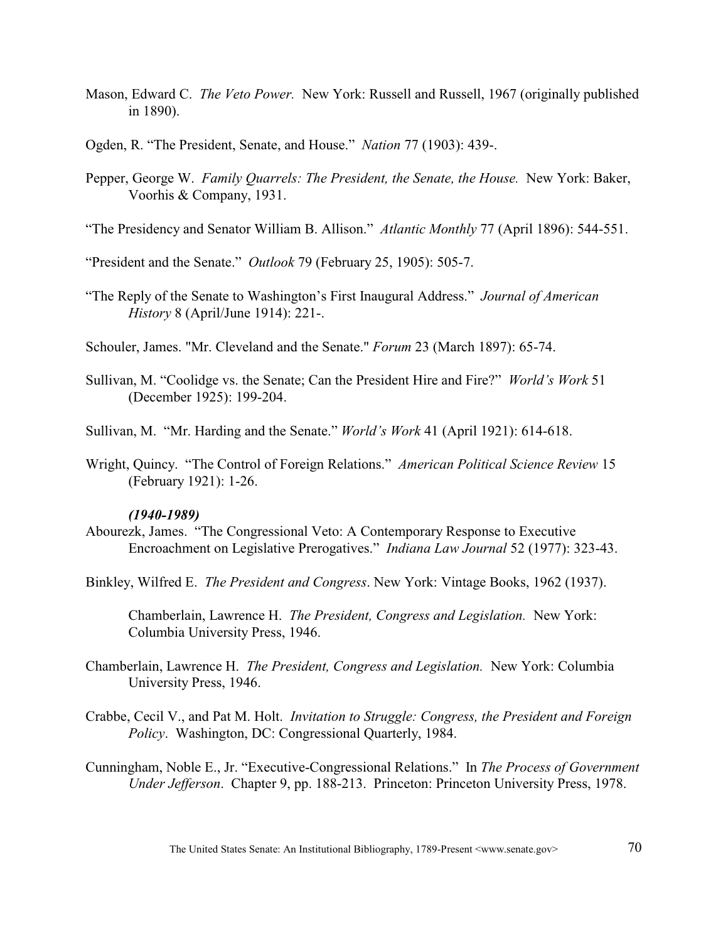- Mason, Edward C. *The Veto Power.* New York: Russell and Russell, 1967 (originally published in 1890).
- Ogden, R. "The President, Senate, and House." *Nation* 77 (1903): 439-.
- Pepper, George W. *Family Quarrels: The President, the Senate, the House.* New York: Baker, Voorhis & Company, 1931.
- "The Presidency and Senator William B. Allison." *Atlantic Monthly* 77 (April 1896): 544-551.

"President and the Senate." *Outlook* 79 (February 25, 1905): 505-7.

"The Reply of the Senate to Washington's First Inaugural Address." *Journal of American History* 8 (April/June 1914): 221-.

Schouler, James. "Mr. Cleveland and the Senate." *Forum* 23 (March 1897): 65-74.

Sullivan, M. "Coolidge vs. the Senate; Can the President Hire and Fire?" *World's Work* 51 (December 1925): 199-204.

Sullivan, M. "Mr. Harding and the Senate." *World's Work* 41 (April 1921): 614-618.

Wright, Quincy. "The Control of Foreign Relations." *American Political Science Review* 15 (February 1921): 1-26.

### *(1940-1989)*

Abourezk, James. "The Congressional Veto: A Contemporary Response to Executive Encroachment on Legislative Prerogatives." *Indiana Law Journal* 52 (1977): 323-43.

Binkley, Wilfred E. *The President and Congress*. New York: Vintage Books, 1962 (1937).

Chamberlain, Lawrence H. *The President, Congress and Legislation.* New York: Columbia University Press, 1946.

- Chamberlain, Lawrence H. *The President, Congress and Legislation.* New York: Columbia University Press, 1946.
- Crabbe, Cecil V., and Pat M. Holt. *Invitation to Struggle: Congress, the President and Foreign Policy*. Washington, DC: Congressional Quarterly, 1984.
- Cunningham, Noble E., Jr. "Executive-Congressional Relations." In *The Process of Government Under Jefferson*. Chapter 9, pp. 188-213. Princeton: Princeton University Press, 1978.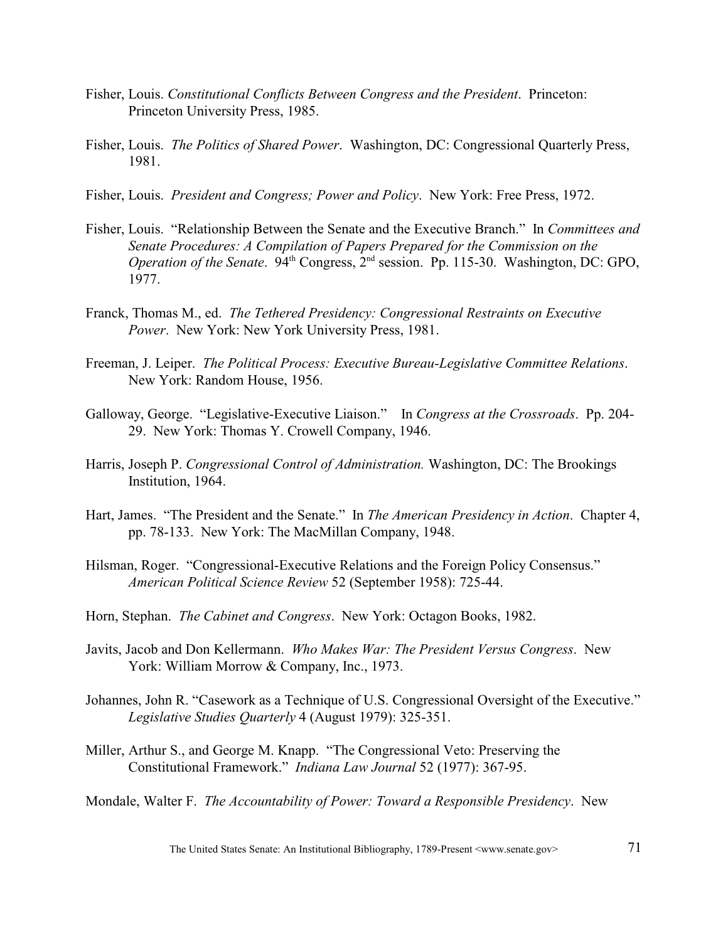- Fisher, Louis. *Constitutional Conflicts Between Congress and the President*. Princeton: Princeton University Press, 1985.
- Fisher, Louis. *The Politics of Shared Power*. Washington, DC: Congressional Quarterly Press, 1981.
- Fisher, Louis. *President and Congress; Power and Policy*. New York: Free Press, 1972.
- Fisher, Louis. "Relationship Between the Senate and the Executive Branch." In *Committees and Senate Procedures: A Compilation of Papers Prepared for the Commission on the Operation of the Senate.* 94<sup>th</sup> Congress, 2<sup>nd</sup> session. Pp. 115-30. Washington, DC: GPO, 1977.
- Franck, Thomas M., ed. *The Tethered Presidency: Congressional Restraints on Executive Power*. New York: New York University Press, 1981.
- Freeman, J. Leiper. *The Political Process: Executive Bureau-Legislative Committee Relations*. New York: Random House, 1956.
- Galloway, George. "Legislative-Executive Liaison." In *Congress at the Crossroads*. Pp. 204- 29. New York: Thomas Y. Crowell Company, 1946.
- Harris, Joseph P. *Congressional Control of Administration.* Washington, DC: The Brookings Institution, 1964.
- Hart, James. "The President and the Senate." In *The American Presidency in Action*. Chapter 4, pp. 78-133. New York: The MacMillan Company, 1948.
- Hilsman, Roger. "Congressional-Executive Relations and the Foreign Policy Consensus." *American Political Science Review* 52 (September 1958): 725-44.
- Horn, Stephan. *The Cabinet and Congress*. New York: Octagon Books, 1982.
- Javits, Jacob and Don Kellermann. *Who Makes War: The President Versus Congress*. New York: William Morrow & Company, Inc., 1973.
- Johannes, John R. "Casework as a Technique of U.S. Congressional Oversight of the Executive." *Legislative Studies Quarterly* 4 (August 1979): 325-351.
- Miller, Arthur S., and George M. Knapp. "The Congressional Veto: Preserving the Constitutional Framework." *Indiana Law Journal* 52 (1977): 367-95.
- Mondale, Walter F. *The Accountability of Power: Toward a Responsible Presidency*. New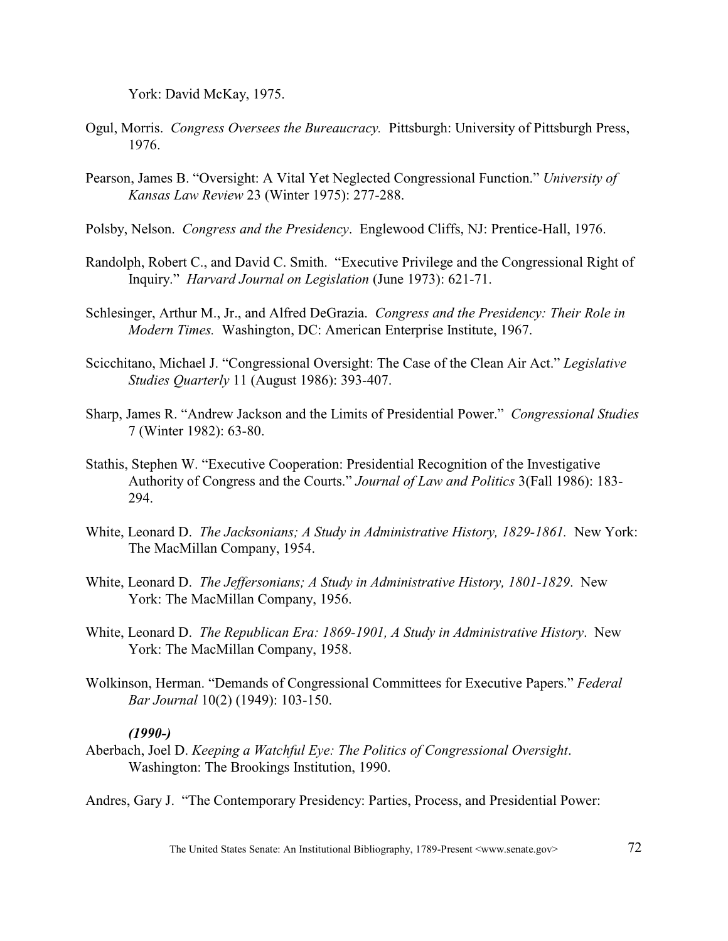York: David McKay, 1975.

- Ogul, Morris. *Congress Oversees the Bureaucracy.* Pittsburgh: University of Pittsburgh Press, 1976.
- Pearson, James B. "Oversight: A Vital Yet Neglected Congressional Function." *University of Kansas Law Review* 23 (Winter 1975): 277-288.
- Polsby, Nelson. *Congress and the Presidency*. Englewood Cliffs, NJ: Prentice-Hall, 1976.
- Randolph, Robert C., and David C. Smith. "Executive Privilege and the Congressional Right of Inquiry." *Harvard Journal on Legislation* (June 1973): 621-71.
- Schlesinger, Arthur M., Jr., and Alfred DeGrazia. *Congress and the Presidency: Their Role in Modern Times.* Washington, DC: American Enterprise Institute, 1967.
- Scicchitano, Michael J. "Congressional Oversight: The Case of the Clean Air Act." *Legislative Studies Quarterly* 11 (August 1986): 393-407.
- Sharp, James R. "Andrew Jackson and the Limits of Presidential Power." *Congressional Studies* 7 (Winter 1982): 63-80.
- Stathis, Stephen W. "Executive Cooperation: Presidential Recognition of the Investigative Authority of Congress and the Courts." *Journal of Law and Politics* 3(Fall 1986): 183- 294.
- White, Leonard D. *The Jacksonians; A Study in Administrative History, 1829-1861.* New York: The MacMillan Company, 1954.
- White, Leonard D. *The Jeffersonians; A Study in Administrative History, 1801-1829*. New York: The MacMillan Company, 1956.
- White, Leonard D. *The Republican Era: 1869-1901, A Study in Administrative History*. New York: The MacMillan Company, 1958.
- Wolkinson, Herman. "Demands of Congressional Committees for Executive Papers." *Federal Bar Journal* 10(2) (1949): 103-150.

### *(1990-)*

Aberbach, Joel D. *Keeping a Watchful Eye: The Politics of Congressional Oversight*. Washington: The Brookings Institution, 1990.

Andres, Gary J. "The Contemporary Presidency: Parties, Process, and Presidential Power: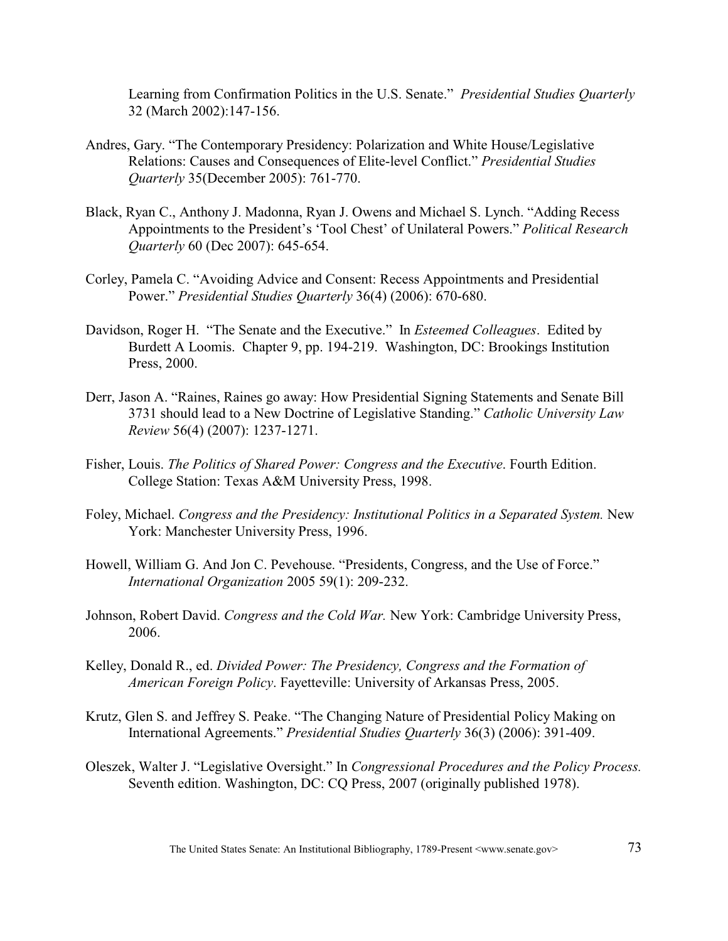Learning from Confirmation Politics in the U.S. Senate." *Presidential Studies Quarterly* 32 (March 2002):147-156.

- Andres, Gary. "The Contemporary Presidency: Polarization and White House/Legislative Relations: Causes and Consequences of Elite-level Conflict." *Presidential Studies Quarterly* 35(December 2005): 761-770.
- Black, Ryan C., Anthony J. Madonna, Ryan J. Owens and Michael S. Lynch. "Adding Recess Appointments to the President's 'Tool Chest' of Unilateral Powers." *Political Research Quarterly* 60 (Dec 2007): 645-654.
- Corley, Pamela C. "Avoiding Advice and Consent: Recess Appointments and Presidential Power." *Presidential Studies Quarterly* 36(4) (2006): 670-680.
- Davidson, Roger H. "The Senate and the Executive." In *Esteemed Colleagues*. Edited by Burdett A Loomis. Chapter 9, pp. 194-219. Washington, DC: Brookings Institution Press, 2000.
- Derr, Jason A. "Raines, Raines go away: How Presidential Signing Statements and Senate Bill 3731 should lead to a New Doctrine of Legislative Standing." *Catholic University Law Review* 56(4) (2007): 1237-1271.
- Fisher, Louis. *The Politics of Shared Power: Congress and the Executive*. Fourth Edition. College Station: Texas A&M University Press, 1998.
- Foley, Michael. *Congress and the Presidency: Institutional Politics in a Separated System.* New York: Manchester University Press, 1996.
- Howell, William G. And Jon C. Pevehouse. "Presidents, Congress, and the Use of Force." *International Organization* 2005 59(1): 209-232.
- Johnson, Robert David. *Congress and the Cold War.* New York: Cambridge University Press, 2006.
- Kelley, Donald R., ed. *Divided Power: The Presidency, Congress and the Formation of American Foreign Policy*. Fayetteville: University of Arkansas Press, 2005.
- Krutz, Glen S. and Jeffrey S. Peake. "The Changing Nature of Presidential Policy Making on International Agreements." *Presidential Studies Quarterly* 36(3) (2006): 391-409.
- Oleszek, Walter J. "Legislative Oversight." In *Congressional Procedures and the Policy Process.* Seventh edition. Washington, DC: CQ Press, 2007 (originally published 1978).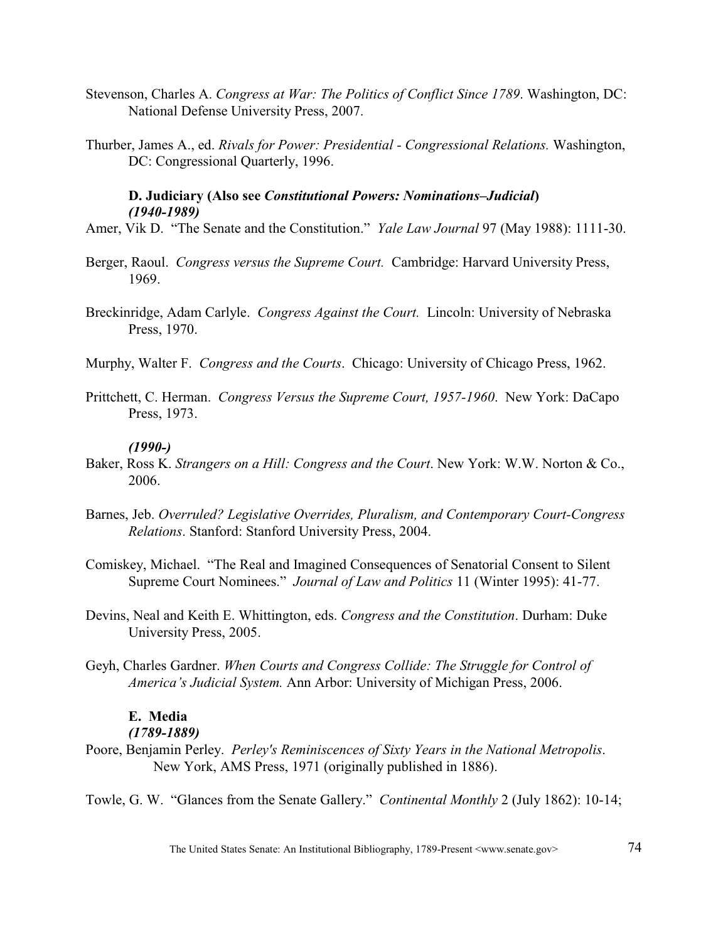- Stevenson, Charles A. *Congress at War: The Politics of Conflict Since 1789*. Washington, DC: National Defense University Press, 2007.
- Thurber, James A., ed. *Rivals for Power: Presidential Congressional Relations.* Washington, DC: Congressional Quarterly, 1996.

# **D. Judiciary (Also see** *Constitutional Powers: Nominations–Judicial***)** *(1940-1989)*

- Amer, Vik D. "The Senate and the Constitution." *Yale Law Journal* 97 (May 1988): 1111-30.
- Berger, Raoul. *Congress versus the Supreme Court.* Cambridge: Harvard University Press, 1969.
- Breckinridge, Adam Carlyle. *Congress Against the Court.* Lincoln: University of Nebraska Press, 1970.
- Murphy, Walter F. *Congress and the Courts*. Chicago: University of Chicago Press, 1962.
- Prittchett, C. Herman. *Congress Versus the Supreme Court, 1957-1960*. New York: DaCapo Press, 1973.

## *(1990-)*

- Baker, Ross K. *Strangers on a Hill: Congress and the Court*. New York: W.W. Norton & Co., 2006.
- Barnes, Jeb. *Overruled? Legislative Overrides, Pluralism, and Contemporary Court-Congress Relations*. Stanford: Stanford University Press, 2004.
- Comiskey, Michael. "The Real and Imagined Consequences of Senatorial Consent to Silent Supreme Court Nominees." *Journal of Law and Politics* 11 (Winter 1995): 41-77.
- Devins, Neal and Keith E. Whittington, eds. *Congress and the Constitution*. Durham: Duke University Press, 2005.
- Geyh, Charles Gardner. *When Courts and Congress Collide: The Struggle for Control of America's Judicial System.* Ann Arbor: University of Michigan Press, 2006.

## **E. Media**

## *(1789-1889)*

- Poore, Benjamin Perley. *Perley's Reminiscences of Sixty Years in the National Metropolis*. New York, AMS Press, 1971 (originally published in 1886).
- Towle, G. W. "Glances from the Senate Gallery." *Continental Monthly* 2 (July 1862): 10-14;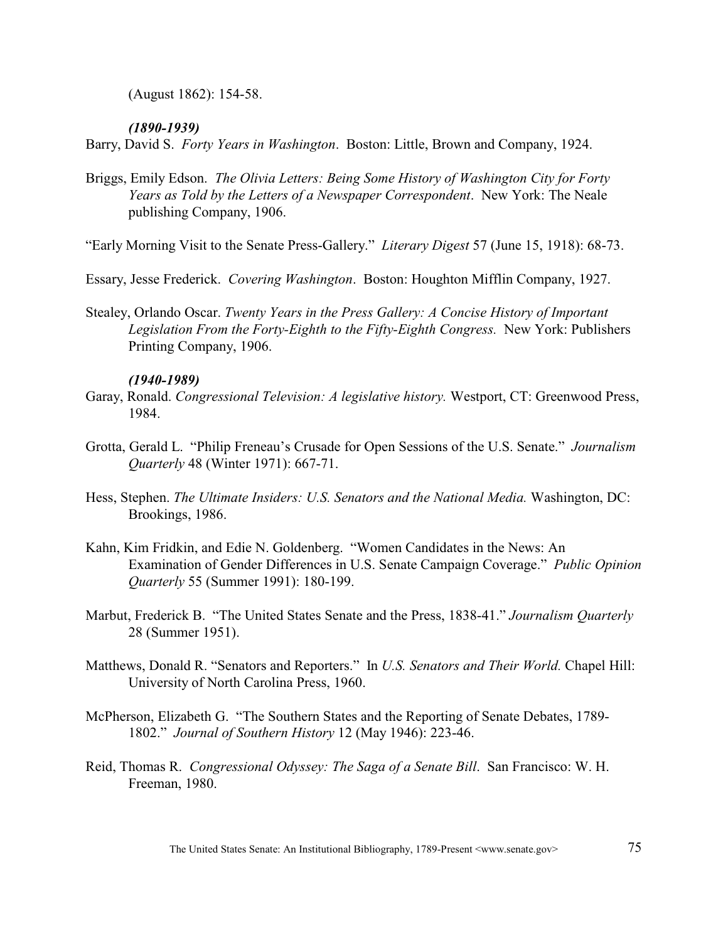(August 1862): 154-58.

## *(1890-1939)*

Barry, David S. *Forty Years in Washington*. Boston: Little, Brown and Company, 1924.

- Briggs, Emily Edson. *The Olivia Letters: Being Some History of Washington City for Forty Years as Told by the Letters of a Newspaper Correspondent*. New York: The Neale publishing Company, 1906.
- "Early Morning Visit to the Senate Press-Gallery." *Literary Digest* 57 (June 15, 1918): 68-73.
- Essary, Jesse Frederick. *Covering Washington*. Boston: Houghton Mifflin Company, 1927.
- Stealey, Orlando Oscar. *Twenty Years in the Press Gallery: A Concise History of Important Legislation From the Forty-Eighth to the Fifty-Eighth Congress.* New York: Publishers Printing Company, 1906.

## *(1940-1989)*

- Garay, Ronald. *Congressional Television: A legislative history.* Westport, CT: Greenwood Press, 1984.
- Grotta, Gerald L. "Philip Freneau's Crusade for Open Sessions of the U.S. Senate." *Journalism Quarterly* 48 (Winter 1971): 667-71.
- Hess, Stephen. *The Ultimate Insiders: U.S. Senators and the National Media.* Washington, DC: Brookings, 1986.
- Kahn, Kim Fridkin, and Edie N. Goldenberg. "Women Candidates in the News: An Examination of Gender Differences in U.S. Senate Campaign Coverage." *Public Opinion Quarterly* 55 (Summer 1991): 180-199.
- Marbut, Frederick B. "The United States Senate and the Press, 1838-41." *Journalism Quarterly* 28 (Summer 1951).
- Matthews, Donald R. "Senators and Reporters." In *U.S. Senators and Their World.* Chapel Hill: University of North Carolina Press, 1960.
- McPherson, Elizabeth G. "The Southern States and the Reporting of Senate Debates, 1789- 1802." *Journal of Southern History* 12 (May 1946): 223-46.
- Reid, Thomas R. *Congressional Odyssey: The Saga of a Senate Bill*. San Francisco: W. H. Freeman, 1980.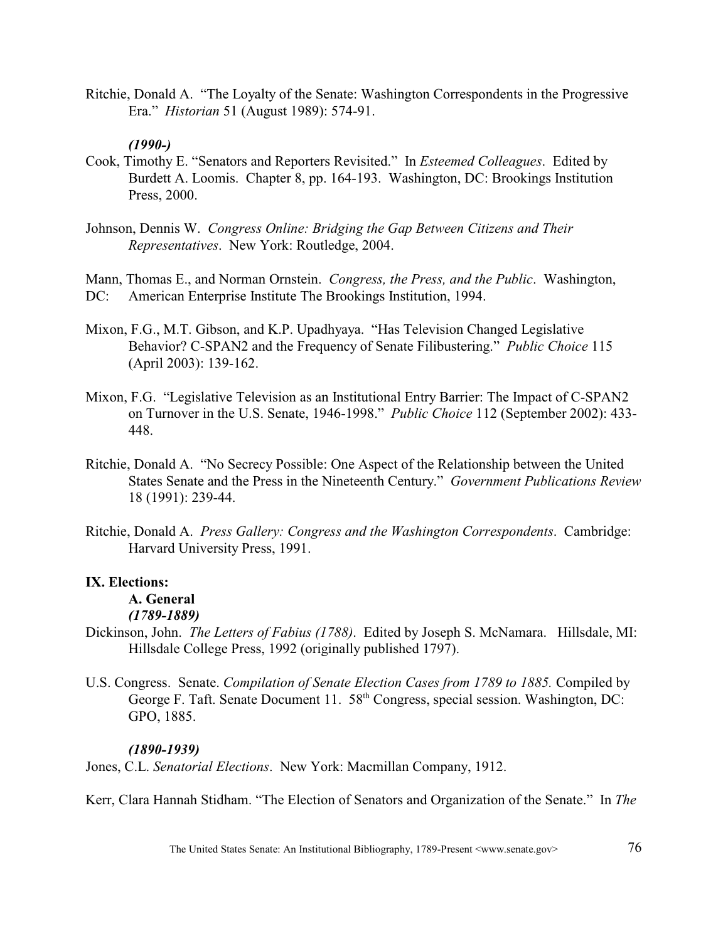Ritchie, Donald A. "The Loyalty of the Senate: Washington Correspondents in the Progressive Era." *Historian* 51 (August 1989): 574-91.

# *(1990-)*

- Cook, Timothy E. "Senators and Reporters Revisited." In *Esteemed Colleagues*. Edited by Burdett A. Loomis. Chapter 8, pp. 164-193. Washington, DC: Brookings Institution Press, 2000.
- Johnson, Dennis W. *Congress Online: Bridging the Gap Between Citizens and Their Representatives*. New York: Routledge, 2004.

Mann, Thomas E., and Norman Ornstein. *Congress, the Press, and the Public*. Washington, DC: American Enterprise Institute The Brookings Institution, 1994.

- Mixon, F.G., M.T. Gibson, and K.P. Upadhyaya. "Has Television Changed Legislative Behavior? C-SPAN2 and the Frequency of Senate Filibustering." *Public Choice* 115 (April 2003): 139-162.
- Mixon, F.G. "Legislative Television as an Institutional Entry Barrier: The Impact of C-SPAN2 on Turnover in the U.S. Senate, 1946-1998." *Public Choice* 112 (September 2002): 433- 448.
- Ritchie, Donald A. "No Secrecy Possible: One Aspect of the Relationship between the United States Senate and the Press in the Nineteenth Century." *Government Publications Review* 18 (1991): 239-44.
- Ritchie, Donald A. *Press Gallery: Congress and the Washington Correspondents*. Cambridge: Harvard University Press, 1991.

# **IX. Elections:**

# **A. General**

# *(1789-1889)*

- Dickinson, John. *The Letters of Fabius (1788)*. Edited by Joseph S. McNamara. Hillsdale, MI: Hillsdale College Press, 1992 (originally published 1797).
- U.S. Congress. Senate. *Compilation of Senate Election Cases from 1789 to 1885.* Compiled by George F. Taft. Senate Document 11.  $58<sup>th</sup>$  Congress, special session. Washington, DC: GPO, 1885.

# *(1890-1939)*

Jones, C.L. *Senatorial Elections*. New York: Macmillan Company, 1912.

Kerr, Clara Hannah Stidham. "The Election of Senators and Organization of the Senate." In *The*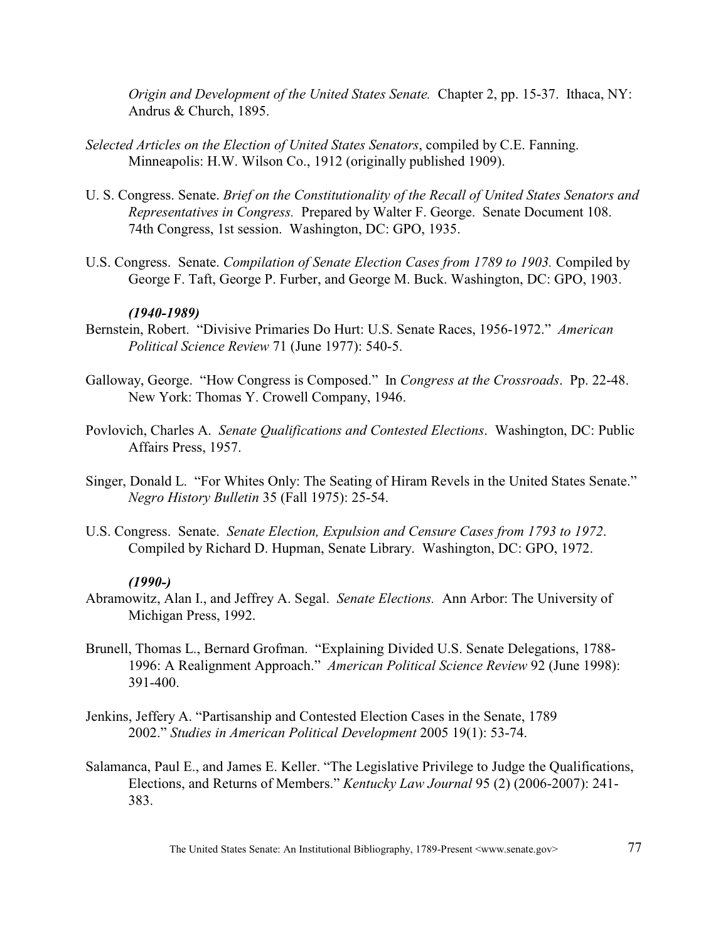*Origin and Development of the United States Senate.* Chapter 2, pp. 15-37. Ithaca, NY: Andrus & Church, 1895.

- *Selected Articles on the Election of United States Senators*, compiled by C.E. Fanning. Minneapolis: H.W. Wilson Co., 1912 (originally published 1909).
- U. S. Congress. Senate. *Brief on the Constitutionality of the Recall of United States Senators and Representatives in Congress.* Prepared by Walter F. George. Senate Document 108. 74th Congress, 1st session. Washington, DC: GPO, 1935.
- U.S. Congress. Senate. *Compilation of Senate Election Cases from 1789 to 1903.* Compiled by George F. Taft, George P. Furber, and George M. Buck. Washington, DC: GPO, 1903.

### *(1940-1989)*

- Bernstein, Robert. "Divisive Primaries Do Hurt: U.S. Senate Races, 1956-1972." *American Political Science Review* 71 (June 1977): 540-5.
- Galloway, George. "How Congress is Composed." In *Congress at the Crossroads*. Pp. 22-48. New York: Thomas Y. Crowell Company, 1946.
- Povlovich, Charles A. *Senate Qualifications and Contested Elections*. Washington, DC: Public Affairs Press, 1957.
- Singer, Donald L. "For Whites Only: The Seating of Hiram Revels in the United States Senate." *Negro History Bulletin* 35 (Fall 1975): 25-54.
- U.S. Congress. Senate. *Senate Election, Expulsion and Censure Cases from 1793 to 1972*. Compiled by Richard D. Hupman, Senate Library. Washington, DC: GPO, 1972.

- Abramowitz, Alan I., and Jeffrey A. Segal. *Senate Elections.* Ann Arbor: The University of Michigan Press, 1992.
- Brunell, Thomas L., Bernard Grofman. "Explaining Divided U.S. Senate Delegations, 1788- 1996: A Realignment Approach." *American Political Science Review* 92 (June 1998): 391-400.
- Jenkins, Jeffery A. "Partisanship and Contested Election Cases in the Senate, 1789 2002." *Studies in American Political Development* 2005 19(1): 53-74.
- Salamanca, Paul E., and James E. Keller. "The Legislative Privilege to Judge the Qualifications, Elections, and Returns of Members." *Kentucky Law Journal* 95 (2) (2006-2007): 241- 383.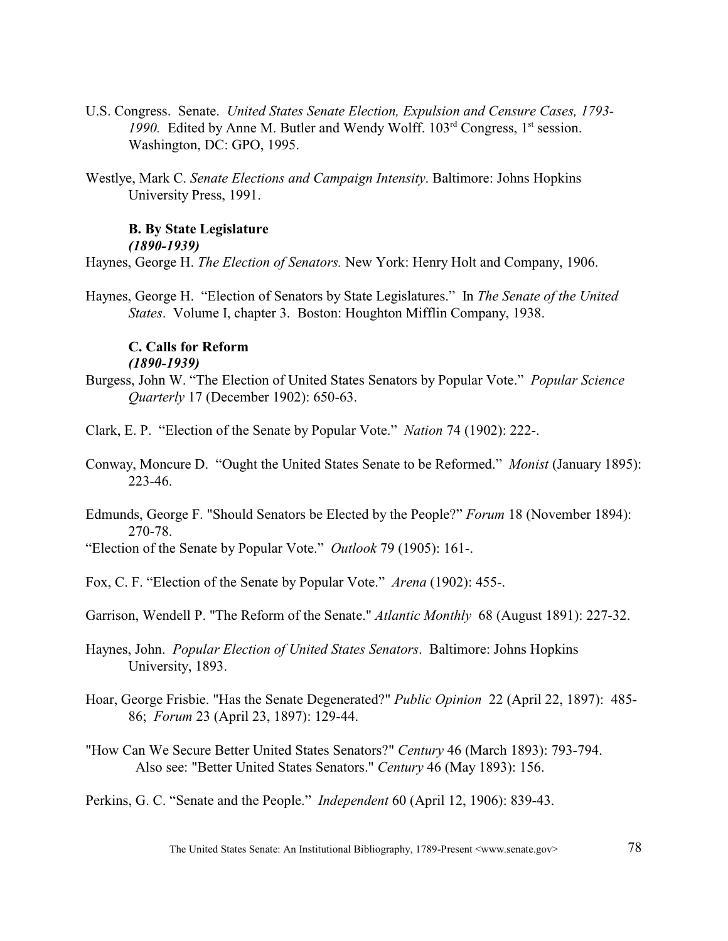- U.S. Congress. Senate. *United States Senate Election, Expulsion and Censure Cases, 1793-* 1990. Edited by Anne M. Butler and Wendy Wolff. 103<sup>rd</sup> Congress, 1<sup>st</sup> session. Washington, DC: GPO, 1995.
- Westlye, Mark C. *Senate Elections and Campaign Intensity*. Baltimore: Johns Hopkins University Press, 1991.

## **B. By State Legislature**

*(1890-1939)*

Haynes, George H. *The Election of Senators.* New York: Henry Holt and Company, 1906.

Haynes, George H. "Election of Senators by State Legislatures." In *The Senate of the United States*. Volume I, chapter 3. Boston: Houghton Mifflin Company, 1938.

## **C. Calls for Reform** *(1890-1939)*

- Burgess, John W. "The Election of United States Senators by Popular Vote." *Popular Science Quarterly* 17 (December 1902): 650-63.
- Clark, E. P. "Election of the Senate by Popular Vote." *Nation* 74 (1902): 222-.
- Conway, Moncure D. "Ought the United States Senate to be Reformed." *Monist* (January 1895): 223-46.
- Edmunds, George F. "Should Senators be Elected by the People?" *Forum* 18 (November 1894): 270-78.
- "Election of the Senate by Popular Vote." *Outlook* 79 (1905): 161-.
- Fox, C. F. "Election of the Senate by Popular Vote." *Arena* (1902): 455-.

Garrison, Wendell P. "The Reform of the Senate." *Atlantic Monthly* 68 (August 1891): 227-32.

- Haynes, John. *Popular Election of United States Senators*. Baltimore: Johns Hopkins University, 1893.
- Hoar, George Frisbie. "Has the Senate Degenerated?" *Public Opinion* 22 (April 22, 1897): 485- 86; *Forum* 23 (April 23, 1897): 129-44.
- "How Can We Secure Better United States Senators?" *Century* 46 (March 1893): 793-794. Also see: "Better United States Senators." *Century* 46 (May 1893): 156.
- Perkins, G. C. "Senate and the People." *Independent* 60 (April 12, 1906): 839-43.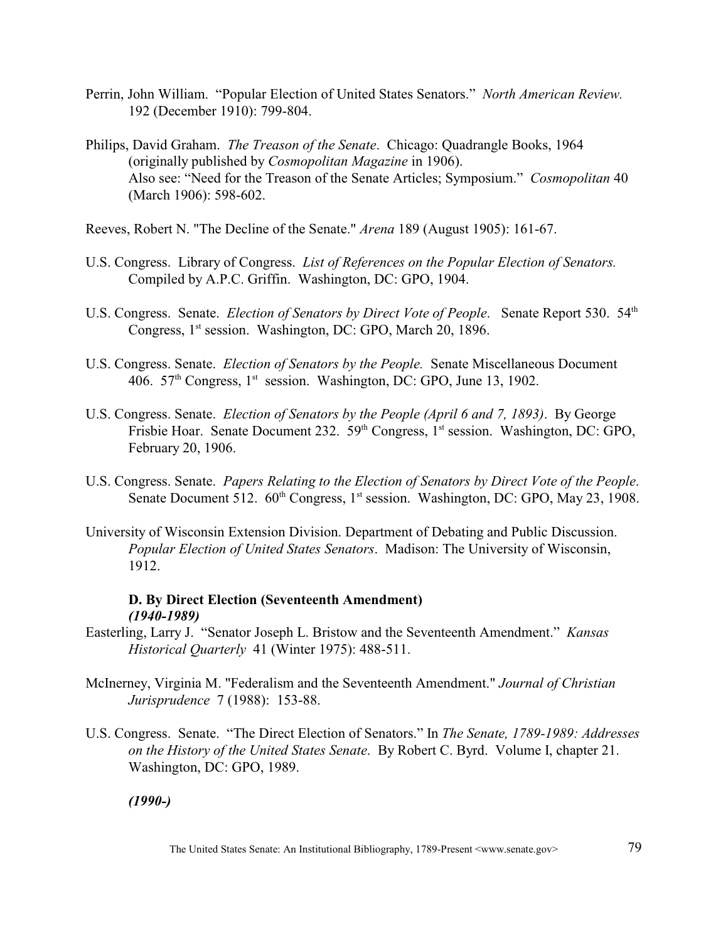- Perrin, John William. "Popular Election of United States Senators." *North American Review.*  192 (December 1910): 799-804.
- Philips, David Graham. *The Treason of the Senate*. Chicago: Quadrangle Books, 1964 (originally published by *Cosmopolitan Magazine* in 1906). Also see: "Need for the Treason of the Senate Articles; Symposium." *Cosmopolitan* 40 (March 1906): 598-602.
- Reeves, Robert N. "The Decline of the Senate." *Arena* 189 (August 1905): 161-67.
- U.S. Congress. Library of Congress. *List of References on the Popular Election of Senators.*  Compiled by A.P.C. Griffin. Washington, DC: GPO, 1904.
- U.S. Congress. Senate. *Election of Senators by Direct Vote of People*. Senate Report 530. 54<sup>th</sup> Congress, 1<sup>st</sup> session. Washington, DC: GPO, March 20, 1896.
- U.S. Congress. Senate. *Election of Senators by the People.* Senate Miscellaneous Document 406.  $57<sup>th</sup> Congress, 1<sup>st</sup> session. Washington, DC: GPO, June 13, 1902.$
- U.S. Congress. Senate. *Election of Senators by the People (April 6 and 7, 1893)*. By George Frisbie Hoar. Senate Document 232.  $59<sup>th</sup> Congress, 1<sup>st</sup> session. Washington, DC: GPO,$ February 20, 1906.
- U.S. Congress. Senate. *Papers Relating to the Election of Senators by Direct Vote of the People*. Senate Document 512.  $60<sup>th</sup> Congress, 1<sup>st</sup> session. Washington, DC: GPO, May 23, 1908.$
- University of Wisconsin Extension Division. Department of Debating and Public Discussion. *Popular Election of United States Senators*. Madison: The University of Wisconsin, 1912.

# **D. By Direct Election (Seventeenth Amendment)** *(1940-1989)*

- Easterling, Larry J. "Senator Joseph L. Bristow and the Seventeenth Amendment." *Kansas Historical Quarterly* 41 (Winter 1975): 488-511.
- McInerney, Virginia M. "Federalism and the Seventeenth Amendment." *Journal of Christian Jurisprudence* 7 (1988): 153-88.
- U.S. Congress. Senate. "The Direct Election of Senators." In *The Senate, 1789-1989: Addresses on the History of the United States Senate*. By Robert C. Byrd. Volume I, chapter 21. Washington, DC: GPO, 1989.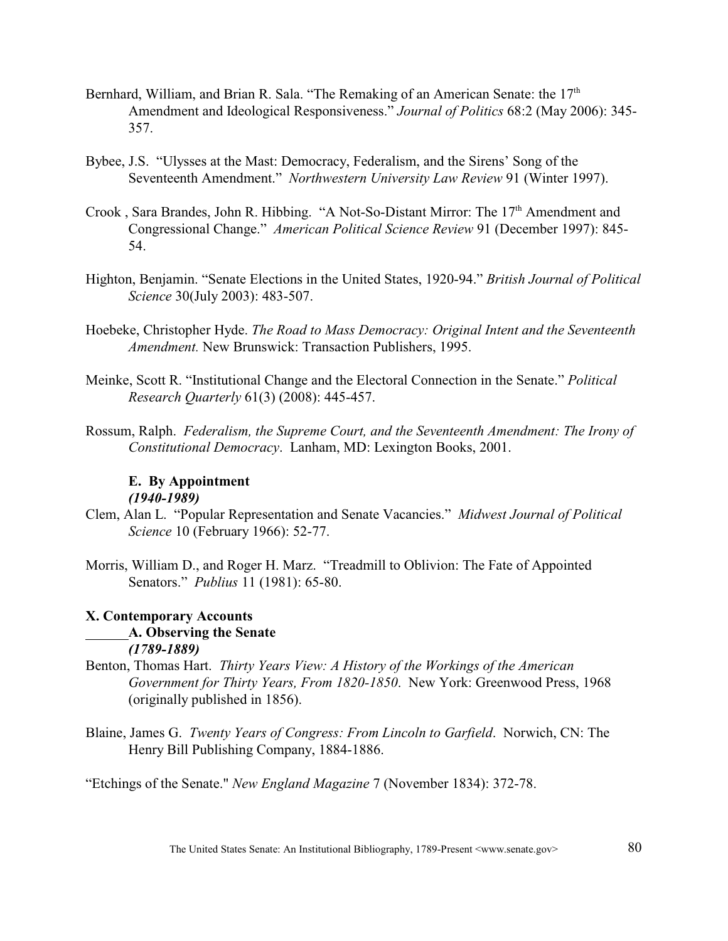- Bernhard, William, and Brian R. Sala. "The Remaking of an American Senate: the  $17<sup>th</sup>$ Amendment and Ideological Responsiveness." *Journal of Politics* 68:2 (May 2006): 345- 357.
- Bybee, J.S. "Ulysses at the Mast: Democracy, Federalism, and the Sirens' Song of the Seventeenth Amendment." *Northwestern University Law Review* 91 (Winter 1997).
- Crook, Sara Brandes, John R. Hibbing. "A Not-So-Distant Mirror: The 17<sup>th</sup> Amendment and Congressional Change." *American Political Science Review* 91 (December 1997): 845- 54.
- Highton, Benjamin. "Senate Elections in the United States, 1920-94." *British Journal of Political Science* 30(July 2003): 483-507.
- Hoebeke, Christopher Hyde. *The Road to Mass Democracy: Original Intent and the Seventeenth Amendment.* New Brunswick: Transaction Publishers, 1995.
- Meinke, Scott R. "Institutional Change and the Electoral Connection in the Senate." *Political Research Quarterly* 61(3) (2008): 445-457.
- Rossum, Ralph. *Federalism, the Supreme Court, and the Seventeenth Amendment: The Irony of Constitutional Democracy*. Lanham, MD: Lexington Books, 2001.

# **E. By Appointment** *(1940-1989)*

- Clem, Alan L. "Popular Representation and Senate Vacancies." *Midwest Journal of Political Science* 10 (February 1966): 52-77.
- Morris, William D., and Roger H. Marz. "Treadmill to Oblivion: The Fate of Appointed Senators." *Publius* 11 (1981): 65-80.

# **X. Contemporary Accounts A. Observing the Senate** *(1789-1889)*

- Benton, Thomas Hart. *Thirty Years View: A History of the Workings of the American Government for Thirty Years, From 1820-1850*. New York: Greenwood Press, 1968 (originally published in 1856).
- Blaine, James G. *Twenty Years of Congress: From Lincoln to Garfield*. Norwich, CN: The Henry Bill Publishing Company, 1884-1886.

"Etchings of the Senate." *New England Magazine* 7 (November 1834): 372-78.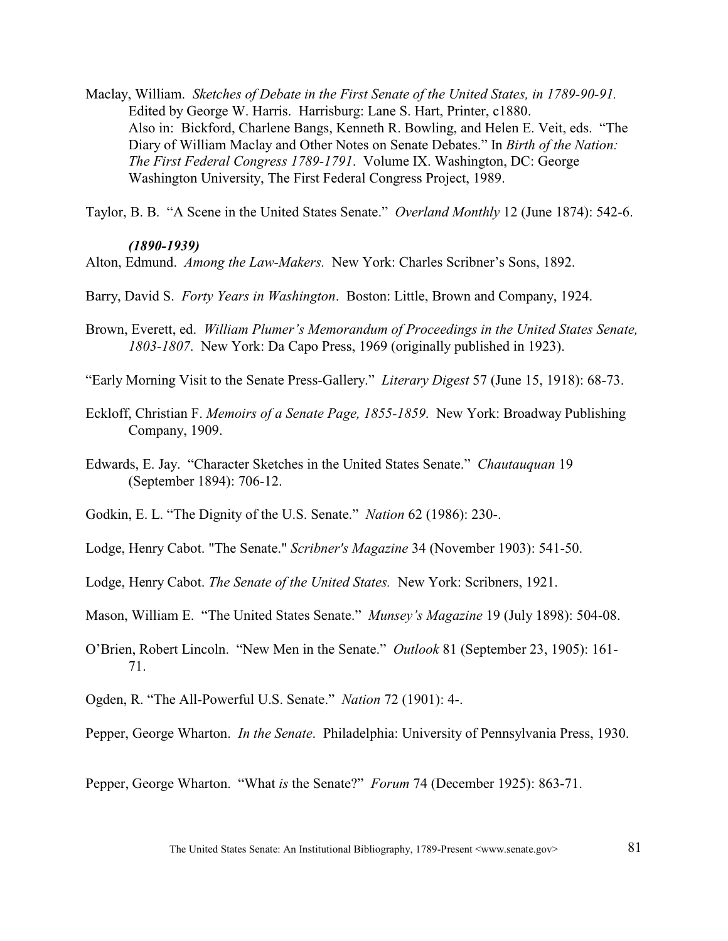Maclay, William. *Sketches of Debate in the First Senate of the United States, in 1789-90-91.*  Edited by George W. Harris. Harrisburg: Lane S. Hart, Printer, c1880. Also in: Bickford, Charlene Bangs, Kenneth R. Bowling, and Helen E. Veit, eds. "The Diary of William Maclay and Other Notes on Senate Debates." In *Birth of the Nation: The First Federal Congress 1789-1791*. Volume IX. Washington, DC: George Washington University, The First Federal Congress Project, 1989.

Taylor, B. B. "A Scene in the United States Senate." *Overland Monthly* 12 (June 1874): 542-6.

# *(1890-1939)*

Alton, Edmund. *Among the Law-Makers.* New York: Charles Scribner's Sons, 1892.

Barry, David S. *Forty Years in Washington*. Boston: Little, Brown and Company, 1924.

- Brown, Everett, ed. *William Plumer's Memorandum of Proceedings in the United States Senate, 1803-1807*. New York: Da Capo Press, 1969 (originally published in 1923).
- "Early Morning Visit to the Senate Press-Gallery." *Literary Digest* 57 (June 15, 1918): 68-73.
- Eckloff, Christian F. *Memoirs of a Senate Page, 1855-1859*. New York: Broadway Publishing Company, 1909.
- Edwards, E. Jay. "Character Sketches in the United States Senate." *Chautauquan* 19 (September 1894): 706-12.
- Godkin, E. L. "The Dignity of the U.S. Senate." *Nation* 62 (1986): 230-.
- Lodge, Henry Cabot. "The Senate." *Scribner's Magazine* 34 (November 1903): 541-50.
- Lodge, Henry Cabot. *The Senate of the United States.* New York: Scribners, 1921.
- Mason, William E. "The United States Senate." *Munsey's Magazine* 19 (July 1898): 504-08.
- O'Brien, Robert Lincoln. "New Men in the Senate." *Outlook* 81 (September 23, 1905): 161- 71.
- Ogden, R. "The All-Powerful U.S. Senate." *Nation* 72 (1901): 4-.

Pepper, George Wharton. *In the Senate*. Philadelphia: University of Pennsylvania Press, 1930.

Pepper, George Wharton. "What *is* the Senate?" *Forum* 74 (December 1925): 863-71.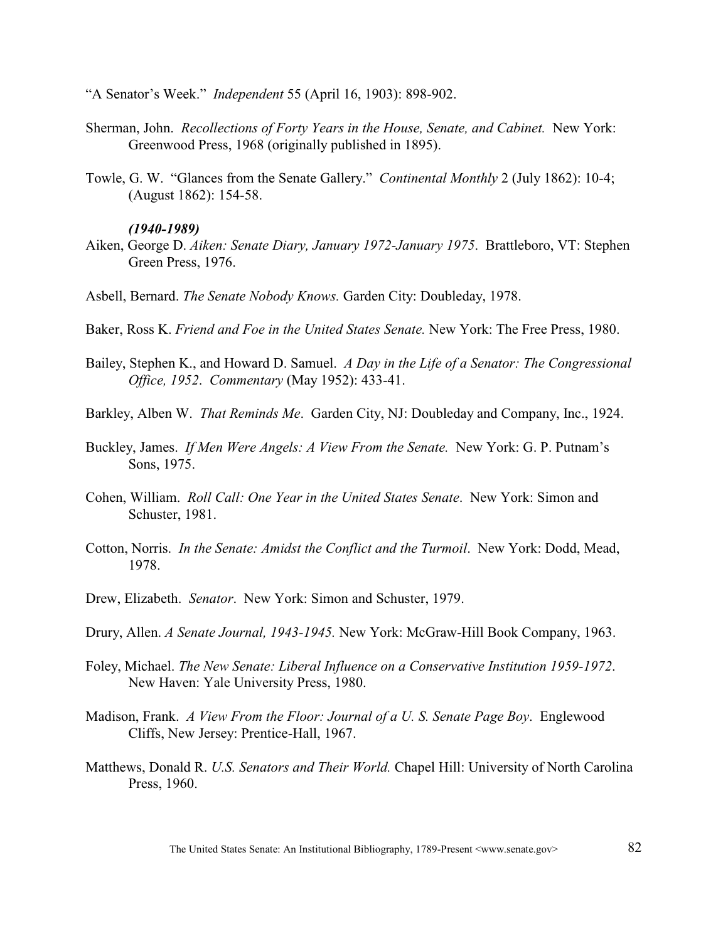"A Senator's Week." *Independent* 55 (April 16, 1903): 898-902.

- Sherman, John. *Recollections of Forty Years in the House, Senate, and Cabinet.* New York: Greenwood Press, 1968 (originally published in 1895).
- Towle, G. W. "Glances from the Senate Gallery." *Continental Monthly* 2 (July 1862): 10-4; (August 1862): 154-58.

#### *(1940-1989)*

- Aiken, George D. *Aiken: Senate Diary, January 1972-January 1975*. Brattleboro, VT: Stephen Green Press, 1976.
- Asbell, Bernard. *The Senate Nobody Knows.* Garden City: Doubleday, 1978.
- Baker, Ross K. *Friend and Foe in the United States Senate.* New York: The Free Press, 1980.
- Bailey, Stephen K., and Howard D. Samuel. *A Day in the Life of a Senator: The Congressional Office, 1952*. *Commentary* (May 1952): 433-41.
- Barkley, Alben W. *That Reminds Me*. Garden City, NJ: Doubleday and Company, Inc., 1924.
- Buckley, James. *If Men Were Angels: A View From the Senate.* New York: G. P. Putnam's Sons, 1975.
- Cohen, William. *Roll Call: One Year in the United States Senate*. New York: Simon and Schuster, 1981.
- Cotton, Norris. *In the Senate: Amidst the Conflict and the Turmoil*. New York: Dodd, Mead, 1978.
- Drew, Elizabeth. *Senator*. New York: Simon and Schuster, 1979.
- Drury, Allen. *A Senate Journal, 1943-1945.* New York: McGraw-Hill Book Company, 1963.
- Foley, Michael. *The New Senate: Liberal Influence on a Conservative Institution 1959-1972*. New Haven: Yale University Press, 1980.
- Madison, Frank. *A View From the Floor: Journal of a U. S. Senate Page Boy*. Englewood Cliffs, New Jersey: Prentice-Hall, 1967.
- Matthews, Donald R. *U.S. Senators and Their World.* Chapel Hill: University of North Carolina Press, 1960.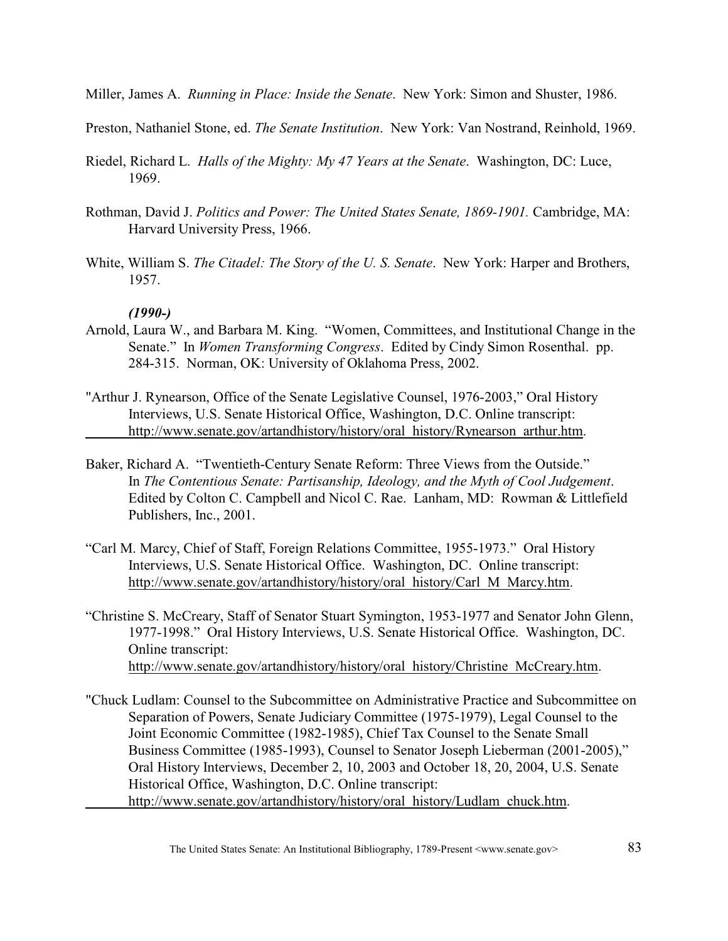Miller, James A. *Running in Place: Inside the Senate*. New York: Simon and Shuster, 1986.

Preston, Nathaniel Stone, ed. *The Senate Institution*. New York: Van Nostrand, Reinhold, 1969.

- Riedel, Richard L. *Halls of the Mighty: My 47 Years at the Senate*. Washington, DC: Luce, 1969.
- Rothman, David J. *Politics and Power: The United States Senate, 1869-1901.* Cambridge, MA: Harvard University Press, 1966.
- White, William S. *The Citadel: The Story of the U. S. Senate*. New York: Harper and Brothers, 1957.

- Arnold, Laura W., and Barbara M. King. "Women, Committees, and Institutional Change in the Senate." In *Women Transforming Congress*. Edited by Cindy Simon Rosenthal. pp. 284-315. Norman, OK: University of Oklahoma Press, 2002.
- "Arthur J. Rynearson, Office of the Senate Legislative Counsel, 1976-2003," Oral History Interviews, U.S. Senate Historical Office, Washington, D.C. Online transcript: [http://www.senate.gov/artandhistory/history/oral\\_history/Rynearson\\_arthur.htm](http://www.senate.gov/artandhistory/history/oral_history/Rynearson_arthur.htm).
- Baker, Richard A. "Twentieth-Century Senate Reform: Three Views from the Outside." In *The Contentious Senate: Partisanship, Ideology, and the Myth of Cool Judgement*. Edited by Colton C. Campbell and Nicol C. Rae. Lanham, MD: Rowman & Littlefield Publishers, Inc., 2001.
- "Carl M. Marcy, Chief of Staff, Foreign Relations Committee, 1955-1973." Oral History Interviews, U.S. Senate Historical Office. Washington, DC. Online transcript: [http://www.senate.gov/artandhistory/history/oral\\_history/Carl\\_M\\_Marcy.htm](http://www.senate.gov/artandhistory/history/oral_history/Carl_M_Marcy.htm).
- "Christine S. McCreary, Staff of Senator Stuart Symington, 1953-1977 and Senator John Glenn, 1977-1998." Oral History Interviews, U.S. Senate Historical Office. Washington, DC. Online transcript: [http://www.senate.gov/artandhistory/history/oral\\_history/Christine\\_McCreary.htm](http://www.senate.gov/artandhistory/history/oral_history/Christine_McCreary.htm).
- "Chuck Ludlam: Counsel to the Subcommittee on Administrative Practice and Subcommittee on Separation of Powers, Senate Judiciary Committee (1975-1979), Legal Counsel to the Joint Economic Committee (1982-1985), Chief Tax Counsel to the Senate Small Business Committee (1985-1993), Counsel to Senator Joseph Lieberman (2001-2005)," Oral History Interviews, December 2, 10, 2003 and October 18, 20, 2004, U.S. Senate Historical Office, Washington, D.C. Online transcript: [http://www.senate.gov/artandhistory/history/oral\\_history/Ludlam\\_chuck.htm](http://www.senate.gov/artandhistory/history/oral_history/Ludlam_chuck.htm).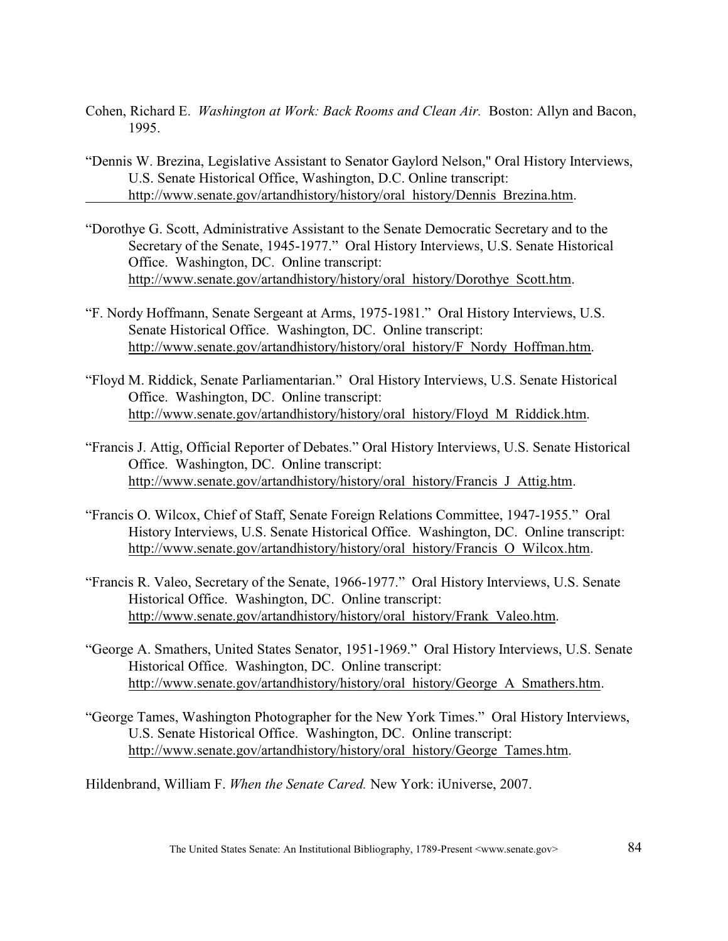- Cohen, Richard E. *Washington at Work: Back Rooms and Clean Air.* Boston: Allyn and Bacon, 1995.
- "Dennis W. Brezina, Legislative Assistant to Senator Gaylord Nelson," Oral History Interviews, U.S. Senate Historical Office, Washington, D.C. Online transcript: [http://www.senate.gov/artandhistory/history/oral\\_history/Dennis\\_Brezina.htm](http://www.senate.gov/artandhistory/history/oral_history/Dennis_Brezina.htm).
- "Dorothye G. Scott, Administrative Assistant to the Senate Democratic Secretary and to the Secretary of the Senate, 1945-1977." Oral History Interviews, U.S. Senate Historical Office. Washington, DC. Online transcript: [http://www.senate.gov/artandhistory/history/oral\\_history/Dorothye\\_Scott.htm](http://www.senate.gov/artandhistory/history/oral_history/Dorothye_Scott.htm).
- "F. Nordy Hoffmann, Senate Sergeant at Arms, 1975-1981." Oral History Interviews, U.S. Senate Historical Office. Washington, DC. Online transcript: [http://www.senate.gov/artandhistory/history/oral\\_history/F\\_Nordy\\_Hoffman.htm](http://www.senate.gov/artandhistory/history/oral_history/F_Nordy_Hoffman.htm).
- "Floyd M. Riddick, Senate Parliamentarian." Oral History Interviews, U.S. Senate Historical Office. Washington, DC. Online transcript: [http://www.senate.gov/artandhistory/history/oral\\_history/Floyd\\_M\\_Riddick.htm](http://www.senate.gov/artandhistory/history/oral_history/Floyd_M_Riddick.htm).
- "Francis J. Attig, Official Reporter of Debates." Oral History Interviews, U.S. Senate Historical Office. Washington, DC. Online transcript: [http://www.senate.gov/artandhistory/history/oral\\_history/Francis\\_J\\_Attig.htm](http://www.senate.gov/artandhistory/history/oral_history/Francis_J_Attig.htm).
- "Francis O. Wilcox, Chief of Staff, Senate Foreign Relations Committee, 1947-1955." Oral History Interviews, U.S. Senate Historical Office. Washington, DC. Online transcript: [http://www.senate.gov/artandhistory/history/oral\\_history/Francis\\_O\\_Wilcox.htm](http://www.senate.gov/artandhistory/history/oral_history/Francis_O_Wilcox.htm).
- "Francis R. Valeo, Secretary of the Senate, 1966-1977." Oral History Interviews, U.S. Senate Historical Office. Washington, DC. Online transcript: [http://www.senate.gov/artandhistory/history/oral\\_history/Frank\\_Valeo.htm](http://www.senate.gov/artandhistory/history/oral_history/Frank_Valeo.htm).
- "George A. Smathers, United States Senator, 1951-1969." Oral History Interviews, U.S. Senate Historical Office. Washington, DC. Online transcript: [http://www.senate.gov/artandhistory/history/oral\\_history/George\\_A\\_Smathers.htm](http://www.senate.gov/artandhistory/history/oral_history/George_A_Smathers.htm).
- "George Tames, Washington Photographer for the New York Times." Oral History Interviews, U.S. Senate Historical Office. Washington, DC. Online transcript: [http://www.senate.gov/artandhistory/history/oral\\_history/George\\_Tames.htm](http://www.senate.gov/artandhistory/history/oral_history/George_Tames.htm).
- Hildenbrand, William F. *When the Senate Cared.* New York: iUniverse, 2007.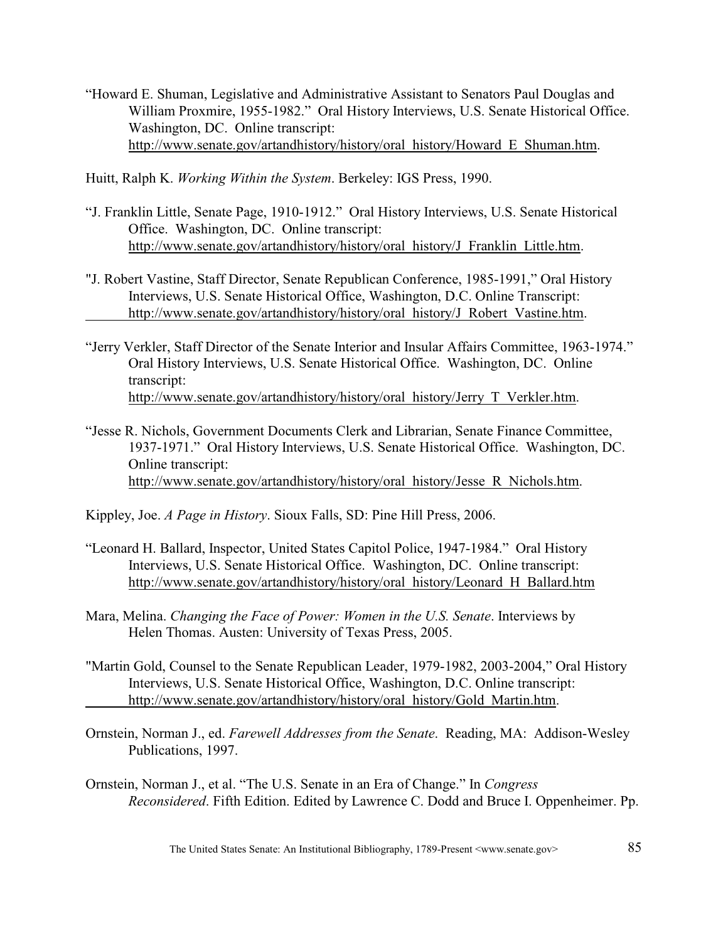"Howard E. Shuman, Legislative and Administrative Assistant to Senators Paul Douglas and William Proxmire, 1955-1982." Oral History Interviews, U.S. Senate Historical Office. Washington, DC. Online transcript: [http://www.senate.gov/artandhistory/history/oral\\_history/Howard\\_E\\_Shuman.htm](http://www.senate.gov/artandhistory/history/oral_history/Howard_E_Shuman.htm).

Huitt, Ralph K. *Working Within the System*. Berkeley: IGS Press, 1990.

- "J. Franklin Little, Senate Page, 1910-1912." Oral History Interviews, U.S. Senate Historical Office. Washington, DC. Online transcript: [http://www.senate.gov/artandhistory/history/oral\\_history/J\\_Franklin\\_Little.htm](http://www.senate.gov/artandhistory/history/oral_history/J_Franklin_Little.htm).
- "J. Robert Vastine, Staff Director, Senate Republican Conference, 1985-1991," Oral History Interviews, U.S. Senate Historical Office, Washington, D.C. Online Transcript: [http://www.senate.gov/artandhistory/history/oral\\_history/J\\_Robert\\_Vastine.htm](http://
www.senate.gov/artandhistory/history/oral_history/J_Robert_Vastine.htm).
- "Jerry Verkler, Staff Director of the Senate Interior and Insular Affairs Committee, 1963-1974." Oral History Interviews, U.S. Senate Historical Office. Washington, DC. Online transcript: [http://www.senate.gov/artandhistory/history/oral\\_history/Jerry\\_T\\_Verkler.htm](http://www.senate.gov/artandhistory/history/oral_history/Jerry_T_Verkler.htm).
- "Jesse R. Nichols, Government Documents Clerk and Librarian, Senate Finance Committee, 1937-1971." Oral History Interviews, U.S. Senate Historical Office. Washington, DC. Online transcript: [http://www.senate.gov/artandhistory/history/oral\\_history/Jesse\\_R\\_Nichols.htm](http://www.senate.gov/artandhistory/history/oral_history/Jesse_R_Nichols.htm).
- Kippley, Joe. *A Page in History*. Sioux Falls, SD: Pine Hill Press, 2006.
- "Leonard H. Ballard, Inspector, United States Capitol Police, 1947-1984." Oral History Interviews, U.S. Senate Historical Office. Washington, DC. Online transcript: [http://www.senate.gov/artandhistory/history/oral\\_history/Leonard\\_H\\_Ballard.htm](http://www.senate.gov/artandhistory/history/oral_history/Leonard_H_Ballard.htm)
- Mara, Melina. *Changing the Face of Power: Women in the U.S. Senate*. Interviews by Helen Thomas. Austen: University of Texas Press, 2005.
- "Martin Gold, Counsel to the Senate Republican Leader, 1979-1982, 2003-2004," Oral History Interviews, U.S. Senate Historical Office, Washington, D.C. Online transcript: [http://www.senate.gov/artandhistory/history/oral\\_history/Gold\\_Martin.htm](http://www.senate.gov/artandhistory/history/oral_history/Gold_Martin.htm).
- Ornstein, Norman J., ed. *Farewell Addresses from the Senate*. Reading, MA: Addison-Wesley Publications, 1997.
- Ornstein, Norman J., et al. "The U.S. Senate in an Era of Change." In *Congress Reconsidered*. Fifth Edition. Edited by Lawrence C. Dodd and Bruce I. Oppenheimer. Pp.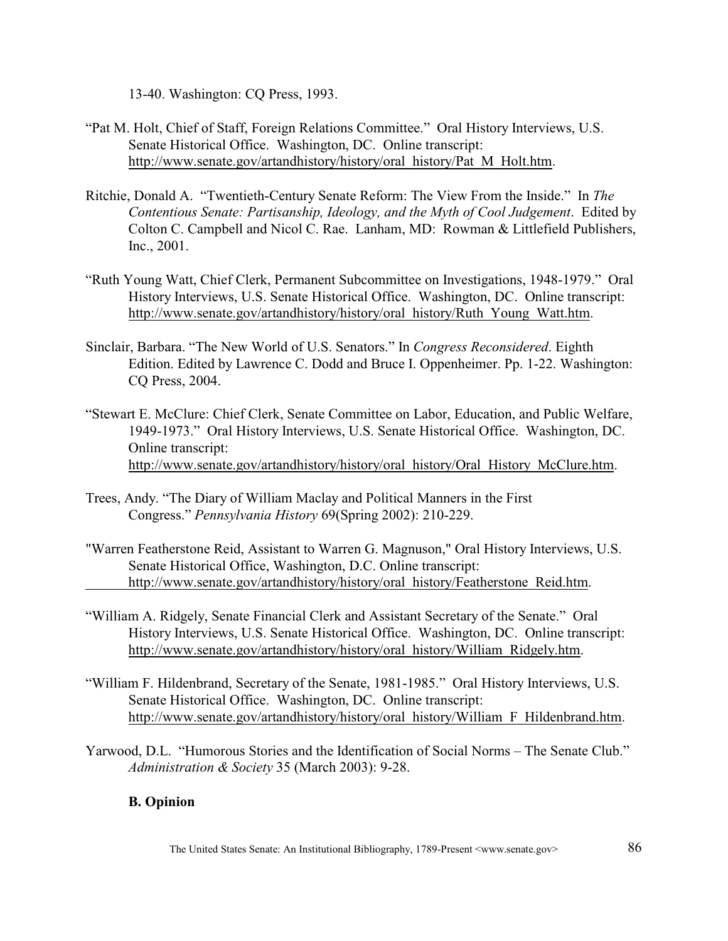13-40. Washington: CQ Press, 1993.

- "Pat M. Holt, Chief of Staff, Foreign Relations Committee." Oral History Interviews, U.S. Senate Historical Office. Washington, DC. Online transcript: [http://www.senate.gov/artandhistory/history/oral\\_history/Pat\\_M\\_Holt.htm](http://www.senate.gov/artandhistory/history/oral_history/Pat_M_Holt.htm).
- Ritchie, Donald A. "Twentieth-Century Senate Reform: The View From the Inside."In *The Contentious Senate: Partisanship, Ideology, and the Myth of Cool Judgement*. Edited by Colton C. Campbell and Nicol C. Rae. Lanham, MD: Rowman & Littlefield Publishers, Inc., 2001.
- "Ruth Young Watt, Chief Clerk, Permanent Subcommittee on Investigations, 1948-1979." Oral History Interviews, U.S. Senate Historical Office. Washington, DC. Online transcript: [http://www.senate.gov/artandhistory/history/oral\\_history/Ruth\\_Young\\_Watt.htm](http://www.senate.gov/artandhistory/history/oral_history/Ruth_Young_Watt.htm).
- Sinclair, Barbara. "The New World of U.S. Senators." In *Congress Reconsidered*. Eighth Edition. Edited by Lawrence C. Dodd and Bruce I. Oppenheimer. Pp. 1-22. Washington: CQ Press, 2004.
- "Stewart E. McClure: Chief Clerk, Senate Committee on Labor, Education, and Public Welfare, 1949-1973." Oral History Interviews, U.S. Senate Historical Office. Washington, DC. Online transcript: [http://www.senate.gov/artandhistory/history/oral\\_history/Oral\\_History\\_McClure.htm](http://www.senate.gov/artandhistory/history/oral_history/Oral_History_McClure.htm).
- Trees, Andy. "The Diary of William Maclay and Political Manners in the First Congress." *Pennsylvania History* 69(Spring 2002): 210-229.
- "Warren Featherstone Reid, Assistant to Warren G. Magnuson," Oral History Interviews, U.S. Senate Historical Office, Washington, D.C. Online transcript: [http://www.senate.gov/artandhistory/history/oral\\_history/Featherstone\\_Reid.htm](http://www.senate.gov/artandhistory/history/oral_history/Featherstone_Reid.htm).
- "William A. Ridgely, Senate Financial Clerk and Assistant Secretary of the Senate." Oral History Interviews, U.S. Senate Historical Office. Washington, DC. Online transcript: [http://www.senate.gov/artandhistory/history/oral\\_history/William\\_Ridgely.htm](http://www.senate.gov/artandhistory/history/oral_history/William_Ridgely.htm).
- "William F. Hildenbrand, Secretary of the Senate, 1981-1985." Oral History Interviews, U.S. Senate Historical Office. Washington, DC. Online transcript: [http://www.senate.gov/artandhistory/history/oral\\_history/William\\_F\\_Hildenbrand.htm](http://www.senate.gov/artandhistory/history/oral_history/William_F_Hildenbrand.htm).
- Yarwood, D.L. "Humorous Stories and the Identification of Social Norms The Senate Club." *Administration & Society* 35 (March 2003): 9-28.

# **B. Opinion**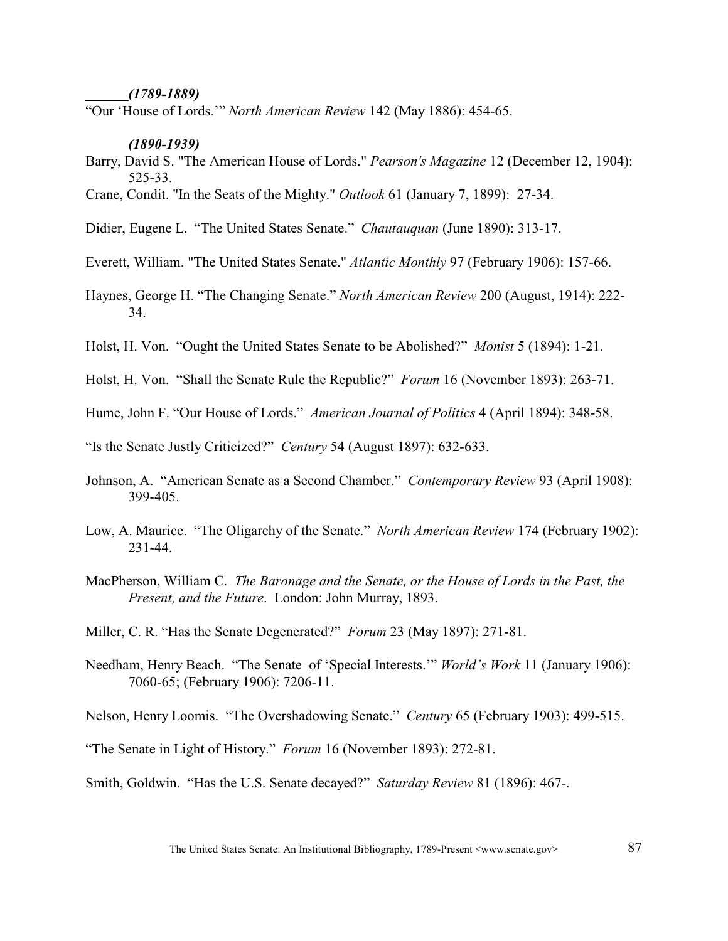#### *(1789-1889)*

"Our 'House of Lords.'" *North American Review* 142 (May 1886): 454-65.

#### *(1890-1939)*

- Barry, David S. "The American House of Lords." *Pearson's Magazine* 12 (December 12, 1904): 525-33.
- Crane, Condit. "In the Seats of the Mighty." *Outlook* 61 (January 7, 1899): 27-34.
- Didier, Eugene L. "The United States Senate." *Chautauquan* (June 1890): 313-17.
- Everett, William. "The United States Senate." *Atlantic Monthly* 97 (February 1906): 157-66.
- Haynes, George H. "The Changing Senate." *North American Review* 200 (August, 1914): 222- 34.
- Holst, H. Von. "Ought the United States Senate to be Abolished?" *Monist* 5 (1894): 1-21.
- Holst, H. Von. "Shall the Senate Rule the Republic?" *Forum* 16 (November 1893): 263-71.
- Hume, John F. "Our House of Lords." *American Journal of Politics* 4 (April 1894): 348-58.
- "Is the Senate Justly Criticized?" *Century* 54 (August 1897): 632-633.
- Johnson, A. "American Senate as a Second Chamber." *Contemporary Review* 93 (April 1908): 399-405.
- Low, A. Maurice. "The Oligarchy of the Senate." *North American Review* 174 (February 1902): 231-44.
- MacPherson, William C. *The Baronage and the Senate, or the House of Lords in the Past, the Present, and the Future*. London: John Murray, 1893.
- Miller, C. R. "Has the Senate Degenerated?" *Forum* 23 (May 1897): 271-81.
- Needham, Henry Beach. "The Senate–of 'Special Interests.'" *World's Work* 11 (January 1906): 7060-65; (February 1906): 7206-11.
- Nelson, Henry Loomis. "The Overshadowing Senate." *Century* 65 (February 1903): 499-515.
- "The Senate in Light of History." *Forum* 16 (November 1893): 272-81.
- Smith, Goldwin. "Has the U.S. Senate decayed?" *Saturday Review* 81 (1896): 467-.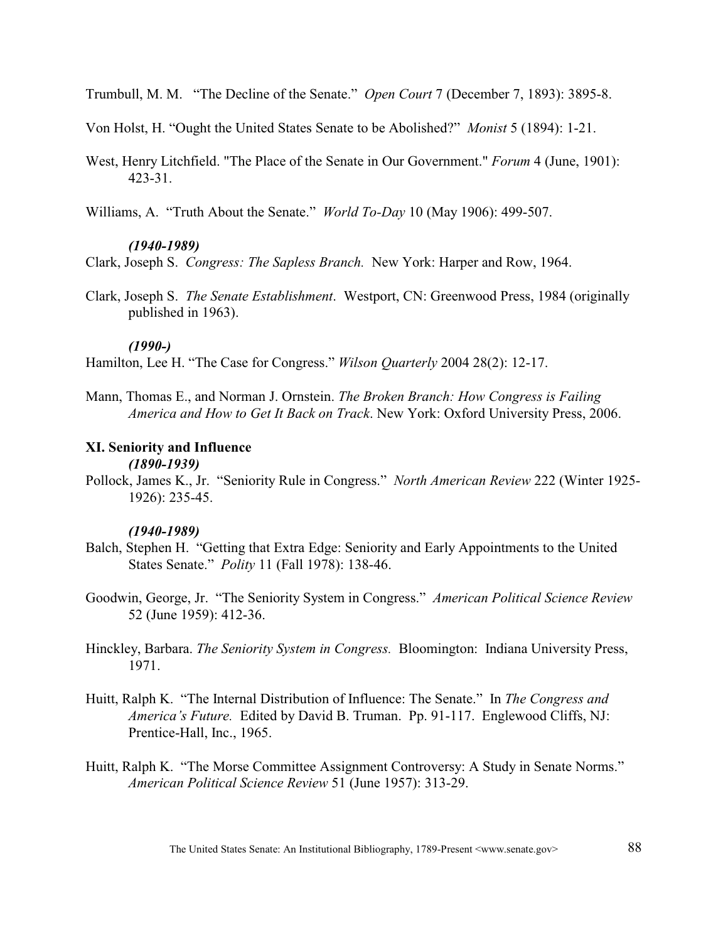Trumbull, M. M. "The Decline of the Senate." *Open Court* 7 (December 7, 1893): 3895-8.

Von Holst, H. "Ought the United States Senate to be Abolished?" *Monist* 5 (1894): 1-21.

West, Henry Litchfield. "The Place of the Senate in Our Government." *Forum* 4 (June, 1901): 423-31.

Williams, A. "Truth About the Senate." *World To-Day* 10 (May 1906): 499-507.

# *(1940-1989)*

Clark, Joseph S. *Congress: The Sapless Branch.* New York: Harper and Row, 1964.

Clark, Joseph S. *The Senate Establishment*. Westport, CN: Greenwood Press, 1984 (originally published in 1963).

### *(1990-)*

Hamilton, Lee H. "The Case for Congress." *Wilson Quarterly* 2004 28(2): 12-17.

Mann, Thomas E., and Norman J. Ornstein. *The Broken Branch: How Congress is Failing America and How to Get It Back on Track*. New York: Oxford University Press, 2006.

# **XI. Seniority and Influence**

# *(1890-1939)*

Pollock, James K., Jr. "Seniority Rule in Congress." *North American Review* 222 (Winter 1925- 1926): 235-45.

## *(1940-1989)*

- Balch, Stephen H. "Getting that Extra Edge: Seniority and Early Appointments to the United States Senate." *Polity* 11 (Fall 1978): 138-46.
- Goodwin, George, Jr. "The Seniority System in Congress." *American Political Science Review*  52 (June 1959): 412-36.
- Hinckley, Barbara. *The Seniority System in Congress.* Bloomington: Indiana University Press, 1971.
- Huitt, Ralph K. "The Internal Distribution of Influence: The Senate." In *The Congress and America's Future.* Edited by David B. Truman. Pp. 91-117. Englewood Cliffs, NJ: Prentice-Hall, Inc., 1965.
- Huitt, Ralph K. "The Morse Committee Assignment Controversy: A Study in Senate Norms." *American Political Science Review* 51 (June 1957): 313-29.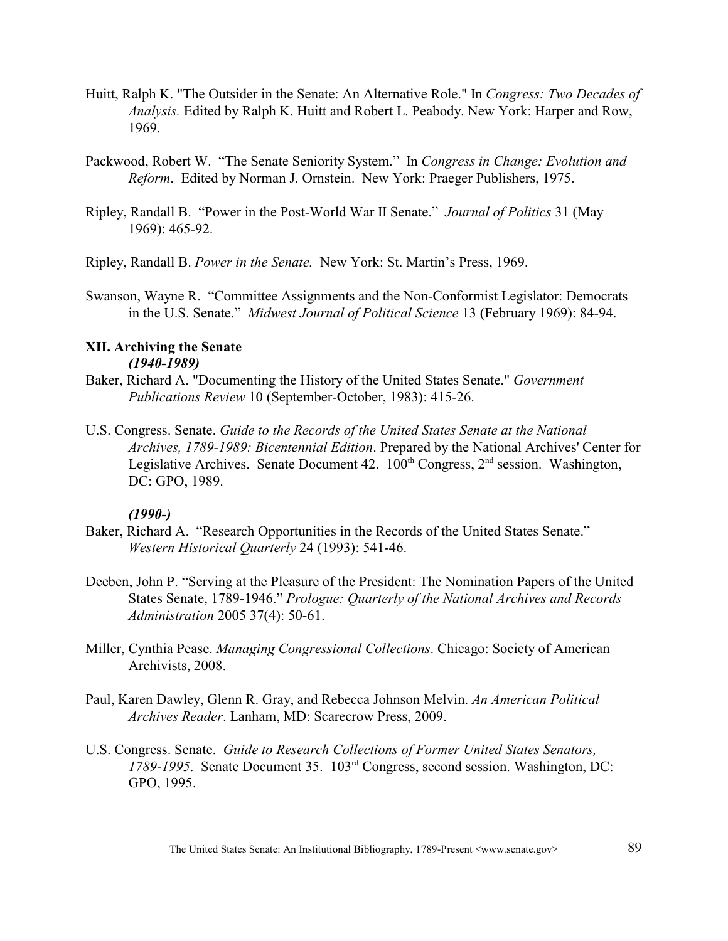- Huitt, Ralph K. "The Outsider in the Senate: An Alternative Role." In *Congress: Two Decades of Analysis.* Edited by Ralph K. Huitt and Robert L. Peabody. New York: Harper and Row, 1969.
- Packwood, Robert W. "The Senate Seniority System." In *Congress in Change: Evolution and Reform*. Edited by Norman J. Ornstein. New York: Praeger Publishers, 1975.
- Ripley, Randall B. "Power in the Post-World War II Senate." *Journal of Politics* 31 (May 1969): 465-92.

Ripley, Randall B. *Power in the Senate.* New York: St. Martin's Press, 1969.

Swanson, Wayne R. "Committee Assignments and the Non-Conformist Legislator: Democrats in the U.S. Senate." *Midwest Journal of Political Science* 13 (February 1969): 84-94.

## **XII. Archiving the Senate** *(1940-1989)*

- Baker, Richard A. "Documenting the History of the United States Senate." *Government Publications Review* 10 (September-October, 1983): 415-26.
- U.S. Congress. Senate. *Guide to the Records of the United States Senate at the National Archives, 1789-1989: Bicentennial Edition*. Prepared by the National Archives' Center for Legislative Archives. Senate Document 42.  $100^{th}$  Congress,  $2^{nd}$  session. Washington, DC: GPO, 1989.

- Baker, Richard A. "Research Opportunities in the Records of the United States Senate." *Western Historical Quarterly* 24 (1993): 541-46.
- Deeben, John P. "Serving at the Pleasure of the President: The Nomination Papers of the United States Senate, 1789-1946." *Prologue: Quarterly of the National Archives and Records Administration* 2005 37(4): 50-61.
- Miller, Cynthia Pease. *Managing Congressional Collections*. Chicago: Society of American Archivists, 2008.
- Paul, Karen Dawley, Glenn R. Gray, and Rebecca Johnson Melvin. *An American Political Archives Reader*. Lanham, MD: Scarecrow Press, 2009.
- U.S. Congress. Senate. *Guide to Research Collections of Former United States Senators,* 1789-1995. Senate Document 35. 103<sup>rd</sup> Congress, second session. Washington, DC: GPO, 1995.